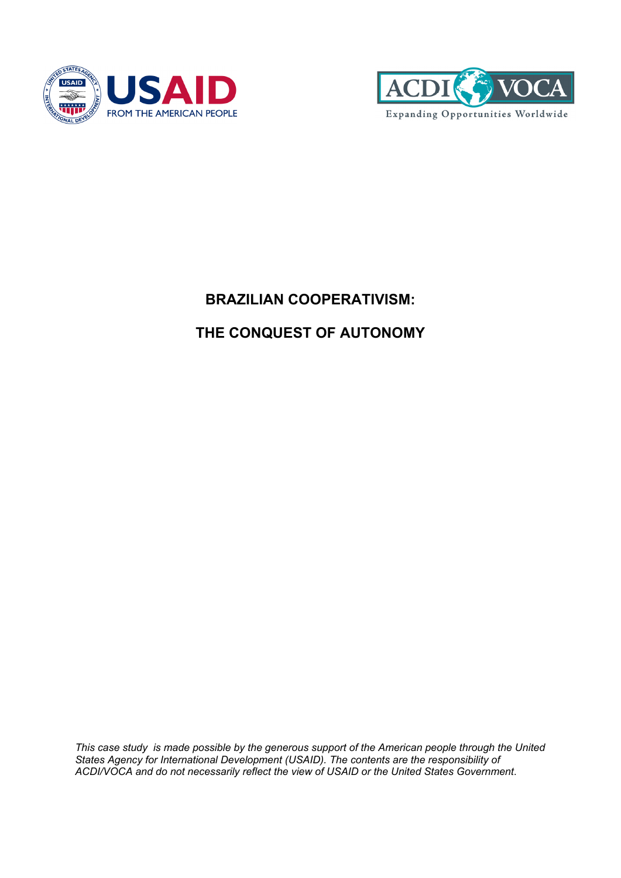



# **BRAZILIAN COOPERATIVISM:**

# **THE CONQUEST OF AUTONOMY**

*This case study is made possible by the generous support of the American people through the United States Agency for International Development (USAID). The contents are the responsibility of ACDI/VOCA and do not necessarily reflect the view of USAID or the United States Government*.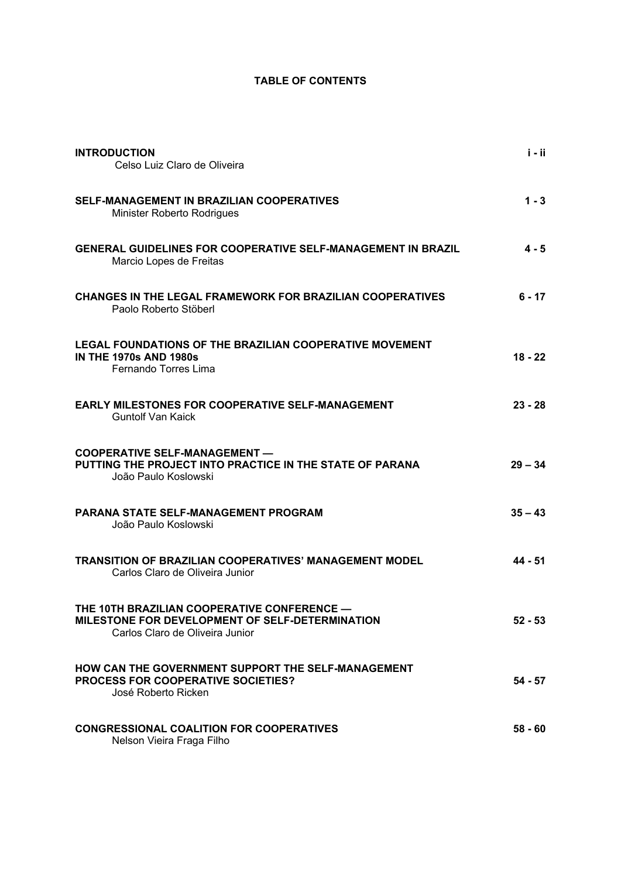# **TABLE OF CONTENTS**

| <b>INTRODUCTION</b><br>Celso Luiz Claro de Oliveira                                                                               | i - ii    |
|-----------------------------------------------------------------------------------------------------------------------------------|-----------|
| <b>SELF-MANAGEMENT IN BRAZILIAN COOPERATIVES</b><br><b>Minister Roberto Rodrigues</b>                                             | $1 - 3$   |
| <b>GENERAL GUIDELINES FOR COOPERATIVE SELF-MANAGEMENT IN BRAZIL</b><br>Marcio Lopes de Freitas                                    | $4 - 5$   |
| <b>CHANGES IN THE LEGAL FRAMEWORK FOR BRAZILIAN COOPERATIVES</b><br>Paolo Roberto Stöberl                                         | $6 - 17$  |
| <b>LEGAL FOUNDATIONS OF THE BRAZILIAN COOPERATIVE MOVEMENT</b><br><b>IN THE 1970s AND 1980s</b><br>Fernando Torres Lima           | $18 - 22$ |
| <b>EARLY MILESTONES FOR COOPERATIVE SELF-MANAGEMENT</b><br><b>Guntolf Van Kaick</b>                                               | $23 - 28$ |
| <b>COOPERATIVE SELF-MANAGEMENT -</b><br>PUTTING THE PROJECT INTO PRACTICE IN THE STATE OF PARANA<br>João Paulo Koslowski          | $29 - 34$ |
| <b>PARANA STATE SELF-MANAGEMENT PROGRAM</b><br>João Paulo Koslowski                                                               | $35 - 43$ |
| <b>TRANSITION OF BRAZILIAN COOPERATIVES' MANAGEMENT MODEL</b><br>Carlos Claro de Oliveira Junior                                  | 44 - 51   |
| THE 10TH BRAZILIAN COOPERATIVE CONFERENCE -<br>MILESTONE FOR DEVELOPMENT OF SELF-DETERMINATION<br>Carlos Claro de Oliveira Junior | $52 - 53$ |
| HOW CAN THE GOVERNMENT SUPPORT THE SELF-MANAGEMENT<br><b>PROCESS FOR COOPERATIVE SOCIETIES?</b><br>José Roberto Ricken            | $54 - 57$ |
| <b>CONGRESSIONAL COALITION FOR COOPERATIVES</b><br>Nelson Vieira Fraga Filho                                                      | $58 - 60$ |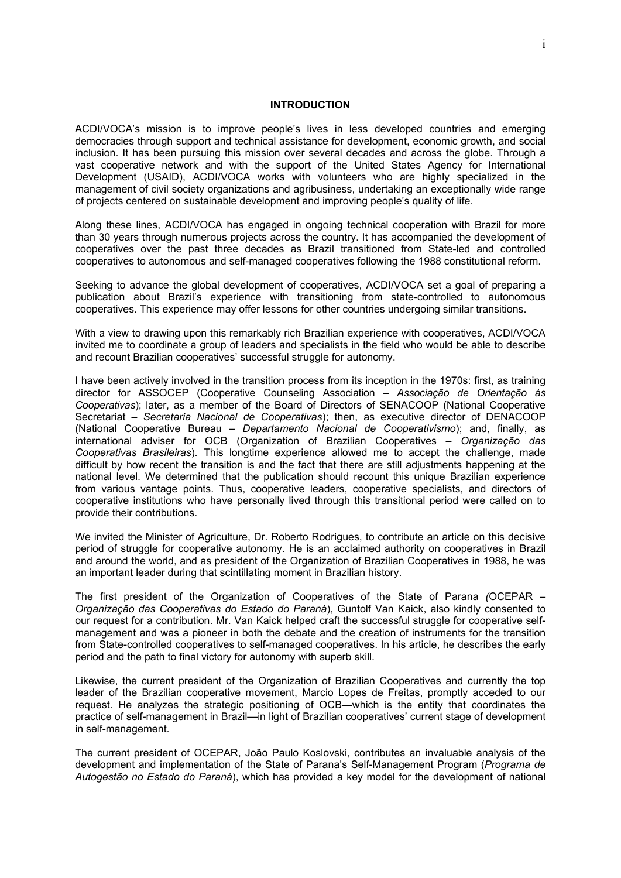#### **INTRODUCTION**

ACDI/VOCA's mission is to improve people's lives in less developed countries and emerging democracies through support and technical assistance for development, economic growth, and social inclusion. It has been pursuing this mission over several decades and across the globe. Through a vast cooperative network and with the support of the United States Agency for International Development (USAID), ACDI/VOCA works with volunteers who are highly specialized in the management of civil society organizations and agribusiness, undertaking an exceptionally wide range of projects centered on sustainable development and improving people's quality of life.

Along these lines, ACDI/VOCA has engaged in ongoing technical cooperation with Brazil for more than 30 years through numerous projects across the country. It has accompanied the development of cooperatives over the past three decades as Brazil transitioned from State-led and controlled cooperatives to autonomous and self-managed cooperatives following the 1988 constitutional reform.

Seeking to advance the global development of cooperatives, ACDI/VOCA set a goal of preparing a publication about Brazil's experience with transitioning from state-controlled to autonomous cooperatives. This experience may offer lessons for other countries undergoing similar transitions.

With a view to drawing upon this remarkably rich Brazilian experience with cooperatives, ACDI/VOCA invited me to coordinate a group of leaders and specialists in the field who would be able to describe and recount Brazilian cooperatives' successful struggle for autonomy.

I have been actively involved in the transition process from its inception in the 1970s: first, as training director for ASSOCEP (Cooperative Counseling Association *– Associação de Orientação às Cooperativas*); later, as a member of the Board of Directors of SENACOOP (National Cooperative Secretariat – *Secretaria Nacional de Cooperativas*); then, as executive director of DENACOOP (National Cooperative Bureau – *Departamento Nacional de Cooperativismo*); and, finally, as international adviser for OCB (Organization of Brazilian Cooperatives – *Organização das Cooperativas Brasileiras*). This longtime experience allowed me to accept the challenge, made difficult by how recent the transition is and the fact that there are still adjustments happening at the national level. We determined that the publication should recount this unique Brazilian experience from various vantage points. Thus, cooperative leaders, cooperative specialists, and directors of cooperative institutions who have personally lived through this transitional period were called on to provide their contributions.

We invited the Minister of Agriculture, Dr. Roberto Rodrigues, to contribute an article on this decisive period of struggle for cooperative autonomy. He is an acclaimed authority on cooperatives in Brazil and around the world, and as president of the Organization of Brazilian Cooperatives in 1988, he was an important leader during that scintillating moment in Brazilian history.

The first president of the Organization of Cooperatives of the State of Parana *(*OCEPAR *– Organização das Cooperativas do Estado do Paraná*), Guntolf Van Kaick, also kindly consented to our request for a contribution. Mr. Van Kaick helped craft the successful struggle for cooperative selfmanagement and was a pioneer in both the debate and the creation of instruments for the transition from State-controlled cooperatives to self-managed cooperatives. In his article, he describes the early period and the path to final victory for autonomy with superb skill.

Likewise, the current president of the Organization of Brazilian Cooperatives and currently the top leader of the Brazilian cooperative movement, Marcio Lopes de Freitas, promptly acceded to our request. He analyzes the strategic positioning of OCB—which is the entity that coordinates the practice of self-management in Brazil—in light of Brazilian cooperatives' current stage of development in self-management.

The current president of OCEPAR, João Paulo Koslovski, contributes an invaluable analysis of the development and implementation of the State of Parana's Self-Management Program (*Programa de Autogestão no Estado do Paraná*), which has provided a key model for the development of national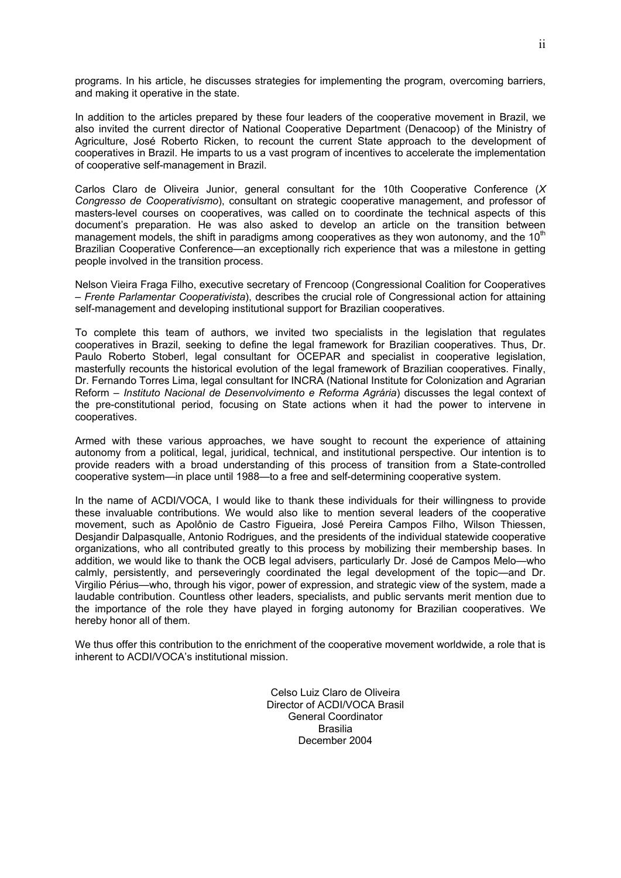programs. In his article, he discusses strategies for implementing the program, overcoming barriers, and making it operative in the state.

In addition to the articles prepared by these four leaders of the cooperative movement in Brazil, we also invited the current director of National Cooperative Department (Denacoop) of the Ministry of Agriculture, José Roberto Ricken, to recount the current State approach to the development of cooperatives in Brazil. He imparts to us a vast program of incentives to accelerate the implementation of cooperative self-management in Brazil.

Carlos Claro de Oliveira Junior, general consultant for the 10th Cooperative Conference (*X Congresso de Cooperativismo*), consultant on strategic cooperative management, and professor of masters-level courses on cooperatives, was called on to coordinate the technical aspects of this document's preparation. He was also asked to develop an article on the transition between management models, the shift in paradigms among cooperatives as they won autonomy, and the  $10<sup>th</sup>$ Brazilian Cooperative Conference—an exceptionally rich experience that was a milestone in getting people involved in the transition process.

Nelson Vieira Fraga Filho, executive secretary of Frencoop (Congressional Coalition for Cooperatives – *Frente Parlamentar Cooperativista*), describes the crucial role of Congressional action for attaining self-management and developing institutional support for Brazilian cooperatives.

To complete this team of authors, we invited two specialists in the legislation that regulates cooperatives in Brazil, seeking to define the legal framework for Brazilian cooperatives. Thus, Dr. Paulo Roberto Stoberl, legal consultant for OCEPAR and specialist in cooperative legislation, masterfully recounts the historical evolution of the legal framework of Brazilian cooperatives. Finally, Dr. Fernando Torres Lima, legal consultant for INCRA (National Institute for Colonization and Agrarian Reform – *Instituto Nacional de Desenvolvimento e Reforma Agrária*) discusses the legal context of the pre-constitutional period, focusing on State actions when it had the power to intervene in cooperatives.

Armed with these various approaches, we have sought to recount the experience of attaining autonomy from a political, legal, juridical, technical, and institutional perspective. Our intention is to provide readers with a broad understanding of this process of transition from a State-controlled cooperative system—in place until 1988—to a free and self-determining cooperative system.

In the name of ACDI/VOCA, I would like to thank these individuals for their willingness to provide these invaluable contributions. We would also like to mention several leaders of the cooperative movement, such as Apolônio de Castro Figueira, José Pereira Campos Filho, Wilson Thiessen, Desjandir Dalpasqualle, Antonio Rodrigues, and the presidents of the individual statewide cooperative organizations, who all contributed greatly to this process by mobilizing their membership bases. In addition, we would like to thank the OCB legal advisers, particularly Dr. José de Campos Melo—who calmly, persistently, and perseveringly coordinated the legal development of the topic—and Dr. Virgilio Périus—who, through his vigor, power of expression, and strategic view of the system, made a laudable contribution. Countless other leaders, specialists, and public servants merit mention due to the importance of the role they have played in forging autonomy for Brazilian cooperatives. We hereby honor all of them.

We thus offer this contribution to the enrichment of the cooperative movement worldwide, a role that is inherent to ACDI/VOCA's institutional mission.

> Celso Luiz Claro de Oliveira Director of ACDI/VOCA Brasil General Coordinator Brasilia December 2004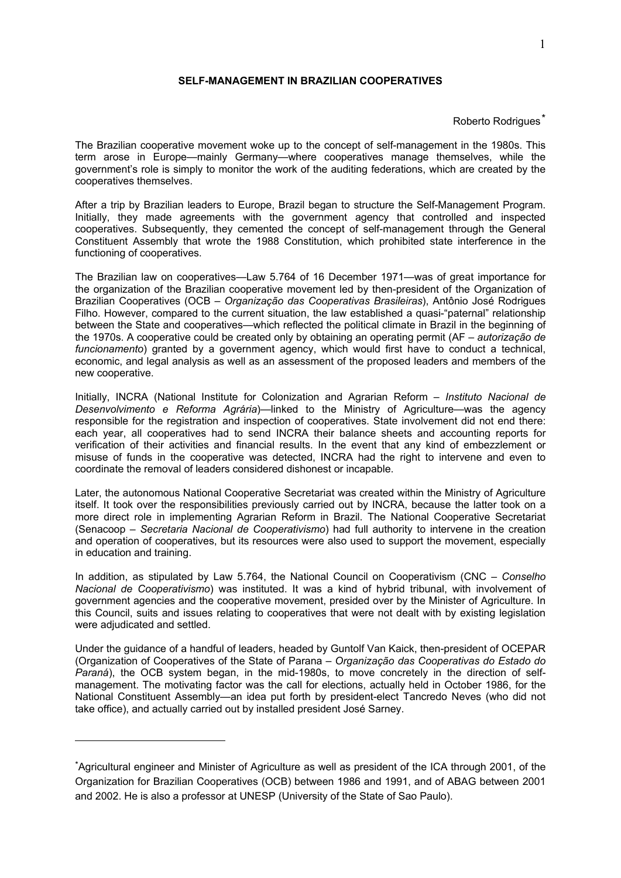## **SELF-MANAGEMENT IN BRAZILIAN COOPERATIVES**

#### Roberto Rodrigues<sup>\*</sup>

The Brazilian cooperative movement woke up to the concept of self-management in the 1980s. This term arose in Europe—mainly Germany—where cooperatives manage themselves, while the government's role is simply to monitor the work of the auditing federations, which are created by the cooperatives themselves.

After a trip by Brazilian leaders to Europe, Brazil began to structure the Self-Management Program. Initially, they made agreements with the government agency that controlled and inspected cooperatives. Subsequently, they cemented the concept of self-management through the General Constituent Assembly that wrote the 1988 Constitution, which prohibited state interference in the functioning of cooperatives.

The Brazilian law on cooperatives—Law 5.764 of 16 December 1971—was of great importance for the organization of the Brazilian cooperative movement led by then-president of the Organization of Brazilian Cooperatives (OCB – *Organização das Cooperativas Brasileiras*), Antônio José Rodrigues Filho. However, compared to the current situation, the law established a quasi-"paternal" relationship between the State and cooperatives—which reflected the political climate in Brazil in the beginning of the 1970s. A cooperative could be created only by obtaining an operating permit (AF *– autorização de funcionamento*) granted by a government agency, which would first have to conduct a technical, economic, and legal analysis as well as an assessment of the proposed leaders and members of the new cooperative.

Initially, INCRA (National Institute for Colonization and Agrarian Reform – *Instituto Nacional de Desenvolvimento e Reforma Agrária*)—linked to the Ministry of Agriculture—was the agency responsible for the registration and inspection of cooperatives. State involvement did not end there: each year, all cooperatives had to send INCRA their balance sheets and accounting reports for verification of their activities and financial results. In the event that any kind of embezzlement or misuse of funds in the cooperative was detected, INCRA had the right to intervene and even to coordinate the removal of leaders considered dishonest or incapable.

Later, the autonomous National Cooperative Secretariat was created within the Ministry of Agriculture itself. It took over the responsibilities previously carried out by INCRA, because the latter took on a more direct role in implementing Agrarian Reform in Brazil. The National Cooperative Secretariat (Senacoop *– Secretaria Nacional de Cooperativismo*) had full authority to intervene in the creation and operation of cooperatives, but its resources were also used to support the movement, especially in education and training.

In addition, as stipulated by Law 5.764, the National Council on Cooperativism (CNC – *Conselho Nacional de Cooperativismo*) was instituted. It was a kind of hybrid tribunal, with involvement of government agencies and the cooperative movement, presided over by the Minister of Agriculture. In this Council, suits and issues relating to cooperatives that were not dealt with by existing legislation were adjudicated and settled.

Under the guidance of a handful of leaders, headed by Guntolf Van Kaick, then-president of OCEPAR (Organization of Cooperatives of the State of Parana – *Organização das Cooperativas do Estado do Paraná*), the OCB system began, in the mid-1980s, to move concretely in the direction of selfmanagement. The motivating factor was the call for elections, actually held in October 1986, for the National Constituent Assembly—an idea put forth by president-elect Tancredo Neves (who did not take office), and actually carried out by installed president José Sarney.

1

<sup>\*</sup>Agricultural engineer and Minister of Agriculture as well as president of the ICA through 2001, of the Organization for Brazilian Cooperatives (OCB) between 1986 and 1991, and of ABAG between 2001 and 2002. He is also a professor at UNESP (University of the State of Sao Paulo).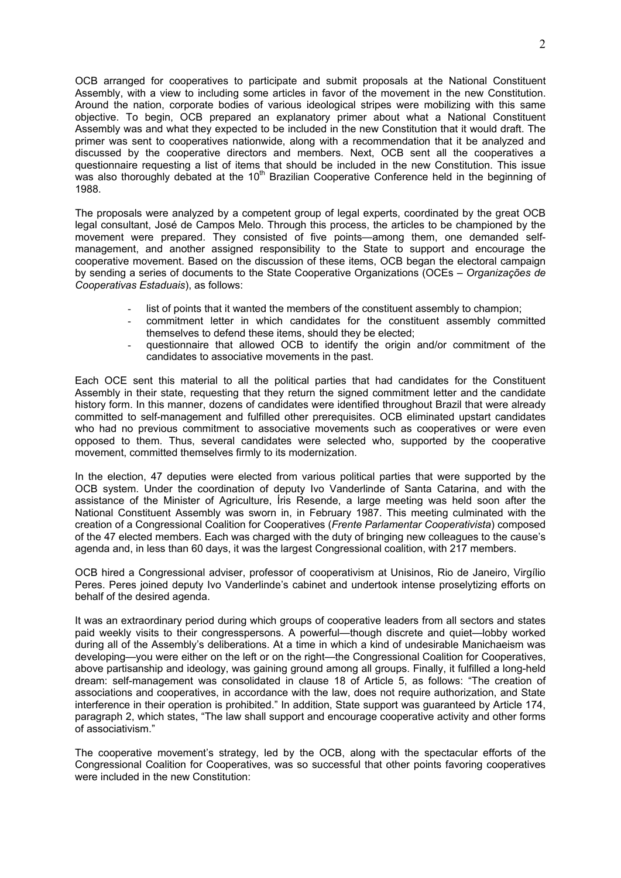OCB arranged for cooperatives to participate and submit proposals at the National Constituent Assembly, with a view to including some articles in favor of the movement in the new Constitution. Around the nation, corporate bodies of various ideological stripes were mobilizing with this same objective. To begin, OCB prepared an explanatory primer about what a National Constituent Assembly was and what they expected to be included in the new Constitution that it would draft. The primer was sent to cooperatives nationwide, along with a recommendation that it be analyzed and discussed by the cooperative directors and members. Next, OCB sent all the cooperatives a questionnaire requesting a list of items that should be included in the new Constitution. This issue was also thoroughly debated at the  $10<sup>th</sup>$  Brazilian Cooperative Conference held in the beginning of 1988.

The proposals were analyzed by a competent group of legal experts, coordinated by the great OCB legal consultant, José de Campos Melo. Through this process, the articles to be championed by the movement were prepared. They consisted of five points—among them, one demanded selfmanagement, and another assigned responsibility to the State to support and encourage the cooperative movement. Based on the discussion of these items, OCB began the electoral campaign by sending a series of documents to the State Cooperative Organizations (OCEs *– Organizações de Cooperativas Estaduais*), as follows:

- list of points that it wanted the members of the constituent assembly to champion;
- commitment letter in which candidates for the constituent assembly committed themselves to defend these items, should they be elected;
- questionnaire that allowed OCB to identify the origin and/or commitment of the candidates to associative movements in the past.

Each OCE sent this material to all the political parties that had candidates for the Constituent Assembly in their state, requesting that they return the signed commitment letter and the candidate history form. In this manner, dozens of candidates were identified throughout Brazil that were already committed to self-management and fulfilled other prerequisites. OCB eliminated upstart candidates who had no previous commitment to associative movements such as cooperatives or were even opposed to them. Thus, several candidates were selected who, supported by the cooperative movement, committed themselves firmly to its modernization.

In the election, 47 deputies were elected from various political parties that were supported by the OCB system. Under the coordination of deputy Ivo Vanderlinde of Santa Catarina, and with the assistance of the Minister of Agriculture, Íris Resende, a large meeting was held soon after the National Constituent Assembly was sworn in, in February 1987. This meeting culminated with the creation of a Congressional Coalition for Cooperatives (*Frente Parlamentar Cooperativista*) composed of the 47 elected members. Each was charged with the duty of bringing new colleagues to the cause's agenda and, in less than 60 days, it was the largest Congressional coalition, with 217 members.

OCB hired a Congressional adviser, professor of cooperativism at Unisinos, Rio de Janeiro, Virgílio Peres. Peres joined deputy Ivo Vanderlinde's cabinet and undertook intense proselytizing efforts on behalf of the desired agenda.

It was an extraordinary period during which groups of cooperative leaders from all sectors and states paid weekly visits to their congresspersons. A powerful—though discrete and quiet—lobby worked during all of the Assembly's deliberations. At a time in which a kind of undesirable Manichaeism was developing—you were either on the left or on the right—the Congressional Coalition for Cooperatives, above partisanship and ideology, was gaining ground among all groups. Finally, it fulfilled a long-held dream: self-management was consolidated in clause 18 of Article 5, as follows: "The creation of associations and cooperatives, in accordance with the law, does not require authorization, and State interference in their operation is prohibited." In addition, State support was guaranteed by Article 174, paragraph 2, which states, "The law shall support and encourage cooperative activity and other forms of associativism."

The cooperative movement's strategy, led by the OCB, along with the spectacular efforts of the Congressional Coalition for Cooperatives, was so successful that other points favoring cooperatives were included in the new Constitution: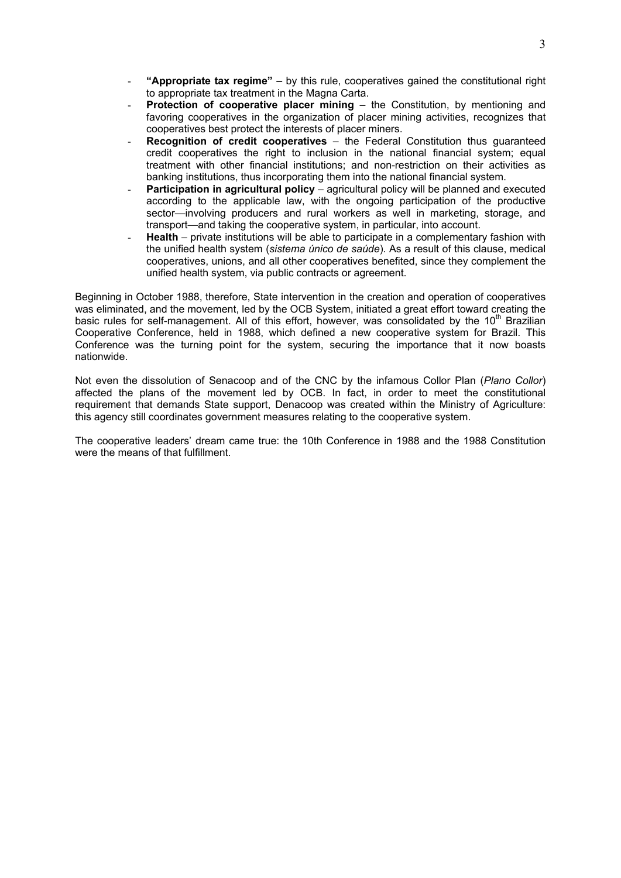- **"Appropriate tax regime"** by this rule, cooperatives gained the constitutional right to appropriate tax treatment in the Magna Carta.
- **Protection of cooperative placer mining the Constitution, by mentioning and** favoring cooperatives in the organization of placer mining activities, recognizes that cooperatives best protect the interests of placer miners.
- **Recognition of credit cooperatives** the Federal Constitution thus guaranteed credit cooperatives the right to inclusion in the national financial system; equal treatment with other financial institutions; and non-restriction on their activities as banking institutions, thus incorporating them into the national financial system.
- **Participation in agricultural policy agricultural policy will be planned and executed** according to the applicable law, with the ongoing participation of the productive sector—involving producers and rural workers as well in marketing, storage, and transport—and taking the cooperative system, in particular, into account.
- **Health** private institutions will be able to participate in a complementary fashion with the unified health system (*sistema único de saúde*). As a result of this clause, medical cooperatives, unions, and all other cooperatives benefited, since they complement the unified health system, via public contracts or agreement.

Beginning in October 1988, therefore, State intervention in the creation and operation of cooperatives was eliminated, and the movement, led by the OCB System, initiated a great effort toward creating the basic rules for self-management. All of this effort, however, was consolidated by the 10<sup>th</sup> Brazilian Cooperative Conference, held in 1988, which defined a new cooperative system for Brazil. This Conference was the turning point for the system, securing the importance that it now boasts nationwide.

Not even the dissolution of Senacoop and of the CNC by the infamous Collor Plan (*Plano Collor*) affected the plans of the movement led by OCB. In fact, in order to meet the constitutional requirement that demands State support, Denacoop was created within the Ministry of Agriculture: this agency still coordinates government measures relating to the cooperative system.

The cooperative leaders' dream came true: the 10th Conference in 1988 and the 1988 Constitution were the means of that fulfillment.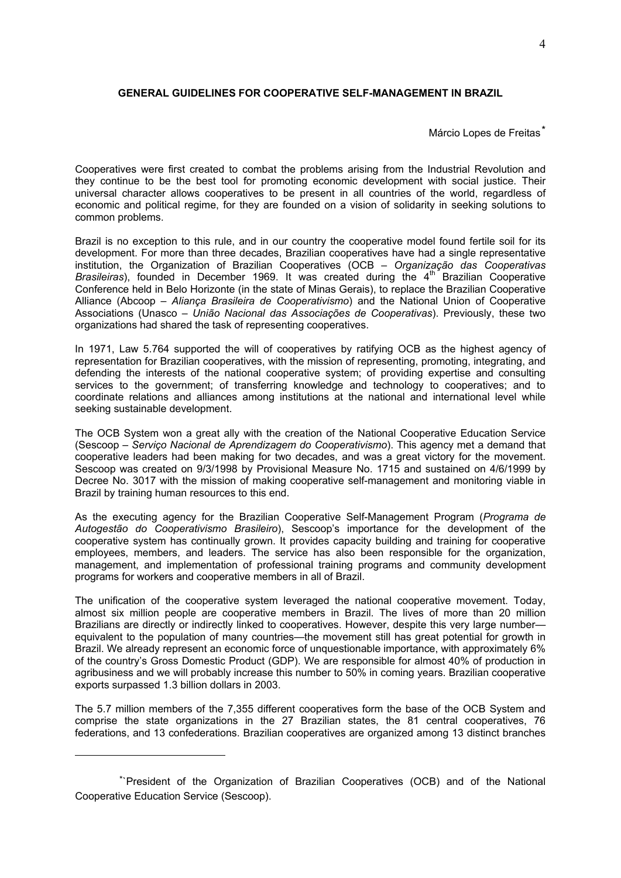#### **GENERAL GUIDELINES FOR COOPERATIVE SELF-MANAGEMENT IN BRAZIL**

## Márcio Lopes de Freitas<sup>\*</sup>

Cooperatives were first created to combat the problems arising from the Industrial Revolution and they continue to be the best tool for promoting economic development with social justice. Their universal character allows cooperatives to be present in all countries of the world, regardless of economic and political regime, for they are founded on a vision of solidarity in seeking solutions to common problems.

Brazil is no exception to this rule, and in our country the cooperative model found fertile soil for its development. For more than three decades, Brazilian cooperatives have had a single representative institution, the Organization of Brazilian Cooperatives (OCB – *Organização das Cooperativas Brasileiras*), founded in December 1969. It was created during the 4<sup>th</sup> Brazilian Cooperative Conference held in Belo Horizonte (in the state of Minas Gerais), to replace the Brazilian Cooperative Alliance (Abcoop – *Aliança Brasileira de Cooperativismo*) and the National Union of Cooperative Associations (Unasco – *União Nacional das Associações de Cooperativas*). Previously, these two organizations had shared the task of representing cooperatives.

In 1971, Law 5.764 supported the will of cooperatives by ratifying OCB as the highest agency of representation for Brazilian cooperatives, with the mission of representing, promoting, integrating, and defending the interests of the national cooperative system; of providing expertise and consulting services to the government; of transferring knowledge and technology to cooperatives; and to coordinate relations and alliances among institutions at the national and international level while seeking sustainable development.

The OCB System won a great ally with the creation of the National Cooperative Education Service (Sescoop – *Serviço Nacional de Aprendizagem do Cooperativismo*). This agency met a demand that cooperative leaders had been making for two decades, and was a great victory for the movement. Sescoop was created on 9/3/1998 by Provisional Measure No. 1715 and sustained on 4/6/1999 by Decree No. 3017 with the mission of making cooperative self-management and monitoring viable in Brazil by training human resources to this end.

As the executing agency for the Brazilian Cooperative Self-Management Program (*Programa de Autogestão do Cooperativismo Brasileiro*), Sescoop's importance for the development of the cooperative system has continually grown. It provides capacity building and training for cooperative employees, members, and leaders. The service has also been responsible for the organization, management, and implementation of professional training programs and community development programs for workers and cooperative members in all of Brazil.

The unification of the cooperative system leveraged the national cooperative movement. Today, almost six million people are cooperative members in Brazil. The lives of more than 20 million Brazilians are directly or indirectly linked to cooperatives. However, despite this very large number equivalent to the population of many countries—the movement still has great potential for growth in Brazil. We already represent an economic force of unquestionable importance, with approximately 6% of the country's Gross Domestic Product (GDP). We are responsible for almost 40% of production in agribusiness and we will probably increase this number to 50% in coming years. Brazilian cooperative exports surpassed 1.3 billion dollars in 2003.

The 5.7 million members of the 7,355 different cooperatives form the base of the OCB System and comprise the state organizations in the 27 Brazilian states, the 81 central cooperatives, 76 federations, and 13 confederations. Brazilian cooperatives are organized among 13 distinct branches

<u>.</u>

<sup>\*`</sup>President of the Organization of Brazilian Cooperatives (OCB) and of the National Cooperative Education Service (Sescoop).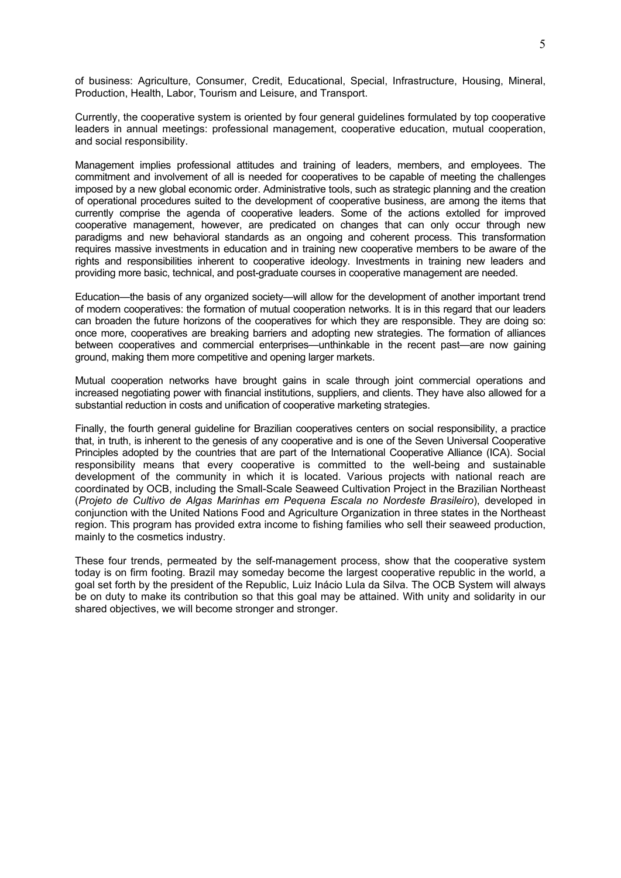of business: Agriculture, Consumer, Credit, Educational, Special, Infrastructure, Housing, Mineral, Production, Health, Labor, Tourism and Leisure, and Transport.

Currently, the cooperative system is oriented by four general guidelines formulated by top cooperative leaders in annual meetings: professional management, cooperative education, mutual cooperation, and social responsibility.

Management implies professional attitudes and training of leaders, members, and employees. The commitment and involvement of all is needed for cooperatives to be capable of meeting the challenges imposed by a new global economic order. Administrative tools, such as strategic planning and the creation of operational procedures suited to the development of cooperative business, are among the items that currently comprise the agenda of cooperative leaders. Some of the actions extolled for improved cooperative management, however, are predicated on changes that can only occur through new paradigms and new behavioral standards as an ongoing and coherent process. This transformation requires massive investments in education and in training new cooperative members to be aware of the rights and responsibilities inherent to cooperative ideology. Investments in training new leaders and providing more basic, technical, and post-graduate courses in cooperative management are needed.

Education—the basis of any organized society—will allow for the development of another important trend of modern cooperatives: the formation of mutual cooperation networks. It is in this regard that our leaders can broaden the future horizons of the cooperatives for which they are responsible. They are doing so: once more, cooperatives are breaking barriers and adopting new strategies. The formation of alliances between cooperatives and commercial enterprises—unthinkable in the recent past—are now gaining ground, making them more competitive and opening larger markets.

Mutual cooperation networks have brought gains in scale through joint commercial operations and increased negotiating power with financial institutions, suppliers, and clients. They have also allowed for a substantial reduction in costs and unification of cooperative marketing strategies.

Finally, the fourth general guideline for Brazilian cooperatives centers on social responsibility, a practice that, in truth, is inherent to the genesis of any cooperative and is one of the Seven Universal Cooperative Principles adopted by the countries that are part of the International Cooperative Alliance (ICA). Social responsibility means that every cooperative is committed to the well-being and sustainable development of the community in which it is located. Various projects with national reach are coordinated by OCB, including the Small-Scale Seaweed Cultivation Project in the Brazilian Northeast (*Projeto de Cultivo de Algas Marinhas em Pequena Escala no Nordeste Brasileiro*), developed in conjunction with the United Nations Food and Agriculture Organization in three states in the Northeast region. This program has provided extra income to fishing families who sell their seaweed production, mainly to the cosmetics industry.

These four trends, permeated by the self-management process, show that the cooperative system today is on firm footing. Brazil may someday become the largest cooperative republic in the world, a goal set forth by the president of the Republic, Luiz Inácio Lula da Silva. The OCB System will always be on duty to make its contribution so that this goal may be attained. With unity and solidarity in our shared objectives, we will become stronger and stronger.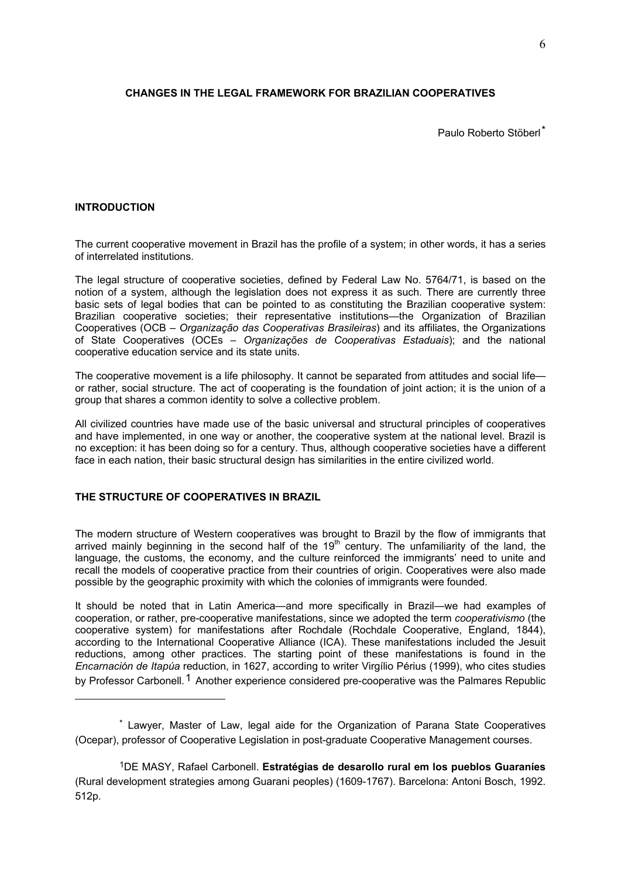## **CHANGES IN THE LEGAL FRAMEWORK FOR BRAZILIAN COOPERATIVES**

Paulo Roberto Stöberl\*

## **INTRODUCTION**

<u>.</u>

The current cooperative movement in Brazil has the profile of a system; in other words, it has a series of interrelated institutions.

The legal structure of cooperative societies, defined by Federal Law No. 5764/71, is based on the notion of a system, although the legislation does not express it as such. There are currently three basic sets of legal bodies that can be pointed to as constituting the Brazilian cooperative system: Brazilian cooperative societies; their representative institutions—the Organization of Brazilian Cooperatives (OCB – *Organização das Cooperativas Brasileiras*) and its affiliates, the Organizations of State Cooperatives (OCEs – *Organizações de Cooperativas Estaduais*); and the national cooperative education service and its state units.

The cooperative movement is a life philosophy. It cannot be separated from attitudes and social life or rather, social structure. The act of cooperating is the foundation of joint action; it is the union of a group that shares a common identity to solve a collective problem.

All civilized countries have made use of the basic universal and structural principles of cooperatives and have implemented, in one way or another, the cooperative system at the national level. Brazil is no exception: it has been doing so for a century. Thus, although cooperative societies have a different face in each nation, their basic structural design has similarities in the entire civilized world.

## **THE STRUCTURE OF COOPERATIVES IN BRAZIL**

The modern structure of Western cooperatives was brought to Brazil by the flow of immigrants that arrived mainly beginning in the second half of the  $19<sup>th</sup>$  century. The unfamiliarity of the land, the language, the customs, the economy, and the culture reinforced the immigrants' need to unite and recall the models of cooperative practice from their countries of origin. Cooperatives were also made possible by the geographic proximity with which the colonies of immigrants were founded.

It should be noted that in Latin America—and more specifically in Brazil—we had examples of cooperation, or rather, pre-cooperative manifestations, since we adopted the term *cooperativismo* (the cooperative system) for manifestations after Rochdale (Rochdale Cooperative, England, 1844), according to the International Cooperative Alliance (ICA). These manifestations included the Jesuit reductions, among other practices. The starting point of these manifestations is found in the *Encarnación de Itapúa* reduction, in 1627, according to writer Virgílio Périus (1999), who cites studies by Professor Carbonell.<sup>1</sup> Another experience considered pre-cooperative was the Palmares Republic

<sup>\*</sup> Lawyer, Master of Law, legal aide for the Organization of Parana State Cooperatives (Ocepar), professor of Cooperative Legislation in post-graduate Cooperative Management courses.

<sup>1</sup>DE MASY, Rafael Carbonell. **Estratégias de desarollo rural em los pueblos Guaraníes**  (Rural development strategies among Guarani peoples) (1609-1767). Barcelona: Antoni Bosch, 1992. 512p.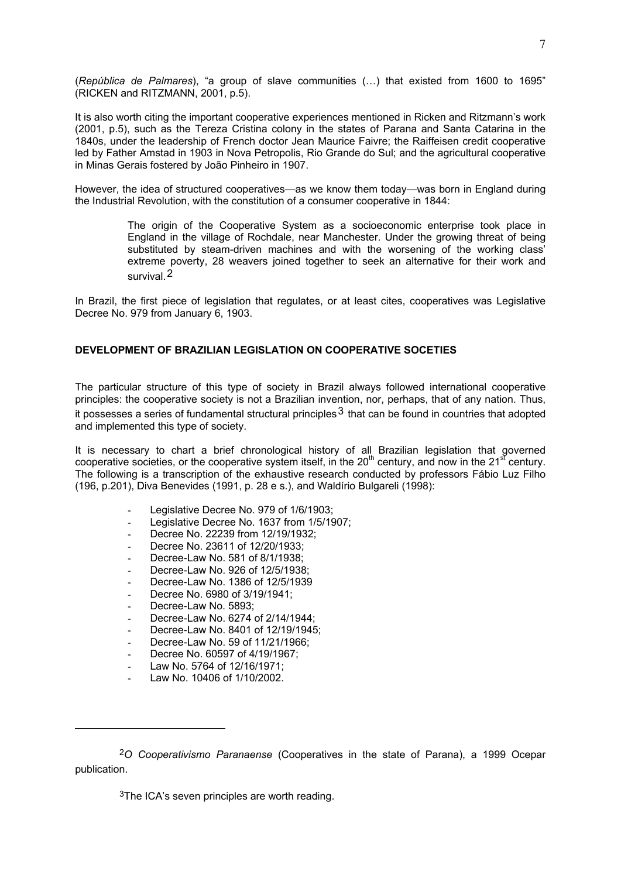(*República de Palmares*), "a group of slave communities (…) that existed from 1600 to 1695" (RICKEN and RITZMANN, 2001, p.5).

It is also worth citing the important cooperative experiences mentioned in Ricken and Ritzmann's work (2001, p.5), such as the Tereza Cristina colony in the states of Parana and Santa Catarina in the 1840s, under the leadership of French doctor Jean Maurice Faivre; the Raiffeisen credit cooperative led by Father Amstad in 1903 in Nova Petropolis, Rio Grande do Sul; and the agricultural cooperative in Minas Gerais fostered by João Pinheiro in 1907.

However, the idea of structured cooperatives—as we know them today—was born in England during the Industrial Revolution, with the constitution of a consumer cooperative in 1844:

> The origin of the Cooperative System as a socioeconomic enterprise took place in England in the village of Rochdale, near Manchester. Under the growing threat of being substituted by steam-driven machines and with the worsening of the working class' extreme poverty, 28 weavers joined together to seek an alternative for their work and survival.2

In Brazil, the first piece of legislation that regulates, or at least cites, cooperatives was Legislative Decree No. 979 from January 6, 1903.

## **DEVELOPMENT OF BRAZILIAN LEGISLATION ON COOPERATIVE SOCETIES**

The particular structure of this type of society in Brazil always followed international cooperative principles: the cooperative society is not a Brazilian invention, nor, perhaps, that of any nation. Thus,

it possesses a series of fundamental structural principles  $3$  that can be found in countries that adopted and implemented this type of society.

It is necessary to chart a brief chronological history of all Brazilian legislation that governed cooperative societies, or the cooperative system itself, in the 20<sup>th</sup> century, and now in the 21<sup>st</sup> century. The following is a transcription of the exhaustive research conducted by professors Fábio Luz Filho (196, p.201), Diva Benevides (1991, p. 28 e s.), and Waldírio Bulgareli (1998):

- Legislative Decree No. 979 of 1/6/1903;
- Legislative Decree No. 1637 from 1/5/1907;
- Decree No. 22239 from 12/19/1932;
- Decree No. 23611 of 12/20/1933;
- Decree-Law No. 581 of 8/1/1938:
- Decree-Law No. 926 of 12/5/1938;
- Decree-Law No. 1386 of 12/5/1939
- Decree No. 6980 of 3/19/1941:
- Decree-Law No. 5893:
- Decree-Law No. 6274 of 2/14/1944;
- Decree-Law No. 8401 of 12/19/1945;
- Decree-Law No. 59 of 11/21/1966;
- Decree No. 60597 of 4/19/1967;
- Law No. 5764 of 12/16/1971;
- Law No. 10406 of 1/10/2002.

1

 $3$ The ICA's seven principles are worth reading.

<sup>2</sup>*O Cooperativismo Paranaense* (Cooperatives in the state of Parana), a 1999 Ocepar publication.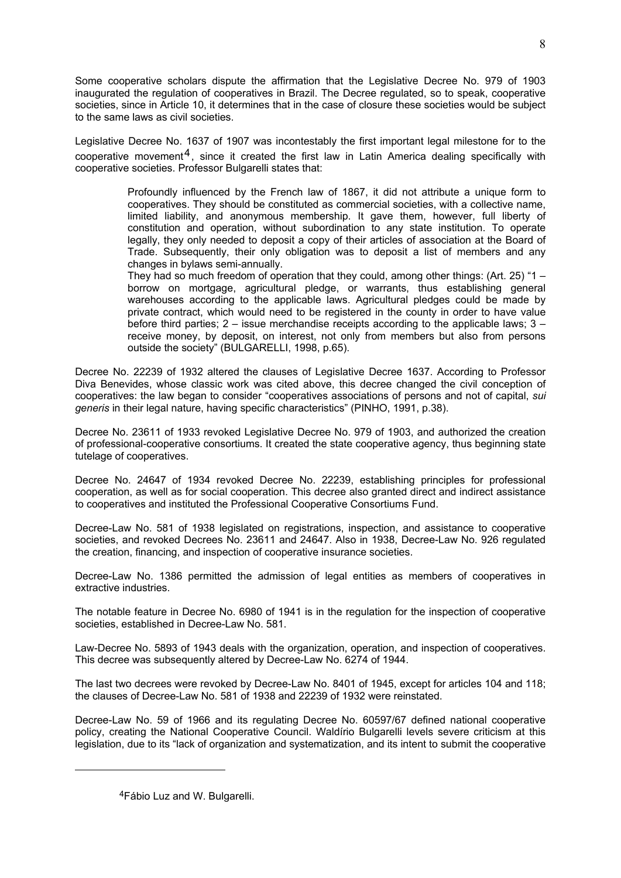Some cooperative scholars dispute the affirmation that the Legislative Decree No. 979 of 1903 inaugurated the regulation of cooperatives in Brazil. The Decree regulated, so to speak, cooperative societies, since in Article 10, it determines that in the case of closure these societies would be subject to the same laws as civil societies.

Legislative Decree No. 1637 of 1907 was incontestably the first important legal milestone for to the cooperative movement<sup>4</sup>, since it created the first law in Latin America dealing specifically with cooperative societies. Professor Bulgarelli states that:

> Profoundly influenced by the French law of 1867, it did not attribute a unique form to cooperatives. They should be constituted as commercial societies, with a collective name, limited liability, and anonymous membership. It gave them, however, full liberty of constitution and operation, without subordination to any state institution. To operate legally, they only needed to deposit a copy of their articles of association at the Board of Trade. Subsequently, their only obligation was to deposit a list of members and any changes in bylaws semi-annually.

> They had so much freedom of operation that they could, among other things: (Art. 25) "1 – borrow on mortgage, agricultural pledge, or warrants, thus establishing general warehouses according to the applicable laws. Agricultural pledges could be made by private contract, which would need to be registered in the county in order to have value before third parties; 2 – issue merchandise receipts according to the applicable laws; 3 – receive money, by deposit, on interest, not only from members but also from persons outside the society" (BULGARELLI, 1998, p.65).

Decree No. 22239 of 1932 altered the clauses of Legislative Decree 1637. According to Professor Diva Benevides, whose classic work was cited above, this decree changed the civil conception of cooperatives: the law began to consider "cooperatives associations of persons and not of capital, *sui generis* in their legal nature, having specific characteristics" (PINHO, 1991, p.38).

Decree No. 23611 of 1933 revoked Legislative Decree No. 979 of 1903, and authorized the creation of professional-cooperative consortiums. It created the state cooperative agency, thus beginning state tutelage of cooperatives.

Decree No. 24647 of 1934 revoked Decree No. 22239, establishing principles for professional cooperation, as well as for social cooperation. This decree also granted direct and indirect assistance to cooperatives and instituted the Professional Cooperative Consortiums Fund.

Decree-Law No. 581 of 1938 legislated on registrations, inspection, and assistance to cooperative societies, and revoked Decrees No. 23611 and 24647. Also in 1938, Decree-Law No. 926 regulated the creation, financing, and inspection of cooperative insurance societies.

Decree-Law No. 1386 permitted the admission of legal entities as members of cooperatives in extractive industries.

The notable feature in Decree No. 6980 of 1941 is in the regulation for the inspection of cooperative societies, established in Decree-Law No. 581.

Law-Decree No. 5893 of 1943 deals with the organization, operation, and inspection of cooperatives. This decree was subsequently altered by Decree-Law No. 6274 of 1944.

The last two decrees were revoked by Decree-Law No. 8401 of 1945, except for articles 104 and 118; the clauses of Decree-Law No. 581 of 1938 and 22239 of 1932 were reinstated.

Decree-Law No. 59 of 1966 and its regulating Decree No. 60597/67 defined national cooperative policy, creating the National Cooperative Council. Waldírio Bulgarelli levels severe criticism at this legislation, due to its "lack of organization and systematization, and its intent to submit the cooperative

1

<sup>4</sup>Fábio Luz and W. Bulgarelli.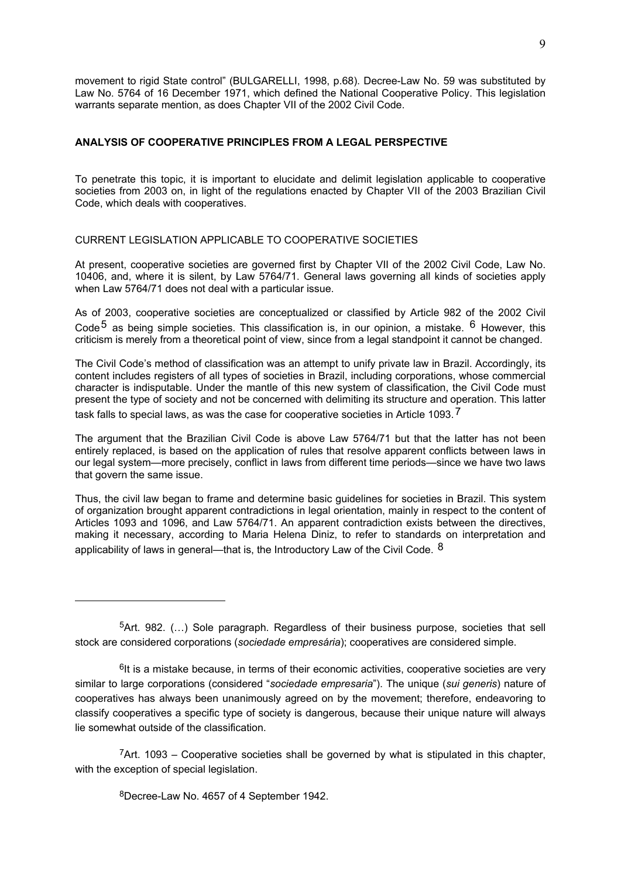movement to rigid State control" (BULGARELLI, 1998, p.68). Decree-Law No. 59 was substituted by Law No. 5764 of 16 December 1971, which defined the National Cooperative Policy. This legislation warrants separate mention, as does Chapter VII of the 2002 Civil Code.

## **ANALYSIS OF COOPERATIVE PRINCIPLES FROM A LEGAL PERSPECTIVE**

To penetrate this topic, it is important to elucidate and delimit legislation applicable to cooperative societies from 2003 on, in light of the regulations enacted by Chapter VII of the 2003 Brazilian Civil Code, which deals with cooperatives.

CURRENT LEGISLATION APPLICABLE TO COOPERATIVE SOCIETIES

At present, cooperative societies are governed first by Chapter VII of the 2002 Civil Code, Law No. 10406, and, where it is silent, by Law 5764/71. General laws governing all kinds of societies apply when Law 5764/71 does not deal with a particular issue.

As of 2003, cooperative societies are conceptualized or classified by Article 982 of the 2002 Civil Code<sup>5</sup> as being simple societies. This classification is, in our opinion, a mistake,  $6$  However, this criticism is merely from a theoretical point of view, since from a legal standpoint it cannot be changed.

The Civil Code's method of classification was an attempt to unify private law in Brazil. Accordingly, its content includes registers of all types of societies in Brazil, including corporations, whose commercial character is indisputable. Under the mantle of this new system of classification, the Civil Code must present the type of society and not be concerned with delimiting its structure and operation. This latter task falls to special laws, as was the case for cooperative societies in Article 1093.<sup>7</sup>

The argument that the Brazilian Civil Code is above Law 5764/71 but that the latter has not been entirely replaced, is based on the application of rules that resolve apparent conflicts between laws in our legal system—more precisely, conflict in laws from different time periods—since we have two laws that govern the same issue.

Thus, the civil law began to frame and determine basic guidelines for societies in Brazil. This system of organization brought apparent contradictions in legal orientation, mainly in respect to the content of Articles 1093 and 1096, and Law 5764/71. An apparent contradiction exists between the directives, making it necessary, according to Maria Helena Diniz, to refer to standards on interpretation and applicability of laws in general—that is, the Introductory Law of the Civil Code.  $8$ 

 $7$ Art. 1093 – Cooperative societies shall be governed by what is stipulated in this chapter, with the exception of special legislation.

8Decree-Law No. 4657 of 4 September 1942.

1

 $5$ Art. 982. (...) Sole paragraph. Regardless of their business purpose, societies that sell stock are considered corporations (*sociedade empresária*); cooperatives are considered simple.

 $<sup>6</sup>$ It is a mistake because, in terms of their economic activities, cooperative societies are very</sup> similar to large corporations (considered "*sociedade empresaria*"). The unique (*sui generis*) nature of cooperatives has always been unanimously agreed on by the movement; therefore, endeavoring to classify cooperatives a specific type of society is dangerous, because their unique nature will always lie somewhat outside of the classification.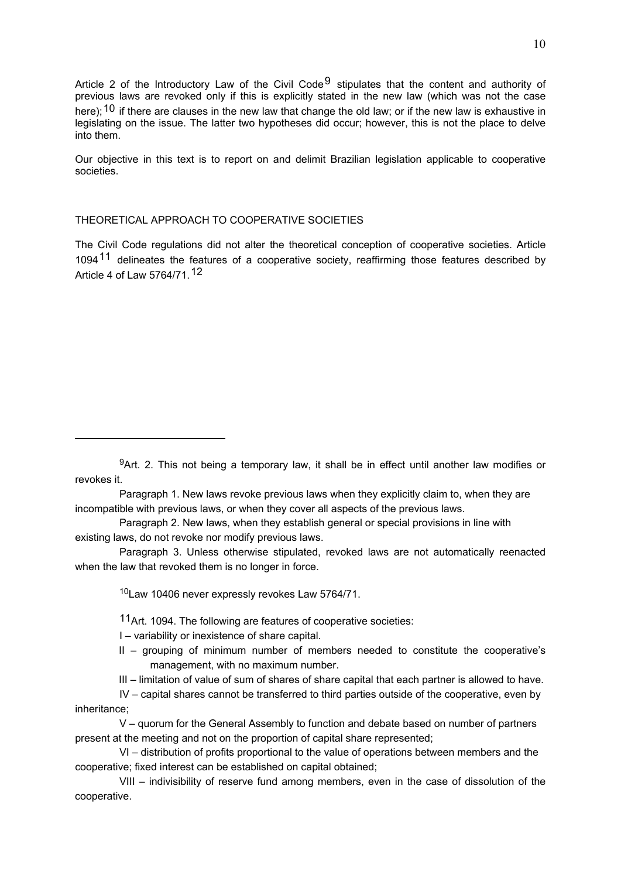Article 2 of the Introductory Law of the Civil Code<sup>9</sup> stipulates that the content and authority of previous laws are revoked only if this is explicitly stated in the new law (which was not the case here);  $10$  if there are clauses in the new law that change the old law; or if the new law is exhaustive in legislating on the issue. The latter two hypotheses did occur; however, this is not the place to delve into them.

Our objective in this text is to report on and delimit Brazilian legislation applicable to cooperative societies.

#### THEORETICAL APPROACH TO COOPERATIVE SOCIETIES

The Civil Code regulations did not alter the theoretical conception of cooperative societies. Article 1094<sup>11</sup> delineates the features of a cooperative society, reaffirming those features described by Article 4 of Law 5764/71.12

Paragraph 1. New laws revoke previous laws when they explicitly claim to, when they are incompatible with previous laws, or when they cover all aspects of the previous laws.

Paragraph 2. New laws, when they establish general or special provisions in line with existing laws, do not revoke nor modify previous laws.

Paragraph 3. Unless otherwise stipulated, revoked laws are not automatically reenacted when the law that revoked them is no longer in force.

10Law 10406 never expressly revokes Law 5764/71.

11Art. 1094. The following are features of cooperative societies:

I – variability or inexistence of share capital.

<u>.</u>

II – grouping of minimum number of members needed to constitute the cooperative's management, with no maximum number.

III – limitation of value of sum of shares of share capital that each partner is allowed to have.

IV – capital shares cannot be transferred to third parties outside of the cooperative, even by inheritance;

V – quorum for the General Assembly to function and debate based on number of partners present at the meeting and not on the proportion of capital share represented;

VI – distribution of profits proportional to the value of operations between members and the cooperative; fixed interest can be established on capital obtained;

VIII – indivisibility of reserve fund among members, even in the case of dissolution of the cooperative.

<sup>9</sup>Art. 2. This not being a temporary law, it shall be in effect until another law modifies or revokes it.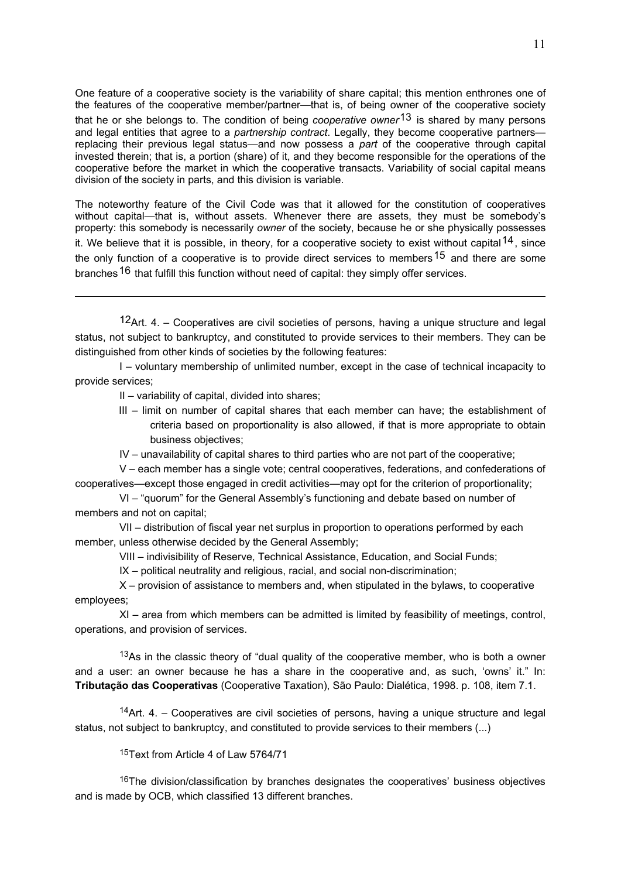One feature of a cooperative society is the variability of share capital; this mention enthrones one of the features of the cooperative member/partner—that is, of being owner of the cooperative society that he or she belongs to. The condition of being *cooperative owner*13 is shared by many persons and legal entities that agree to a *partnership contract*. Legally, they become cooperative partners replacing their previous legal status—and now possess a *part* of the cooperative through capital invested therein; that is, a portion (share) of it, and they become responsible for the operations of the cooperative before the market in which the cooperative transacts. Variability of social capital means division of the society in parts, and this division is variable.

The noteworthy feature of the Civil Code was that it allowed for the constitution of cooperatives without capital—that is, without assets. Whenever there are assets, they must be somebody's property: this somebody is necessarily *owner* of the society, because he or she physically possesses it. We believe that it is possible, in theory, for a cooperative society to exist without capital  $14$ , since the only function of a cooperative is to provide direct services to members<sup>15</sup> and there are some branches<sup>16</sup> that fulfill this function without need of capital: they simply offer services.

12Art. 4. – Cooperatives are civil societies of persons, having a unique structure and legal status, not subject to bankruptcy, and constituted to provide services to their members. They can be distinguished from other kinds of societies by the following features:

I – voluntary membership of unlimited number, except in the case of technical incapacity to provide services;

II – variability of capital, divided into shares;

1

III – limit on number of capital shares that each member can have; the establishment of criteria based on proportionality is also allowed, if that is more appropriate to obtain business objectives;

IV – unavailability of capital shares to third parties who are not part of the cooperative;

V – each member has a single vote; central cooperatives, federations, and confederations of cooperatives—except those engaged in credit activities—may opt for the criterion of proportionality;

VI – "quorum" for the General Assembly's functioning and debate based on number of members and not on capital;

VII – distribution of fiscal year net surplus in proportion to operations performed by each member, unless otherwise decided by the General Assembly;

VIII – indivisibility of Reserve, Technical Assistance, Education, and Social Funds;

IX – political neutrality and religious, racial, and social non-discrimination;

X – provision of assistance to members and, when stipulated in the bylaws, to cooperative employees;

XI – area from which members can be admitted is limited by feasibility of meetings, control, operations, and provision of services.

<sup>13</sup>As in the classic theory of "dual quality of the cooperative member, who is both a owner and a user: an owner because he has a share in the cooperative and, as such, 'owns' it." In: **Tributação das Cooperativas** (Cooperative Taxation), São Paulo: Dialética, 1998. p. 108, item 7.1.

<sup>14</sup>Art.  $4. -$  Cooperatives are civil societies of persons, having a unique structure and legal status, not subject to bankruptcy, and constituted to provide services to their members (...)

15Text from Article 4 of Law 5764/71

<sup>16</sup>The division/classification by branches designates the cooperatives' business objectives and is made by OCB, which classified 13 different branches.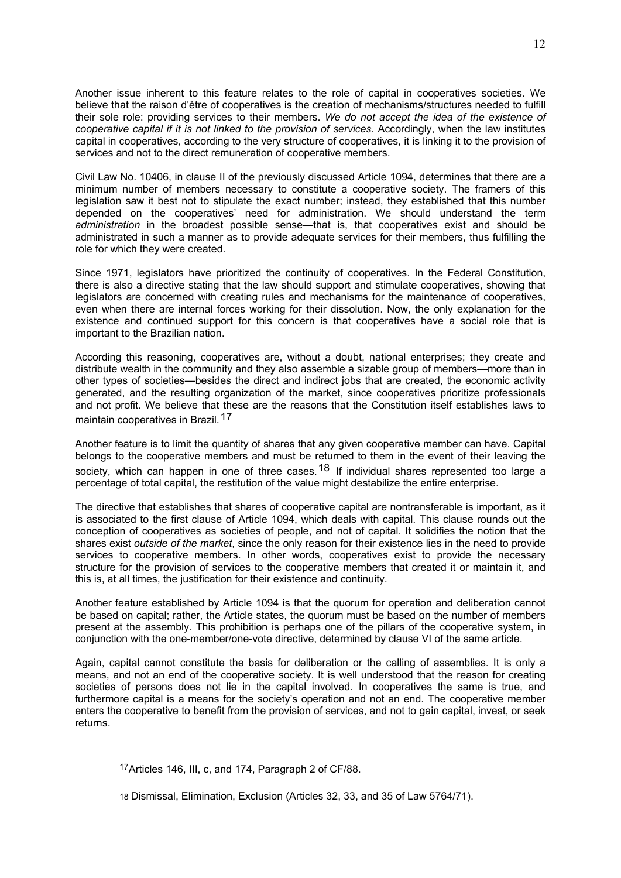Another issue inherent to this feature relates to the role of capital in cooperatives societies. We believe that the raison d'être of cooperatives is the creation of mechanisms/structures needed to fulfill their sole role: providing services to their members. *We do not accept the idea of the existence of cooperative capital if it is not linked to the provision of services*. Accordingly, when the law institutes capital in cooperatives, according to the very structure of cooperatives, it is linking it to the provision of services and not to the direct remuneration of cooperative members.

Civil Law No. 10406, in clause II of the previously discussed Article 1094, determines that there are a minimum number of members necessary to constitute a cooperative society. The framers of this legislation saw it best not to stipulate the exact number; instead, they established that this number depended on the cooperatives' need for administration. We should understand the term *administration* in the broadest possible sense—that is, that cooperatives exist and should be administrated in such a manner as to provide adequate services for their members, thus fulfilling the role for which they were created.

Since 1971, legislators have prioritized the continuity of cooperatives. In the Federal Constitution, there is also a directive stating that the law should support and stimulate cooperatives, showing that legislators are concerned with creating rules and mechanisms for the maintenance of cooperatives, even when there are internal forces working for their dissolution. Now, the only explanation for the existence and continued support for this concern is that cooperatives have a social role that is important to the Brazilian nation.

According this reasoning, cooperatives are, without a doubt, national enterprises; they create and distribute wealth in the community and they also assemble a sizable group of members—more than in other types of societies—besides the direct and indirect jobs that are created, the economic activity generated, and the resulting organization of the market, since cooperatives prioritize professionals and not profit. We believe that these are the reasons that the Constitution itself establishes laws to maintain cooperatives in Brazil.<sup>17</sup>

Another feature is to limit the quantity of shares that any given cooperative member can have. Capital belongs to the cooperative members and must be returned to them in the event of their leaving the society, which can happen in one of three cases.<sup>18</sup> If individual shares represented too large a percentage of total capital, the restitution of the value might destabilize the entire enterprise.

The directive that establishes that shares of cooperative capital are nontransferable is important, as it is associated to the first clause of Article 1094, which deals with capital. This clause rounds out the conception of cooperatives as societies of people, and not of capital. It solidifies the notion that the shares exist *outside of the market*, since the only reason for their existence lies in the need to provide services to cooperative members. In other words, cooperatives exist to provide the necessary structure for the provision of services to the cooperative members that created it or maintain it, and this is, at all times, the justification for their existence and continuity.

Another feature established by Article 1094 is that the quorum for operation and deliberation cannot be based on capital; rather, the Article states, the quorum must be based on the number of members present at the assembly. This prohibition is perhaps one of the pillars of the cooperative system, in conjunction with the one-member/one-vote directive, determined by clause VI of the same article.

Again, capital cannot constitute the basis for deliberation or the calling of assemblies. It is only a means, and not an end of the cooperative society. It is well understood that the reason for creating societies of persons does not lie in the capital involved. In cooperatives the same is true, and furthermore capital is a means for the society's operation and not an end. The cooperative member enters the cooperative to benefit from the provision of services, and not to gain capital, invest, or seek returns.

<u>.</u>

<sup>17</sup>Articles 146, III, c, and 174, Paragraph 2 of CF/88.

<sup>18</sup> Dismissal, Elimination, Exclusion (Articles 32, 33, and 35 of Law 5764/71).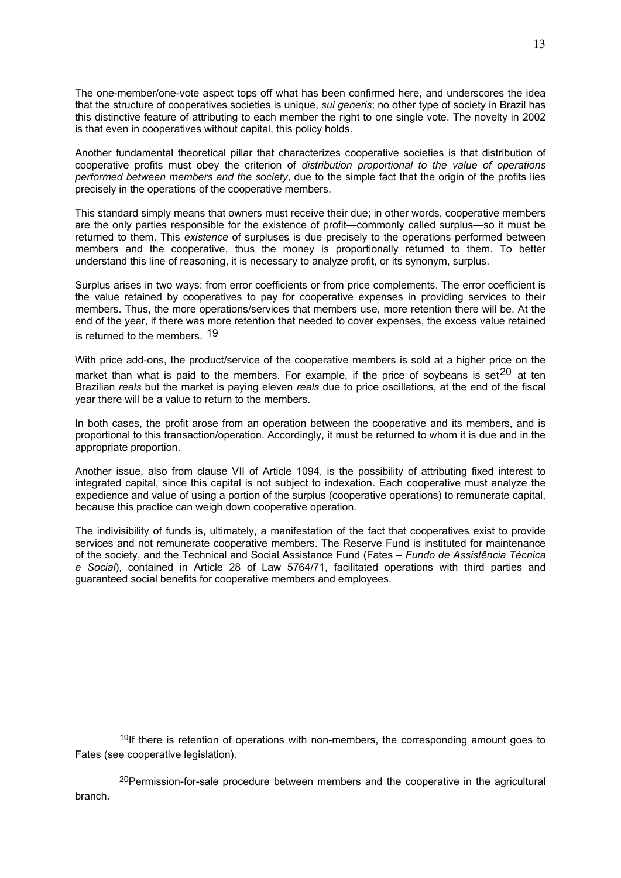The one-member/one-vote aspect tops off what has been confirmed here, and underscores the idea that the structure of cooperatives societies is unique, *sui generis*; no other type of society in Brazil has this distinctive feature of attributing to each member the right to one single vote. The novelty in 2002 is that even in cooperatives without capital, this policy holds.

Another fundamental theoretical pillar that characterizes cooperative societies is that distribution of cooperative profits must obey the criterion of *distribution proportional to the value of operations performed between members and the society*, due to the simple fact that the origin of the profits lies precisely in the operations of the cooperative members.

This standard simply means that owners must receive their due; in other words, cooperative members are the only parties responsible for the existence of profit—commonly called surplus—so it must be returned to them. This *existence* of surpluses is due precisely to the operations performed between members and the cooperative, thus the money is proportionally returned to them. To better understand this line of reasoning, it is necessary to analyze profit, or its synonym, surplus.

Surplus arises in two ways: from error coefficients or from price complements. The error coefficient is the value retained by cooperatives to pay for cooperative expenses in providing services to their members. Thus, the more operations/services that members use, more retention there will be. At the end of the year, if there was more retention that needed to cover expenses, the excess value retained is returned to the members. <sup>19</sup>

With price add-ons, the product/service of the cooperative members is sold at a higher price on the market than what is paid to the members. For example, if the price of soybeans is set<sup>20</sup> at ten Brazilian *reals* but the market is paying eleven *reals* due to price oscillations, at the end of the fiscal year there will be a value to return to the members.

In both cases, the profit arose from an operation between the cooperative and its members, and is proportional to this transaction/operation. Accordingly, it must be returned to whom it is due and in the appropriate proportion.

Another issue, also from clause VII of Article 1094, is the possibility of attributing fixed interest to integrated capital, since this capital is not subject to indexation. Each cooperative must analyze the expedience and value of using a portion of the surplus (cooperative operations) to remunerate capital, because this practice can weigh down cooperative operation.

The indivisibility of funds is, ultimately, a manifestation of the fact that cooperatives exist to provide services and not remunerate cooperative members. The Reserve Fund is instituted for maintenance of the society, and the Technical and Social Assistance Fund (Fates – *Fundo de Assistência Técnica e Social*), contained in Article 28 of Law 5764/71, facilitated operations with third parties and guaranteed social benefits for cooperative members and employees.

1

<sup>&</sup>lt;sup>19</sup>If there is retention of operations with non-members, the corresponding amount goes to Fates (see cooperative legislation).

<sup>&</sup>lt;sup>20</sup>Permission-for-sale procedure between members and the cooperative in the agricultural branch.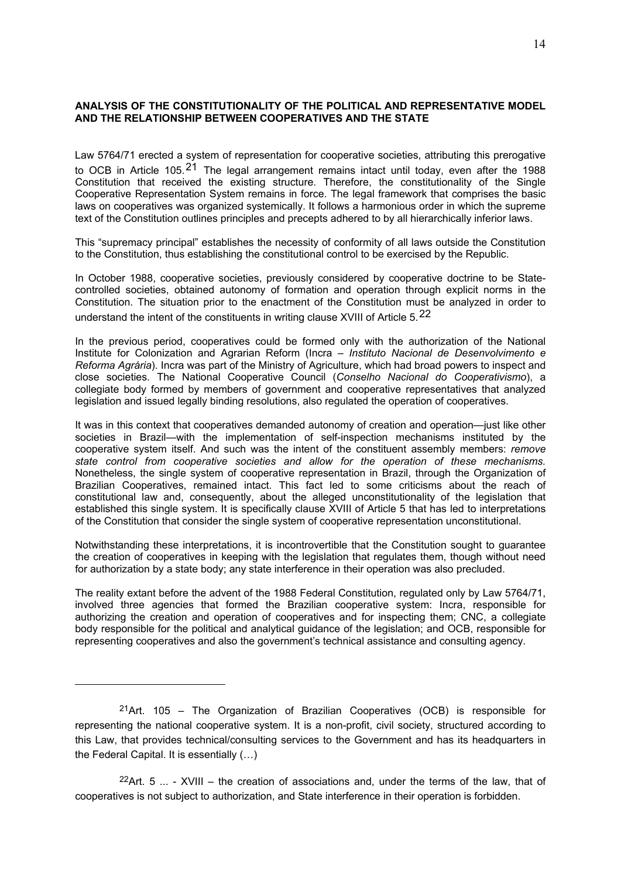## **ANALYSIS OF THE CONSTITUTIONALITY OF THE POLITICAL AND REPRESENTATIVE MODEL AND THE RELATIONSHIP BETWEEN COOPERATIVES AND THE STATE**

Law 5764/71 erected a system of representation for cooperative societies, attributing this prerogative to OCB in Article 105.<sup>21</sup> The legal arrangement remains intact until today, even after the 1988 Constitution that received the existing structure. Therefore, the constitutionality of the Single Cooperative Representation System remains in force. The legal framework that comprises the basic laws on cooperatives was organized systemically. It follows a harmonious order in which the supreme text of the Constitution outlines principles and precepts adhered to by all hierarchically inferior laws.

This "supremacy principal" establishes the necessity of conformity of all laws outside the Constitution to the Constitution, thus establishing the constitutional control to be exercised by the Republic.

In October 1988, cooperative societies, previously considered by cooperative doctrine to be Statecontrolled societies, obtained autonomy of formation and operation through explicit norms in the Constitution. The situation prior to the enactment of the Constitution must be analyzed in order to understand the intent of the constituents in writing clause XVIII of Article 5.22

In the previous period, cooperatives could be formed only with the authorization of the National Institute for Colonization and Agrarian Reform (Incra – *Instituto Nacional de Desenvolvimento e Reforma Agrária*). Incra was part of the Ministry of Agriculture, which had broad powers to inspect and close societies. The National Cooperative Council (*Conselho Nacional do Cooperativismo*), a collegiate body formed by members of government and cooperative representatives that analyzed legislation and issued legally binding resolutions, also regulated the operation of cooperatives.

It was in this context that cooperatives demanded autonomy of creation and operation—just like other societies in Brazil—with the implementation of self-inspection mechanisms instituted by the cooperative system itself. And such was the intent of the constituent assembly members: *remove state control from cooperative societies and allow for the operation of these mechanisms.*  Nonetheless, the single system of cooperative representation in Brazil, through the Organization of Brazilian Cooperatives, remained intact. This fact led to some criticisms about the reach of constitutional law and, consequently, about the alleged unconstitutionality of the legislation that established this single system. It is specifically clause XVIII of Article 5 that has led to interpretations of the Constitution that consider the single system of cooperative representation unconstitutional.

Notwithstanding these interpretations, it is incontrovertible that the Constitution sought to guarantee the creation of cooperatives in keeping with the legislation that regulates them, though without need for authorization by a state body; any state interference in their operation was also precluded.

The reality extant before the advent of the 1988 Federal Constitution, regulated only by Law 5764/71, involved three agencies that formed the Brazilian cooperative system: Incra, responsible for authorizing the creation and operation of cooperatives and for inspecting them; CNC, a collegiate body responsible for the political and analytical guidance of the legislation; and OCB, responsible for representing cooperatives and also the government's technical assistance and consulting agency.

1

<sup>22</sup>Art. 5  $\ldots$  - XVIII – the creation of associations and, under the terms of the law, that of cooperatives is not subject to authorization, and State interference in their operation is forbidden.

<sup>&</sup>lt;sup>21</sup>Art. 105 – The Organization of Brazilian Cooperatives (OCB) is responsible for representing the national cooperative system. It is a non-profit, civil society, structured according to this Law, that provides technical/consulting services to the Government and has its headquarters in the Federal Capital. It is essentially (…)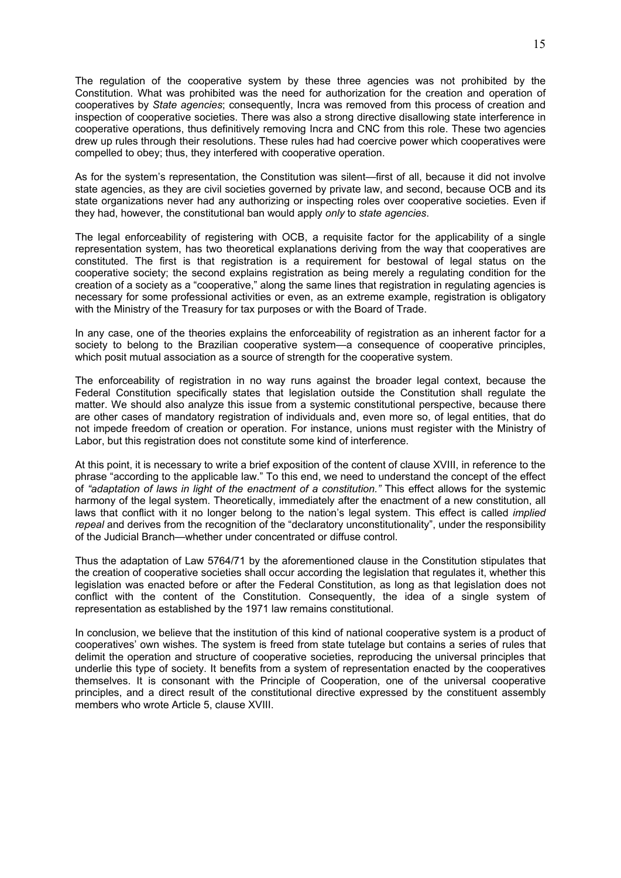The regulation of the cooperative system by these three agencies was not prohibited by the Constitution. What was prohibited was the need for authorization for the creation and operation of cooperatives by *State agencies*; consequently, Incra was removed from this process of creation and inspection of cooperative societies. There was also a strong directive disallowing state interference in cooperative operations, thus definitively removing Incra and CNC from this role. These two agencies drew up rules through their resolutions. These rules had had coercive power which cooperatives were compelled to obey; thus, they interfered with cooperative operation.

As for the system's representation, the Constitution was silent—first of all, because it did not involve state agencies, as they are civil societies governed by private law, and second, because OCB and its state organizations never had any authorizing or inspecting roles over cooperative societies. Even if they had, however, the constitutional ban would apply *only* to *state agencies*.

The legal enforceability of registering with OCB, a requisite factor for the applicability of a single representation system, has two theoretical explanations deriving from the way that cooperatives are constituted. The first is that registration is a requirement for bestowal of legal status on the cooperative society; the second explains registration as being merely a regulating condition for the creation of a society as a "cooperative," along the same lines that registration in regulating agencies is necessary for some professional activities or even, as an extreme example, registration is obligatory with the Ministry of the Treasury for tax purposes or with the Board of Trade.

In any case, one of the theories explains the enforceability of registration as an inherent factor for a society to belong to the Brazilian cooperative system—a consequence of cooperative principles, which posit mutual association as a source of strength for the cooperative system.

The enforceability of registration in no way runs against the broader legal context, because the Federal Constitution specifically states that legislation outside the Constitution shall regulate the matter. We should also analyze this issue from a systemic constitutional perspective, because there are other cases of mandatory registration of individuals and, even more so, of legal entities, that do not impede freedom of creation or operation. For instance, unions must register with the Ministry of Labor, but this registration does not constitute some kind of interference.

At this point, it is necessary to write a brief exposition of the content of clause XVIII, in reference to the phrase "according to the applicable law." To this end, we need to understand the concept of the effect of *"adaptation of laws in light of the enactment of a constitution."* This effect allows for the systemic harmony of the legal system. Theoretically, immediately after the enactment of a new constitution, all laws that conflict with it no longer belong to the nation's legal system. This effect is called *implied repeal* and derives from the recognition of the "declaratory unconstitutionality", under the responsibility of the Judicial Branch—whether under concentrated or diffuse control.

Thus the adaptation of Law 5764/71 by the aforementioned clause in the Constitution stipulates that the creation of cooperative societies shall occur according the legislation that regulates it, whether this legislation was enacted before or after the Federal Constitution, as long as that legislation does not conflict with the content of the Constitution. Consequently, the idea of a single system of representation as established by the 1971 law remains constitutional.

In conclusion, we believe that the institution of this kind of national cooperative system is a product of cooperatives' own wishes. The system is freed from state tutelage but contains a series of rules that delimit the operation and structure of cooperative societies, reproducing the universal principles that underlie this type of society. It benefits from a system of representation enacted by the cooperatives themselves. It is consonant with the Principle of Cooperation, one of the universal cooperative principles, and a direct result of the constitutional directive expressed by the constituent assembly members who wrote Article 5, clause XVIII.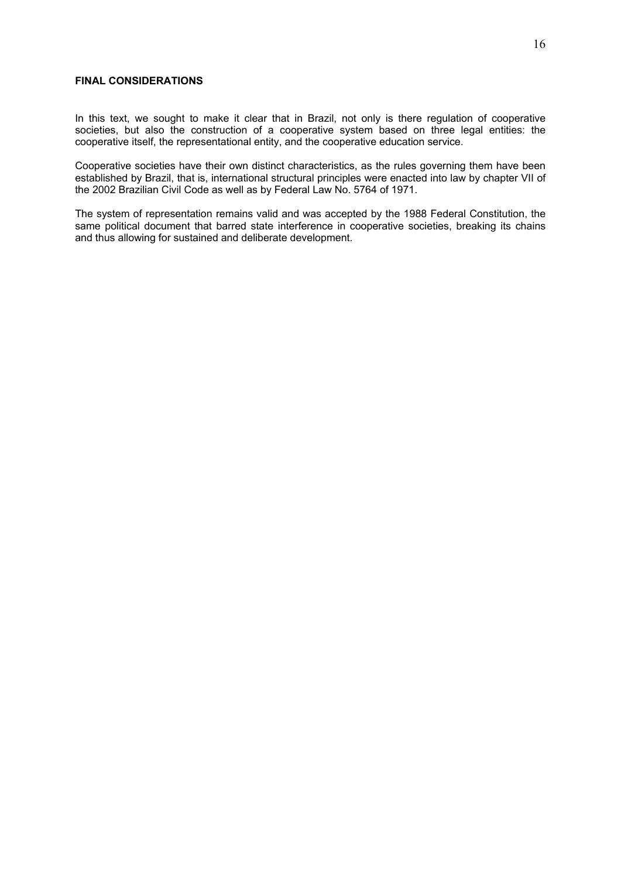## **FINAL CONSIDERATIONS**

In this text, we sought to make it clear that in Brazil, not only is there regulation of cooperative societies, but also the construction of a cooperative system based on three legal entities: the cooperative itself, the representational entity, and the cooperative education service.

Cooperative societies have their own distinct characteristics, as the rules governing them have been established by Brazil, that is, international structural principles were enacted into law by chapter VII of the 2002 Brazilian Civil Code as well as by Federal Law No. 5764 of 1971.

The system of representation remains valid and was accepted by the 1988 Federal Constitution, the same political document that barred state interference in cooperative societies, breaking its chains and thus allowing for sustained and deliberate development.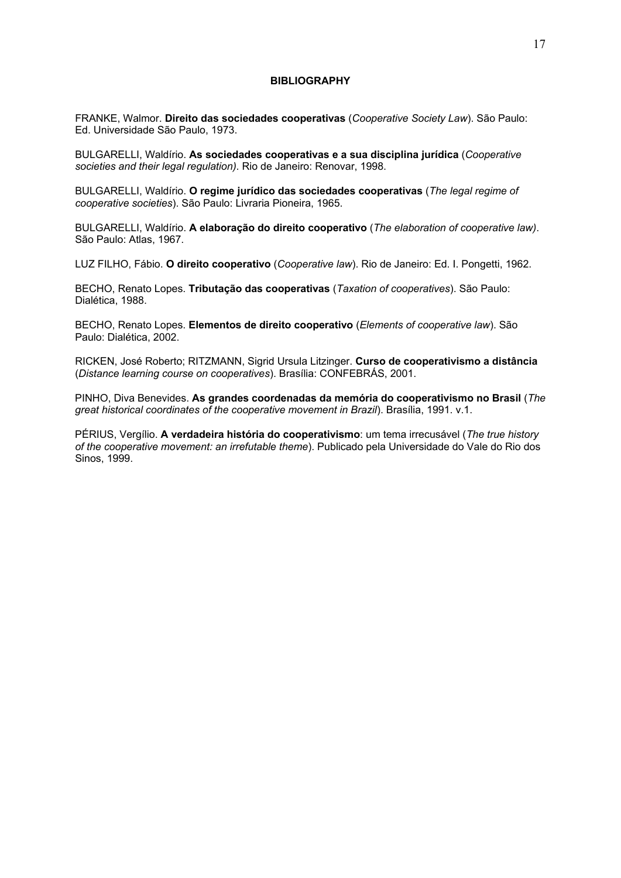#### **BIBLIOGRAPHY**

FRANKE, Walmor. **Direito das sociedades cooperativas** (*Cooperative Society Law*). São Paulo: Ed. Universidade São Paulo, 1973.

BULGARELLI, Waldírio. **As sociedades cooperativas e a sua disciplina jurídica** (*Cooperative societies and their legal regulation)*. Rio de Janeiro: Renovar, 1998.

BULGARELLI, Waldírio. **O regime jurídico das sociedades cooperativas** (*The legal regime of cooperative societies*). São Paulo: Livraria Pioneira, 1965.

BULGARELLI, Waldírio. **A elaboração do direito cooperativo** (*The elaboration of cooperative law)*. São Paulo: Atlas, 1967.

LUZ FILHO, Fábio. **O direito cooperativo** (*Cooperative law*). Rio de Janeiro: Ed. I. Pongetti, 1962.

BECHO, Renato Lopes. **Tributação das cooperativas** (*Taxation of cooperatives*). São Paulo: Dialética, 1988.

BECHO, Renato Lopes. **Elementos de direito cooperativo** (*Elements of cooperative law*). São Paulo: Dialética, 2002.

RICKEN, José Roberto; RITZMANN, Sigrid Ursula Litzinger. **Curso de cooperativismo a distância** (*Distance learning course on cooperatives*). Brasília: CONFEBRÁS, 2001.

PINHO, Diva Benevides. **As grandes coordenadas da memória do cooperativismo no Brasil** (*The great historical coordinates of the cooperative movement in Brazil*). Brasília, 1991. v.1.

PÉRIUS, Vergílio. **A verdadeira história do cooperativismo**: um tema irrecusável (*The true history of the cooperative movement: an irrefutable theme*). Publicado pela Universidade do Vale do Rio dos Sinos, 1999.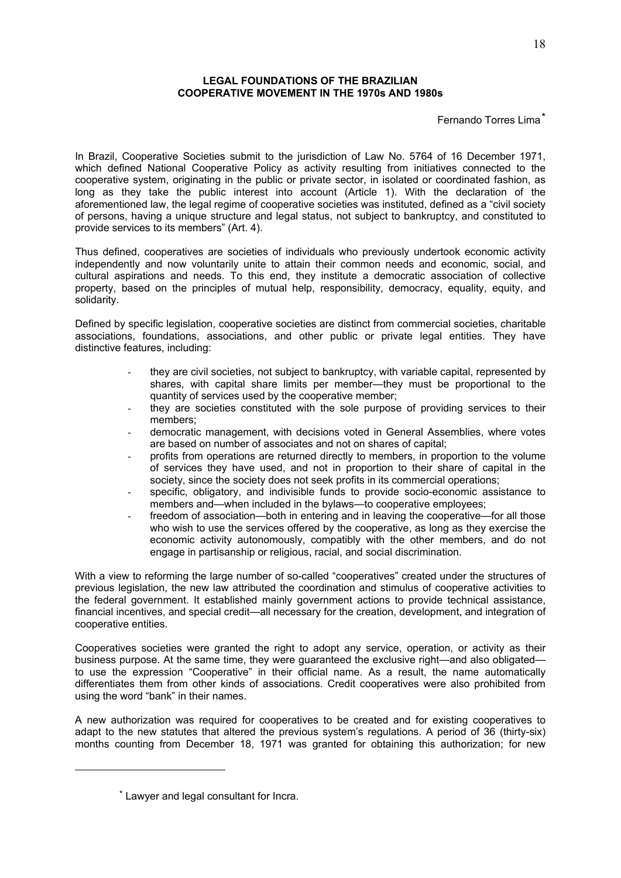## **LEGAL FOUNDATIONS OF THE BRAZILIAN COOPERATIVE MOVEMENT IN THE 1970s AND 1980s**

## Fernando Torres Lima\*

In Brazil, Cooperative Societies submit to the jurisdiction of Law No. 5764 of 16 December 1971, which defined National Cooperative Policy as activity resulting from initiatives connected to the cooperative system, originating in the public or private sector, in isolated or coordinated fashion, as long as they take the public interest into account (Article 1). With the declaration of the aforementioned law, the legal regime of cooperative societies was instituted, defined as a "civil society of persons, having a unique structure and legal status, not subject to bankruptcy, and constituted to provide services to its members" (Art. 4).

Thus defined, cooperatives are societies of individuals who previously undertook economic activity independently and now voluntarily unite to attain their common needs and economic, social, and cultural aspirations and needs. To this end, they institute a democratic association of collective property, based on the principles of mutual help, responsibility, democracy, equality, equity, and solidarity.

Defined by specific legislation, cooperative societies are distinct from commercial societies, charitable associations, foundations, associations, and other public or private legal entities. They have distinctive features, including:

- they are civil societies, not subject to bankruptcy, with variable capital, represented by shares, with capital share limits per member—they must be proportional to the quantity of services used by the cooperative member;
- they are societies constituted with the sole purpose of providing services to their members;
- democratic management, with decisions voted in General Assemblies, where votes are based on number of associates and not on shares of capital;
- profits from operations are returned directly to members, in proportion to the volume of services they have used, and not in proportion to their share of capital in the society, since the society does not seek profits in its commercial operations;
- specific, obligatory, and indivisible funds to provide socio-economic assistance to members and—when included in the bylaws—to cooperative employees;
- freedom of association—both in entering and in leaving the cooperative—for all those who wish to use the services offered by the cooperative, as long as they exercise the economic activity autonomously, compatibly with the other members, and do not engage in partisanship or religious, racial, and social discrimination.

With a view to reforming the large number of so-called "cooperatives" created under the structures of previous legislation, the new law attributed the coordination and stimulus of cooperative activities to the federal government. It established mainly government actions to provide technical assistance, financial incentives, and special credit—all necessary for the creation, development, and integration of cooperative entities.

Cooperatives societies were granted the right to adopt any service, operation, or activity as their business purpose. At the same time, they were guaranteed the exclusive right—and also obligated to use the expression "Cooperative" in their official name. As a result, the name automatically differentiates them from other kinds of associations. Credit cooperatives were also prohibited from using the word "bank" in their names.

A new authorization was required for cooperatives to be created and for existing cooperatives to adapt to the new statutes that altered the previous system's regulations. A period of 36 (thirty-six) months counting from December 18, 1971 was granted for obtaining this authorization; for new

1

<sup>\*</sup> Lawyer and legal consultant for Incra.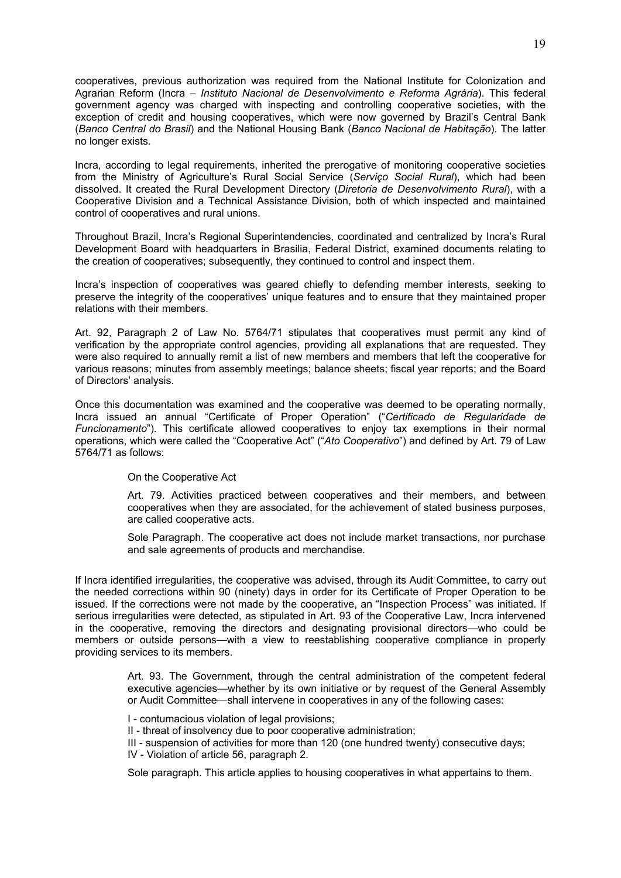cooperatives, previous authorization was required from the National Institute for Colonization and Agrarian Reform (Incra – *Instituto Nacional de Desenvolvimento e Reforma Agrária*). This federal government agency was charged with inspecting and controlling cooperative societies, with the exception of credit and housing cooperatives, which were now governed by Brazil's Central Bank (*Banco Central do Brasil*) and the National Housing Bank (*Banco Nacional de Habitação*). The latter no longer exists.

Incra, according to legal requirements, inherited the prerogative of monitoring cooperative societies from the Ministry of Agriculture's Rural Social Service (*Serviço Social Rural*), which had been dissolved. It created the Rural Development Directory (*Diretoria de Desenvolvimento Rural*), with a Cooperative Division and a Technical Assistance Division, both of which inspected and maintained control of cooperatives and rural unions.

Throughout Brazil, Incra's Regional Superintendencies, coordinated and centralized by Incra's Rural Development Board with headquarters in Brasilia, Federal District, examined documents relating to the creation of cooperatives; subsequently, they continued to control and inspect them.

Incra's inspection of cooperatives was geared chiefly to defending member interests, seeking to preserve the integrity of the cooperatives' unique features and to ensure that they maintained proper relations with their members.

Art. 92, Paragraph 2 of Law No. 5764/71 stipulates that cooperatives must permit any kind of verification by the appropriate control agencies, providing all explanations that are requested. They were also required to annually remit a list of new members and members that left the cooperative for various reasons; minutes from assembly meetings; balance sheets; fiscal year reports; and the Board of Directors' analysis.

Once this documentation was examined and the cooperative was deemed to be operating normally, Incra issued an annual "Certificate of Proper Operation" ("*Certificado de Regularidade de Funcionamento*"). This certificate allowed cooperatives to enjoy tax exemptions in their normal operations, which were called the "Cooperative Act" ("*Ato Cooperativo*") and defined by Art. 79 of Law 5764/71 as follows:

#### On the Cooperative Act

Art. 79. Activities practiced between cooperatives and their members, and between cooperatives when they are associated, for the achievement of stated business purposes, are called cooperative acts.

Sole Paragraph. The cooperative act does not include market transactions, nor purchase and sale agreements of products and merchandise.

If Incra identified irregularities, the cooperative was advised, through its Audit Committee, to carry out the needed corrections within 90 (ninety) days in order for its Certificate of Proper Operation to be issued. If the corrections were not made by the cooperative, an "Inspection Process" was initiated. If serious irregularities were detected, as stipulated in Art. 93 of the Cooperative Law, Incra intervened in the cooperative, removing the directors and designating provisional directors—who could be members or outside persons—with a view to reestablishing cooperative compliance in properly providing services to its members.

> Art. 93. The Government, through the central administration of the competent federal executive agencies—whether by its own initiative or by request of the General Assembly or Audit Committee—shall intervene in cooperatives in any of the following cases:

I - contumacious violation of legal provisions;

II - threat of insolvency due to poor cooperative administration;

III - suspension of activities for more than 120 (one hundred twenty) consecutive days; IV - Violation of article 56, paragraph 2.

Sole paragraph. This article applies to housing cooperatives in what appertains to them.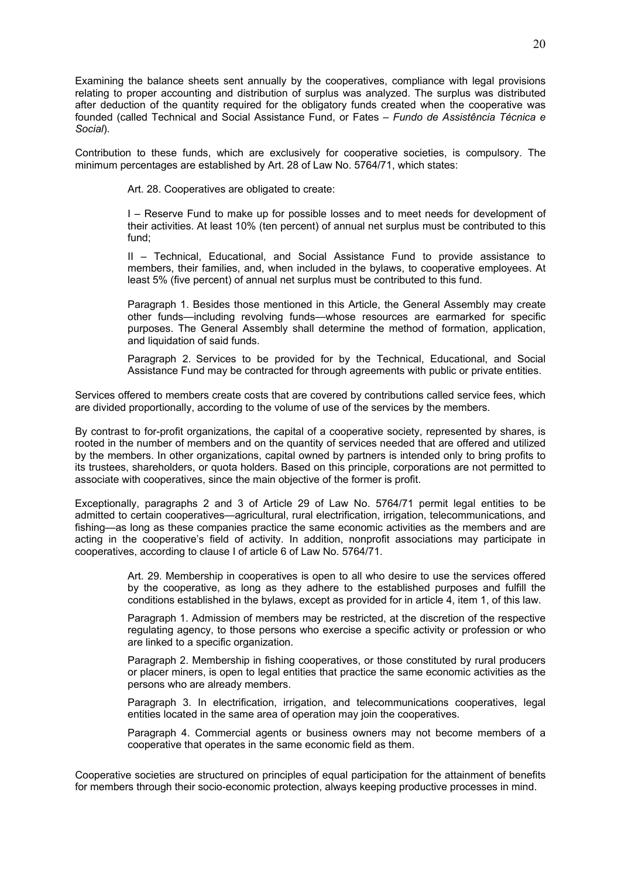Examining the balance sheets sent annually by the cooperatives, compliance with legal provisions relating to proper accounting and distribution of surplus was analyzed. The surplus was distributed after deduction of the quantity required for the obligatory funds created when the cooperative was founded (called Technical and Social Assistance Fund, or Fates – *Fundo de Assistência Técnica e Social*).

Contribution to these funds, which are exclusively for cooperative societies, is compulsory. The minimum percentages are established by Art. 28 of Law No. 5764/71, which states:

Art. 28. Cooperatives are obligated to create:

I – Reserve Fund to make up for possible losses and to meet needs for development of their activities. At least 10% (ten percent) of annual net surplus must be contributed to this fund;

II – Technical, Educational, and Social Assistance Fund to provide assistance to members, their families, and, when included in the bylaws, to cooperative employees. At least 5% (five percent) of annual net surplus must be contributed to this fund.

Paragraph 1. Besides those mentioned in this Article, the General Assembly may create other funds—including revolving funds—whose resources are earmarked for specific purposes. The General Assembly shall determine the method of formation, application, and liquidation of said funds.

Paragraph 2. Services to be provided for by the Technical, Educational, and Social Assistance Fund may be contracted for through agreements with public or private entities.

Services offered to members create costs that are covered by contributions called service fees, which are divided proportionally, according to the volume of use of the services by the members.

By contrast to for-profit organizations, the capital of a cooperative society, represented by shares, is rooted in the number of members and on the quantity of services needed that are offered and utilized by the members. In other organizations, capital owned by partners is intended only to bring profits to its trustees, shareholders, or quota holders. Based on this principle, corporations are not permitted to associate with cooperatives, since the main objective of the former is profit.

Exceptionally, paragraphs 2 and 3 of Article 29 of Law No. 5764/71 permit legal entities to be admitted to certain cooperatives—agricultural, rural electrification, irrigation, telecommunications, and fishing—as long as these companies practice the same economic activities as the members and are acting in the cooperative's field of activity. In addition, nonprofit associations may participate in cooperatives, according to clause I of article 6 of Law No. 5764/71.

> Art. 29. Membership in cooperatives is open to all who desire to use the services offered by the cooperative, as long as they adhere to the established purposes and fulfill the conditions established in the bylaws, except as provided for in article 4, item 1, of this law.

> Paragraph 1. Admission of members may be restricted, at the discretion of the respective regulating agency, to those persons who exercise a specific activity or profession or who are linked to a specific organization.

> Paragraph 2. Membership in fishing cooperatives, or those constituted by rural producers or placer miners, is open to legal entities that practice the same economic activities as the persons who are already members.

> Paragraph 3. In electrification, irrigation, and telecommunications cooperatives, legal entities located in the same area of operation may join the cooperatives.

> Paragraph 4. Commercial agents or business owners may not become members of a cooperative that operates in the same economic field as them.

Cooperative societies are structured on principles of equal participation for the attainment of benefits for members through their socio-economic protection, always keeping productive processes in mind.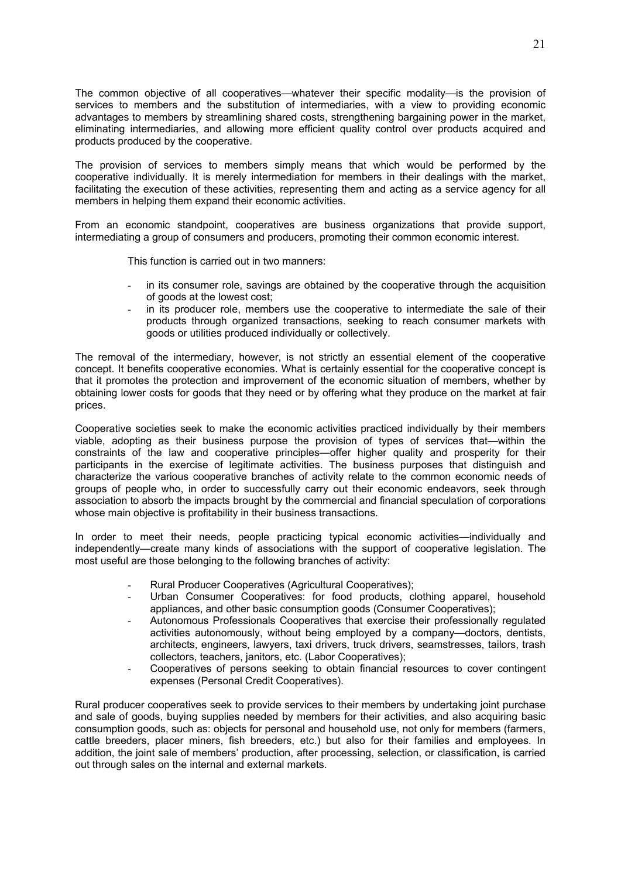The common objective of all cooperatives—whatever their specific modality—is the provision of services to members and the substitution of intermediaries, with a view to providing economic advantages to members by streamlining shared costs, strengthening bargaining power in the market, eliminating intermediaries, and allowing more efficient quality control over products acquired and products produced by the cooperative.

The provision of services to members simply means that which would be performed by the cooperative individually. It is merely intermediation for members in their dealings with the market, facilitating the execution of these activities, representing them and acting as a service agency for all members in helping them expand their economic activities.

From an economic standpoint, cooperatives are business organizations that provide support, intermediating a group of consumers and producers, promoting their common economic interest.

This function is carried out in two manners:

- in its consumer role, savings are obtained by the cooperative through the acquisition of goods at the lowest cost;
- in its producer role, members use the cooperative to intermediate the sale of their products through organized transactions, seeking to reach consumer markets with goods or utilities produced individually or collectively.

The removal of the intermediary, however, is not strictly an essential element of the cooperative concept. It benefits cooperative economies. What is certainly essential for the cooperative concept is that it promotes the protection and improvement of the economic situation of members, whether by obtaining lower costs for goods that they need or by offering what they produce on the market at fair prices.

Cooperative societies seek to make the economic activities practiced individually by their members viable, adopting as their business purpose the provision of types of services that—within the constraints of the law and cooperative principles—offer higher quality and prosperity for their participants in the exercise of legitimate activities. The business purposes that distinguish and characterize the various cooperative branches of activity relate to the common economic needs of groups of people who, in order to successfully carry out their economic endeavors, seek through association to absorb the impacts brought by the commercial and financial speculation of corporations whose main objective is profitability in their business transactions.

In order to meet their needs, people practicing typical economic activities—individually and independently—create many kinds of associations with the support of cooperative legislation. The most useful are those belonging to the following branches of activity:

- Rural Producer Cooperatives (Agricultural Cooperatives);
- Urban Consumer Cooperatives: for food products, clothing apparel, household appliances, and other basic consumption goods (Consumer Cooperatives);
- Autonomous Professionals Cooperatives that exercise their professionally regulated activities autonomously, without being employed by a company—doctors, dentists, architects, engineers, lawyers, taxi drivers, truck drivers, seamstresses, tailors, trash collectors, teachers, janitors, etc. (Labor Cooperatives);
- Cooperatives of persons seeking to obtain financial resources to cover contingent expenses (Personal Credit Cooperatives).

Rural producer cooperatives seek to provide services to their members by undertaking joint purchase and sale of goods, buying supplies needed by members for their activities, and also acquiring basic consumption goods, such as: objects for personal and household use, not only for members (farmers, cattle breeders, placer miners, fish breeders, etc.) but also for their families and employees. In addition, the joint sale of members' production, after processing, selection, or classification, is carried out through sales on the internal and external markets.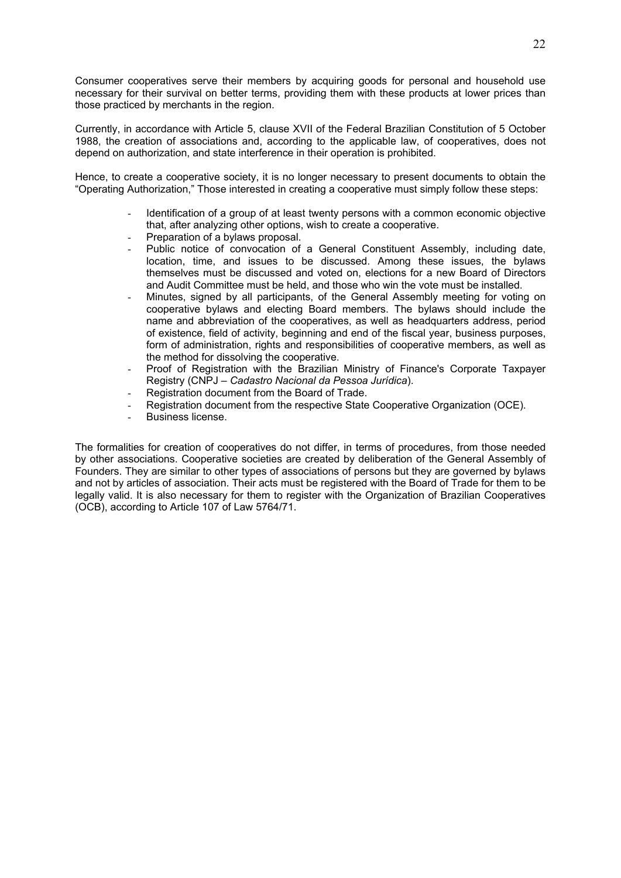Consumer cooperatives serve their members by acquiring goods for personal and household use necessary for their survival on better terms, providing them with these products at lower prices than those practiced by merchants in the region.

Currently, in accordance with Article 5, clause XVII of the Federal Brazilian Constitution of 5 October 1988, the creation of associations and, according to the applicable law, of cooperatives, does not depend on authorization, and state interference in their operation is prohibited.

Hence, to create a cooperative society, it is no longer necessary to present documents to obtain the "Operating Authorization," Those interested in creating a cooperative must simply follow these steps:

- Identification of a group of at least twenty persons with a common economic objective that, after analyzing other options, wish to create a cooperative.
- Preparation of a bylaws proposal.
- Public notice of convocation of a General Constituent Assembly, including date, location, time, and issues to be discussed. Among these issues, the bylaws themselves must be discussed and voted on, elections for a new Board of Directors and Audit Committee must be held, and those who win the vote must be installed.
- Minutes, signed by all participants, of the General Assembly meeting for voting on cooperative bylaws and electing Board members. The bylaws should include the name and abbreviation of the cooperatives, as well as headquarters address, period of existence, field of activity, beginning and end of the fiscal year, business purposes, form of administration, rights and responsibilities of cooperative members, as well as the method for dissolving the cooperative.
- Proof of Registration with the Brazilian Ministry of Finance's Corporate Taxpayer Registry (CNPJ – *Cadastro Nacional da Pessoa Jurídica*).
- Registration document from the Board of Trade.
- Registration document from the respective State Cooperative Organization (OCE).
- Business license.

The formalities for creation of cooperatives do not differ, in terms of procedures, from those needed by other associations. Cooperative societies are created by deliberation of the General Assembly of Founders. They are similar to other types of associations of persons but they are governed by bylaws and not by articles of association. Their acts must be registered with the Board of Trade for them to be legally valid. It is also necessary for them to register with the Organization of Brazilian Cooperatives (OCB), according to Article 107 of Law 5764/71.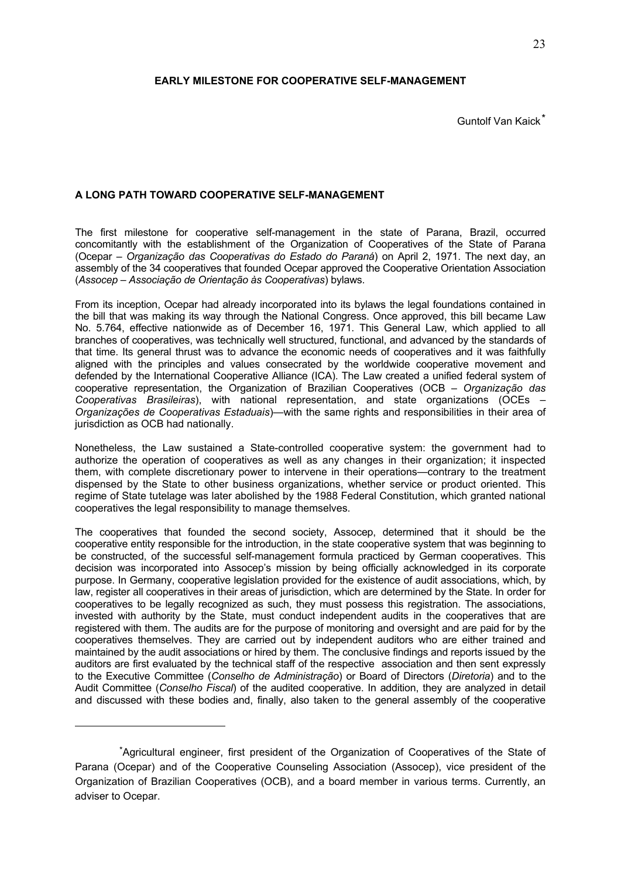## **EARLY MILESTONE FOR COOPERATIVE SELF-MANAGEMENT**

Guntolf Van Kaick\*

## **A LONG PATH TOWARD COOPERATIVE SELF-MANAGEMENT**

The first milestone for cooperative self-management in the state of Parana, Brazil, occurred concomitantly with the establishment of the Organization of Cooperatives of the State of Parana (Ocepar – *Organização das Cooperativas do Estado do Paraná*) on April 2, 1971. The next day, an assembly of the 34 cooperatives that founded Ocepar approved the Cooperative Orientation Association (*Assocep – Associação de Orientação às Cooperativas*) bylaws.

From its inception, Ocepar had already incorporated into its bylaws the legal foundations contained in the bill that was making its way through the National Congress. Once approved, this bill became Law No. 5.764, effective nationwide as of December 16, 1971. This General Law, which applied to all branches of cooperatives, was technically well structured, functional, and advanced by the standards of that time. Its general thrust was to advance the economic needs of cooperatives and it was faithfully aligned with the principles and values consecrated by the worldwide cooperative movement and defended by the International Cooperative Alliance (ICA). The Law created a unified federal system of cooperative representation, the Organization of Brazilian Cooperatives (OCB *– Organização das Cooperativas Brasileiras*), with national representation, and state organizations (OCEs *– Organizações de Cooperativas Estaduais*)—with the same rights and responsibilities in their area of jurisdiction as OCB had nationally.

Nonetheless, the Law sustained a State-controlled cooperative system: the government had to authorize the operation of cooperatives as well as any changes in their organization; it inspected them, with complete discretionary power to intervene in their operations—contrary to the treatment dispensed by the State to other business organizations, whether service or product oriented. This regime of State tutelage was later abolished by the 1988 Federal Constitution, which granted national cooperatives the legal responsibility to manage themselves.

The cooperatives that founded the second society, Assocep, determined that it should be the cooperative entity responsible for the introduction, in the state cooperative system that was beginning to be constructed, of the successful self-management formula practiced by German cooperatives. This decision was incorporated into Assocep's mission by being officially acknowledged in its corporate purpose. In Germany, cooperative legislation provided for the existence of audit associations, which, by law, register all cooperatives in their areas of jurisdiction, which are determined by the State. In order for cooperatives to be legally recognized as such, they must possess this registration. The associations, invested with authority by the State, must conduct independent audits in the cooperatives that are registered with them. The audits are for the purpose of monitoring and oversight and are paid for by the cooperatives themselves. They are carried out by independent auditors who are either trained and maintained by the audit associations or hired by them. The conclusive findings and reports issued by the auditors are first evaluated by the technical staff of the respective association and then sent expressly to the Executive Committee (*Conselho de Administração*) or Board of Directors (*Diretoria*) and to the Audit Committee (*Conselho Fiscal*) of the audited cooperative. In addition, they are analyzed in detail and discussed with these bodies and, finally, also taken to the general assembly of the cooperative

1

<sup>\*</sup>Agricultural engineer, first president of the Organization of Cooperatives of the State of Parana (Ocepar) and of the Cooperative Counseling Association (Assocep), vice president of the Organization of Brazilian Cooperatives (OCB), and a board member in various terms. Currently, an adviser to Ocepar.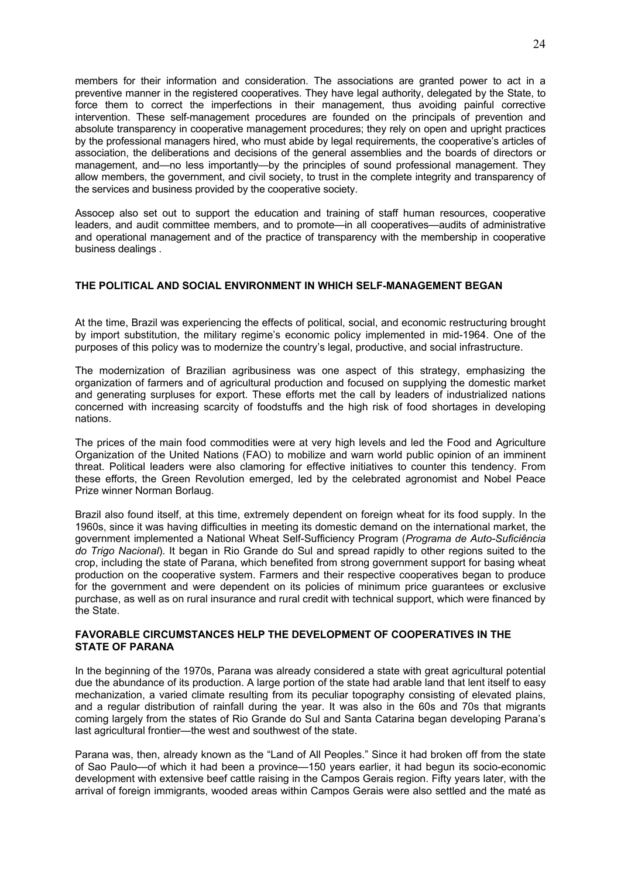members for their information and consideration. The associations are granted power to act in a preventive manner in the registered cooperatives. They have legal authority, delegated by the State, to force them to correct the imperfections in their management, thus avoiding painful corrective intervention. These self-management procedures are founded on the principals of prevention and absolute transparency in cooperative management procedures; they rely on open and upright practices by the professional managers hired, who must abide by legal requirements, the cooperative's articles of association, the deliberations and decisions of the general assemblies and the boards of directors or management, and—no less importantly—by the principles of sound professional management. They allow members, the government, and civil society, to trust in the complete integrity and transparency of the services and business provided by the cooperative society.

Assocep also set out to support the education and training of staff human resources, cooperative leaders, and audit committee members, and to promote—in all cooperatives—audits of administrative and operational management and of the practice of transparency with the membership in cooperative business dealings .

## **THE POLITICAL AND SOCIAL ENVIRONMENT IN WHICH SELF-MANAGEMENT BEGAN**

At the time, Brazil was experiencing the effects of political, social, and economic restructuring brought by import substitution, the military regime's economic policy implemented in mid-1964. One of the purposes of this policy was to modernize the country's legal, productive, and social infrastructure.

The modernization of Brazilian agribusiness was one aspect of this strategy, emphasizing the organization of farmers and of agricultural production and focused on supplying the domestic market and generating surpluses for export. These efforts met the call by leaders of industrialized nations concerned with increasing scarcity of foodstuffs and the high risk of food shortages in developing nations.

The prices of the main food commodities were at very high levels and led the Food and Agriculture Organization of the United Nations (FAO) to mobilize and warn world public opinion of an imminent threat. Political leaders were also clamoring for effective initiatives to counter this tendency. From these efforts, the Green Revolution emerged, led by the celebrated agronomist and Nobel Peace Prize winner Norman Borlaug.

Brazil also found itself, at this time, extremely dependent on foreign wheat for its food supply. In the 1960s, since it was having difficulties in meeting its domestic demand on the international market, the government implemented a National Wheat Self-Sufficiency Program (*Programa de Auto-Suficiência do Trigo Nacional*). It began in Rio Grande do Sul and spread rapidly to other regions suited to the crop, including the state of Parana, which benefited from strong government support for basing wheat production on the cooperative system. Farmers and their respective cooperatives began to produce for the government and were dependent on its policies of minimum price guarantees or exclusive purchase, as well as on rural insurance and rural credit with technical support, which were financed by the State.

#### **FAVORABLE CIRCUMSTANCES HELP THE DEVELOPMENT OF COOPERATIVES IN THE STATE OF PARANA**

In the beginning of the 1970s, Parana was already considered a state with great agricultural potential due the abundance of its production. A large portion of the state had arable land that lent itself to easy mechanization, a varied climate resulting from its peculiar topography consisting of elevated plains, and a regular distribution of rainfall during the year. It was also in the 60s and 70s that migrants coming largely from the states of Rio Grande do Sul and Santa Catarina began developing Parana's last agricultural frontier—the west and southwest of the state.

Parana was, then, already known as the "Land of All Peoples." Since it had broken off from the state of Sao Paulo—of which it had been a province—150 years earlier, it had begun its socio-economic development with extensive beef cattle raising in the Campos Gerais region. Fifty years later, with the arrival of foreign immigrants, wooded areas within Campos Gerais were also settled and the maté as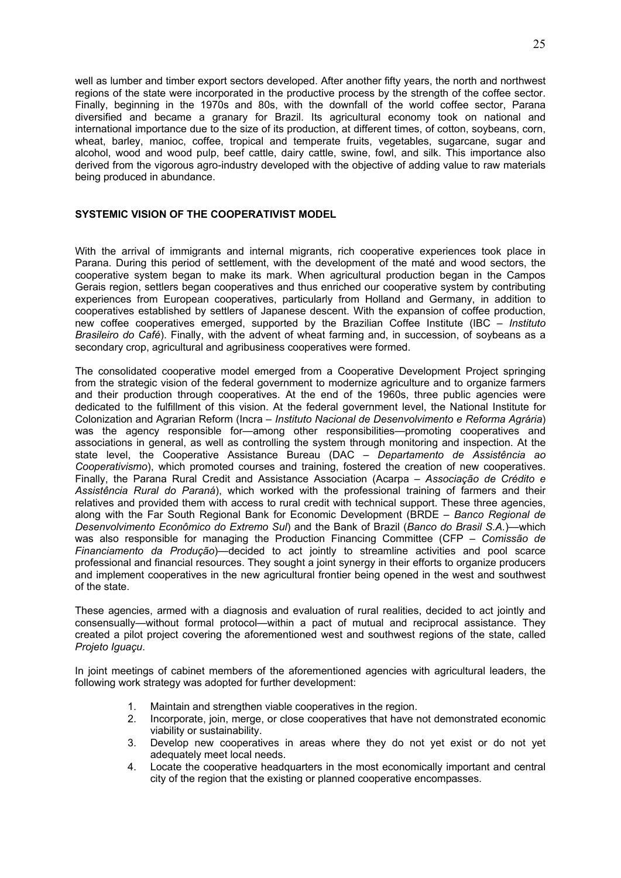well as lumber and timber export sectors developed. After another fifty years, the north and northwest regions of the state were incorporated in the productive process by the strength of the coffee sector. Finally, beginning in the 1970s and 80s, with the downfall of the world coffee sector, Parana diversified and became a granary for Brazil. Its agricultural economy took on national and international importance due to the size of its production, at different times, of cotton, soybeans, corn, wheat, barley, manioc, coffee, tropical and temperate fruits, vegetables, sugarcane, sugar and alcohol, wood and wood pulp, beef cattle, dairy cattle, swine, fowl, and silk. This importance also derived from the vigorous agro-industry developed with the objective of adding value to raw materials being produced in abundance.

## **SYSTEMIC VISION OF THE COOPERATIVIST MODEL**

With the arrival of immigrants and internal migrants, rich cooperative experiences took place in Parana. During this period of settlement, with the development of the maté and wood sectors, the cooperative system began to make its mark. When agricultural production began in the Campos Gerais region, settlers began cooperatives and thus enriched our cooperative system by contributing experiences from European cooperatives, particularly from Holland and Germany, in addition to cooperatives established by settlers of Japanese descent. With the expansion of coffee production, new coffee cooperatives emerged, supported by the Brazilian Coffee Institute (IBC – *Instituto Brasileiro do Café*). Finally, with the advent of wheat farming and, in succession, of soybeans as a secondary crop, agricultural and agribusiness cooperatives were formed.

The consolidated cooperative model emerged from a Cooperative Development Project springing from the strategic vision of the federal government to modernize agriculture and to organize farmers and their production through cooperatives. At the end of the 1960s, three public agencies were dedicated to the fulfillment of this vision. At the federal government level, the National Institute for Colonization and Agrarian Reform (Incra – *Instituto Nacional de Desenvolvimento e Reforma Agrária*) was the agency responsible for—among other responsibilities—promoting cooperatives and associations in general, as well as controlling the system through monitoring and inspection. At the state level, the Cooperative Assistance Bureau (DAC – *Departamento de Assistência ao Cooperativismo*), which promoted courses and training, fostered the creation of new cooperatives. Finally, the Parana Rural Credit and Assistance Association (Acarpa – *Associação de Crédito e Assistência Rural do Paraná*), which worked with the professional training of farmers and their relatives and provided them with access to rural credit with technical support. These three agencies, along with the Far South Regional Bank for Economic Development (BRDE – *Banco Regional de Desenvolvimento Econômico do Extremo Sul*) and the Bank of Brazil (*Banco do Brasil S.A.*)—which was also responsible for managing the Production Financing Committee (CFP – *Comissão de Financiamento da Produção*)—decided to act jointly to streamline activities and pool scarce professional and financial resources. They sought a joint synergy in their efforts to organize producers and implement cooperatives in the new agricultural frontier being opened in the west and southwest of the state.

These agencies, armed with a diagnosis and evaluation of rural realities, decided to act jointly and consensually—without formal protocol—within a pact of mutual and reciprocal assistance. They created a pilot project covering the aforementioned west and southwest regions of the state, called *Projeto Iguaçu*.

In joint meetings of cabinet members of the aforementioned agencies with agricultural leaders, the following work strategy was adopted for further development:

- 1. Maintain and strengthen viable cooperatives in the region.
- 2. Incorporate, join, merge, or close cooperatives that have not demonstrated economic viability or sustainability.
- 3. Develop new cooperatives in areas where they do not yet exist or do not yet adequately meet local needs.
- 4. Locate the cooperative headquarters in the most economically important and central city of the region that the existing or planned cooperative encompasses.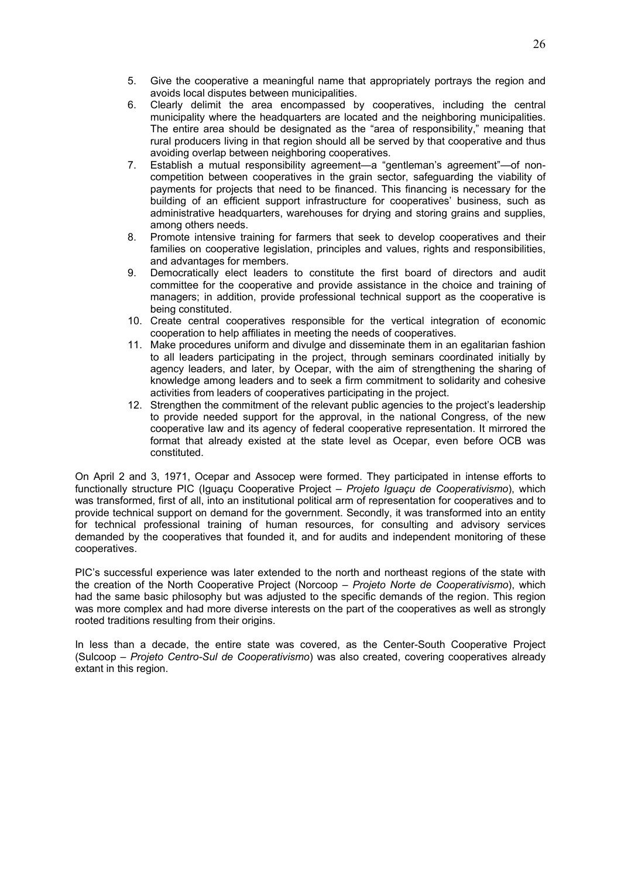- 5. Give the cooperative a meaningful name that appropriately portrays the region and avoids local disputes between municipalities.
- 6. Clearly delimit the area encompassed by cooperatives, including the central municipality where the headquarters are located and the neighboring municipalities. The entire area should be designated as the "area of responsibility," meaning that rural producers living in that region should all be served by that cooperative and thus avoiding overlap between neighboring cooperatives.
- 7. Establish a mutual responsibility agreement—a "gentleman's agreement"—of noncompetition between cooperatives in the grain sector, safeguarding the viability of payments for projects that need to be financed. This financing is necessary for the building of an efficient support infrastructure for cooperatives' business, such as administrative headquarters, warehouses for drying and storing grains and supplies, among others needs.
- 8. Promote intensive training for farmers that seek to develop cooperatives and their families on cooperative legislation, principles and values, rights and responsibilities, and advantages for members.
- 9. Democratically elect leaders to constitute the first board of directors and audit committee for the cooperative and provide assistance in the choice and training of managers; in addition, provide professional technical support as the cooperative is being constituted.
- 10. Create central cooperatives responsible for the vertical integration of economic cooperation to help affiliates in meeting the needs of cooperatives.
- 11. Make procedures uniform and divulge and disseminate them in an egalitarian fashion to all leaders participating in the project, through seminars coordinated initially by agency leaders, and later, by Ocepar, with the aim of strengthening the sharing of knowledge among leaders and to seek a firm commitment to solidarity and cohesive activities from leaders of cooperatives participating in the project.
- 12. Strengthen the commitment of the relevant public agencies to the project's leadership to provide needed support for the approval, in the national Congress, of the new cooperative law and its agency of federal cooperative representation. It mirrored the format that already existed at the state level as Ocepar, even before OCB was constituted.

On April 2 and 3, 1971, Ocepar and Assocep were formed. They participated in intense efforts to functionally structure PIC (Iguaçu Cooperative Project – *Projeto Iguaçu de Cooperativismo*), which was transformed, first of all, into an institutional political arm of representation for cooperatives and to provide technical support on demand for the government. Secondly, it was transformed into an entity for technical professional training of human resources, for consulting and advisory services demanded by the cooperatives that founded it, and for audits and independent monitoring of these cooperatives.

PIC's successful experience was later extended to the north and northeast regions of the state with the creation of the North Cooperative Project (Norcoop – *Projeto Norte de Cooperativismo*), which had the same basic philosophy but was adjusted to the specific demands of the region. This region was more complex and had more diverse interests on the part of the cooperatives as well as strongly rooted traditions resulting from their origins.

In less than a decade, the entire state was covered, as the Center-South Cooperative Project (Sulcoop – *Projeto Centro-Sul de Cooperativismo*) was also created, covering cooperatives already extant in this region.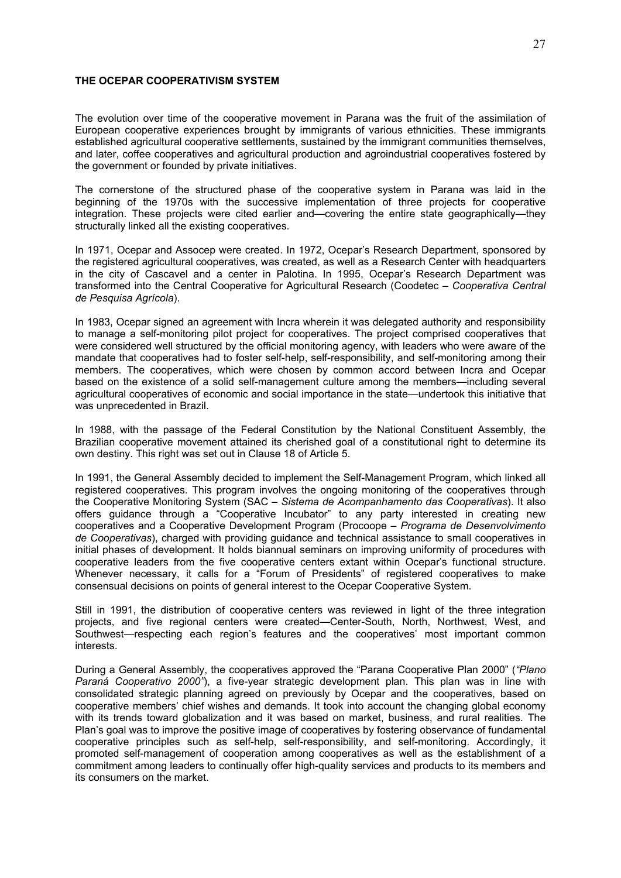#### **THE OCEPAR COOPERATIVISM SYSTEM**

The evolution over time of the cooperative movement in Parana was the fruit of the assimilation of European cooperative experiences brought by immigrants of various ethnicities. These immigrants established agricultural cooperative settlements, sustained by the immigrant communities themselves, and later, coffee cooperatives and agricultural production and agroindustrial cooperatives fostered by the government or founded by private initiatives.

The cornerstone of the structured phase of the cooperative system in Parana was laid in the beginning of the 1970s with the successive implementation of three projects for cooperative integration. These projects were cited earlier and—covering the entire state geographically—they structurally linked all the existing cooperatives.

In 1971, Ocepar and Assocep were created. In 1972, Ocepar's Research Department, sponsored by the registered agricultural cooperatives, was created, as well as a Research Center with headquarters in the city of Cascavel and a center in Palotina. In 1995, Ocepar's Research Department was transformed into the Central Cooperative for Agricultural Research (Coodetec – *Cooperativa Central de Pesquisa Agrícola*).

In 1983, Ocepar signed an agreement with Incra wherein it was delegated authority and responsibility to manage a self-monitoring pilot project for cooperatives. The project comprised cooperatives that were considered well structured by the official monitoring agency, with leaders who were aware of the mandate that cooperatives had to foster self-help, self-responsibility, and self-monitoring among their members. The cooperatives, which were chosen by common accord between Incra and Ocepar based on the existence of a solid self-management culture among the members—including several agricultural cooperatives of economic and social importance in the state—undertook this initiative that was unprecedented in Brazil.

In 1988, with the passage of the Federal Constitution by the National Constituent Assembly, the Brazilian cooperative movement attained its cherished goal of a constitutional right to determine its own destiny. This right was set out in Clause 18 of Article 5.

In 1991, the General Assembly decided to implement the Self-Management Program, which linked all registered cooperatives. This program involves the ongoing monitoring of the cooperatives through the Cooperative Monitoring System (SAC – *Sistema de Acompanhamento das Cooperativas*). It also offers guidance through a "Cooperative Incubator" to any party interested in creating new cooperatives and a Cooperative Development Program (Procoope – *Programa de Desenvolvimento de Cooperativas*), charged with providing guidance and technical assistance to small cooperatives in initial phases of development. It holds biannual seminars on improving uniformity of procedures with cooperative leaders from the five cooperative centers extant within Ocepar's functional structure. Whenever necessary, it calls for a "Forum of Presidents" of registered cooperatives to make consensual decisions on points of general interest to the Ocepar Cooperative System.

Still in 1991, the distribution of cooperative centers was reviewed in light of the three integration projects, and five regional centers were created—Center-South, North, Northwest, West, and Southwest—respecting each region's features and the cooperatives' most important common interests.

During a General Assembly, the cooperatives approved the "Parana Cooperative Plan 2000" (*"Plano Paraná Cooperativo 2000"*), a five-year strategic development plan. This plan was in line with consolidated strategic planning agreed on previously by Ocepar and the cooperatives, based on cooperative members' chief wishes and demands. It took into account the changing global economy with its trends toward globalization and it was based on market, business, and rural realities. The Plan's goal was to improve the positive image of cooperatives by fostering observance of fundamental cooperative principles such as self-help, self-responsibility, and self-monitoring. Accordingly, it promoted self-management of cooperation among cooperatives as well as the establishment of a commitment among leaders to continually offer high-quality services and products to its members and its consumers on the market.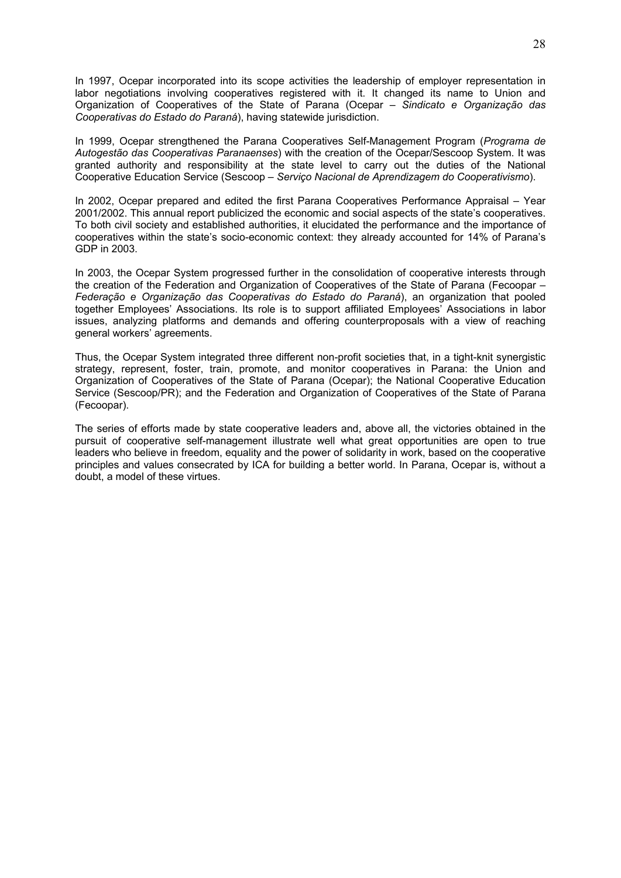In 1997, Ocepar incorporated into its scope activities the leadership of employer representation in labor negotiations involving cooperatives registered with it. It changed its name to Union and Organization of Cooperatives of the State of Parana (Ocepar – *Sindicato e Organização das Cooperativas do Estado do Paraná*), having statewide jurisdiction.

In 1999, Ocepar strengthened the Parana Cooperatives Self-Management Program (*Programa de Autogestão das Cooperativas Paranaenses*) with the creation of the Ocepar/Sescoop System. It was granted authority and responsibility at the state level to carry out the duties of the National Cooperative Education Service (Sescoop – *Serviço Nacional de Aprendizagem do Cooperativismo*).

In 2002, Ocepar prepared and edited the first Parana Cooperatives Performance Appraisal – Year 2001/2002. This annual report publicized the economic and social aspects of the state's cooperatives. To both civil society and established authorities, it elucidated the performance and the importance of cooperatives within the state's socio-economic context: they already accounted for 14% of Parana's GDP in 2003.

In 2003, the Ocepar System progressed further in the consolidation of cooperative interests through the creation of the Federation and Organization of Cooperatives of the State of Parana (Fecoopar – *Federação e Organização das Cooperativas do Estado do Paraná*), an organization that pooled together Employees' Associations. Its role is to support affiliated Employees' Associations in labor issues, analyzing platforms and demands and offering counterproposals with a view of reaching general workers' agreements.

Thus, the Ocepar System integrated three different non-profit societies that, in a tight-knit synergistic strategy, represent, foster, train, promote, and monitor cooperatives in Parana: the Union and Organization of Cooperatives of the State of Parana (Ocepar); the National Cooperative Education Service (Sescoop/PR); and the Federation and Organization of Cooperatives of the State of Parana (Fecoopar).

The series of efforts made by state cooperative leaders and, above all, the victories obtained in the pursuit of cooperative self-management illustrate well what great opportunities are open to true leaders who believe in freedom, equality and the power of solidarity in work, based on the cooperative principles and values consecrated by ICA for building a better world. In Parana, Ocepar is, without a doubt, a model of these virtues.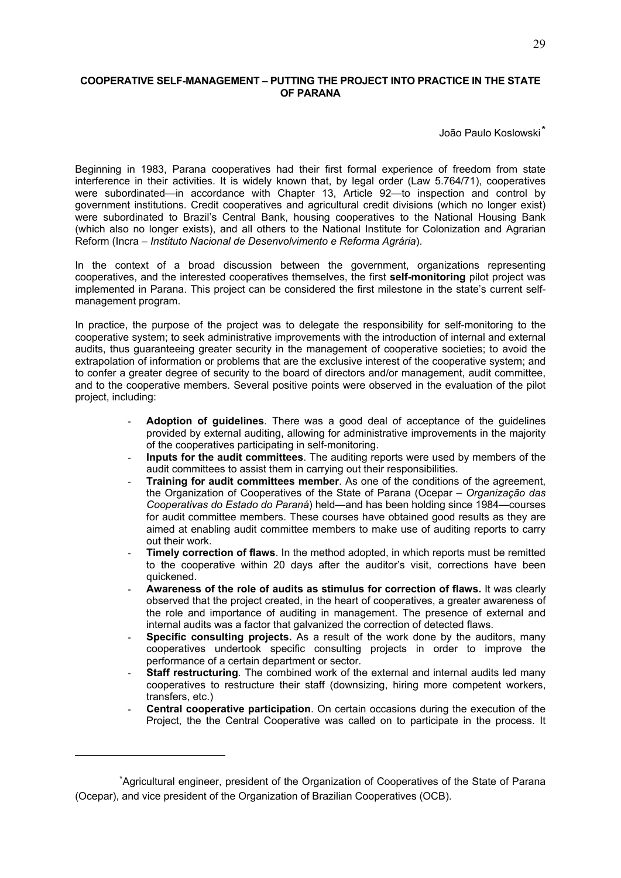## **COOPERATIVE SELF-MANAGEMENT – PUTTING THE PROJECT INTO PRACTICE IN THE STATE OF PARANA**

João Paulo Koslowski\*

Beginning in 1983, Parana cooperatives had their first formal experience of freedom from state interference in their activities. It is widely known that, by legal order (Law 5.764/71), cooperatives were subordinated—in accordance with Chapter 13, Article 92—to inspection and control by government institutions. Credit cooperatives and agricultural credit divisions (which no longer exist) were subordinated to Brazil's Central Bank, housing cooperatives to the National Housing Bank (which also no longer exists), and all others to the National Institute for Colonization and Agrarian Reform (Incra – *Instituto Nacional de Desenvolvimento e Reforma Agrária*).

In the context of a broad discussion between the government, organizations representing cooperatives, and the interested cooperatives themselves, the first **self-monitoring** pilot project was implemented in Parana. This project can be considered the first milestone in the state's current selfmanagement program.

In practice, the purpose of the project was to delegate the responsibility for self-monitoring to the cooperative system; to seek administrative improvements with the introduction of internal and external audits, thus guaranteeing greater security in the management of cooperative societies; to avoid the extrapolation of information or problems that are the exclusive interest of the cooperative system; and to confer a greater degree of security to the board of directors and/or management, audit committee, and to the cooperative members. Several positive points were observed in the evaluation of the pilot project, including:

- **Adoption of guidelines**. There was a good deal of acceptance of the guidelines provided by external auditing, allowing for administrative improvements in the majority of the cooperatives participating in self-monitoring.
- **Inputs for the audit committees**. The auditing reports were used by members of the audit committees to assist them in carrying out their responsibilities.
- **Training for audit committees member**. As one of the conditions of the agreement, the Organization of Cooperatives of the State of Parana (Ocepar – *Organização das Cooperativas do Estado do Paraná*) held—and has been holding since 1984—courses for audit committee members. These courses have obtained good results as they are aimed at enabling audit committee members to make use of auditing reports to carry out their work.
- **Timely correction of flaws**. In the method adopted, in which reports must be remitted to the cooperative within 20 days after the auditor's visit, corrections have been quickened.
- **Awareness of the role of audits as stimulus for correction of flaws.** It was clearly observed that the project created, in the heart of cooperatives, a greater awareness of the role and importance of auditing in management. The presence of external and internal audits was a factor that galvanized the correction of detected flaws.
- **Specific consulting projects.** As a result of the work done by the auditors, many cooperatives undertook specific consulting projects in order to improve the performance of a certain department or sector.
- **Staff restructuring**. The combined work of the external and internal audits led many cooperatives to restructure their staff (downsizing, hiring more competent workers, transfers, etc.)
- **Central cooperative participation.** On certain occasions during the execution of the Project, the the Central Cooperative was called on to participate in the process. It

<u>.</u>

<sup>\*</sup>Agricultural engineer, president of the Organization of Cooperatives of the State of Parana (Ocepar), and vice president of the Organization of Brazilian Cooperatives (OCB).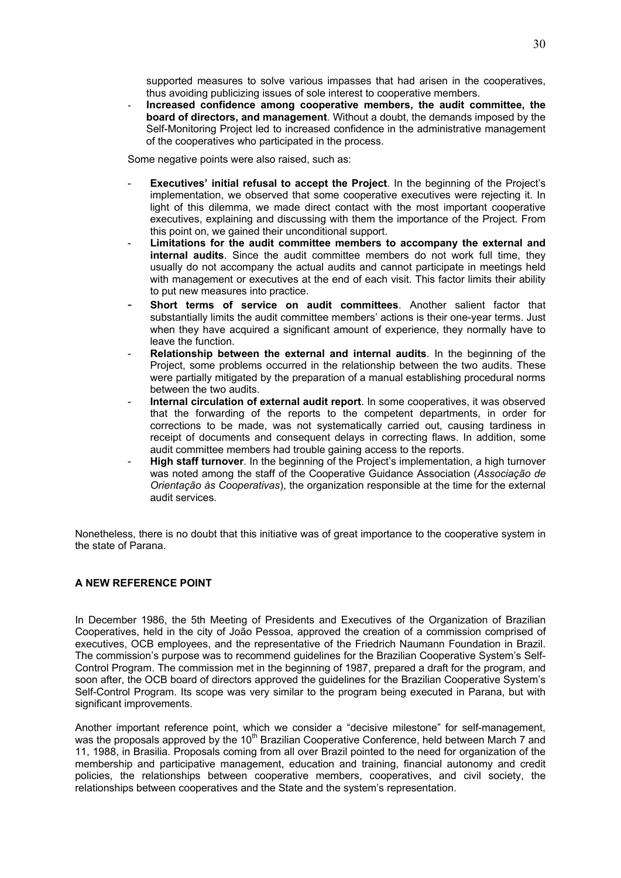supported measures to solve various impasses that had arisen in the cooperatives, thus avoiding publicizing issues of sole interest to cooperative members.

- **Increased confidence among cooperative members, the audit committee, the board of directors, and management**. Without a doubt, the demands imposed by the Self-Monitoring Project led to increased confidence in the administrative management of the cooperatives who participated in the process.

Some negative points were also raised, such as:

- **Executives' initial refusal to accept the Project.** In the beginning of the Project's implementation, we observed that some cooperative executives were rejecting it. In light of this dilemma, we made direct contact with the most important cooperative executives, explaining and discussing with them the importance of the Project. From this point on, we gained their unconditional support.
- **Limitations for the audit committee members to accompany the external and internal audits**. Since the audit committee members do not work full time, they usually do not accompany the actual audits and cannot participate in meetings held with management or executives at the end of each visit. This factor limits their ability to put new measures into practice.
- **Short terms of service on audit committees**. Another salient factor that substantially limits the audit committee members' actions is their one-year terms. Just when they have acquired a significant amount of experience, they normally have to leave the function.
- **Relationship between the external and internal audits.** In the beginning of the Project, some problems occurred in the relationship between the two audits. These were partially mitigated by the preparation of a manual establishing procedural norms between the two audits.
- Internal circulation of external audit report. In some cooperatives, it was observed that the forwarding of the reports to the competent departments, in order for corrections to be made, was not systematically carried out, causing tardiness in receipt of documents and consequent delays in correcting flaws. In addition, some audit committee members had trouble gaining access to the reports.
- High staff turnover. In the beginning of the Project's implementation, a high turnover was noted among the staff of the Cooperative Guidance Association (*Associação de Orientação às Cooperativas*), the organization responsible at the time for the external audit services.

Nonetheless, there is no doubt that this initiative was of great importance to the cooperative system in the state of Parana.

## **A NEW REFERENCE POINT**

In December 1986, the 5th Meeting of Presidents and Executives of the Organization of Brazilian Cooperatives, held in the city of João Pessoa, approved the creation of a commission comprised of executives, OCB employees, and the representative of the Friedrich Naumann Foundation in Brazil. The commission's purpose was to recommend guidelines for the Brazilian Cooperative System's Self-Control Program. The commission met in the beginning of 1987, prepared a draft for the program, and soon after, the OCB board of directors approved the guidelines for the Brazilian Cooperative System's Self-Control Program. Its scope was very similar to the program being executed in Parana, but with significant improvements.

Another important reference point, which we consider a "decisive milestone" for self-management, was the proposals approved by the  $10<sup>th</sup>$  Brazilian Cooperative Conference, held between March 7 and 11, 1988, in Brasilia. Proposals coming from all over Brazil pointed to the need for organization of the membership and participative management, education and training, financial autonomy and credit policies, the relationships between cooperative members, cooperatives, and civil society, the relationships between cooperatives and the State and the system's representation.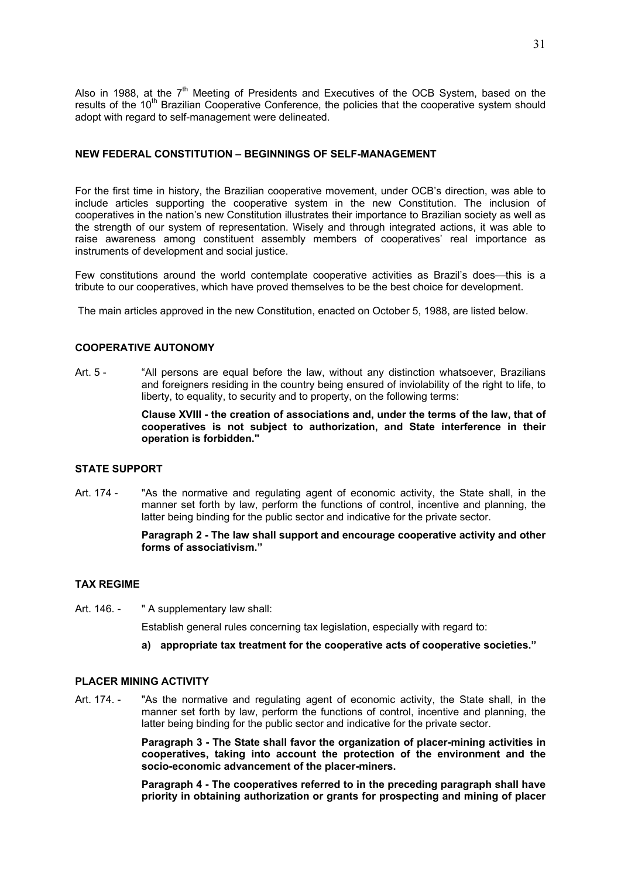Also in 1988, at the  $7<sup>th</sup>$  Meeting of Presidents and Executives of the OCB System, based on the results of the 10<sup>th</sup> Brazilian Cooperative Conference, the policies that the cooperative system should adopt with regard to self-management were delineated.

## **NEW FEDERAL CONSTITUTION – BEGINNINGS OF SELF-MANAGEMENT**

For the first time in history, the Brazilian cooperative movement, under OCB's direction, was able to include articles supporting the cooperative system in the new Constitution. The inclusion of cooperatives in the nation's new Constitution illustrates their importance to Brazilian society as well as the strength of our system of representation. Wisely and through integrated actions, it was able to raise awareness among constituent assembly members of cooperatives' real importance as instruments of development and social justice.

Few constitutions around the world contemplate cooperative activities as Brazil's does—this is a tribute to our cooperatives, which have proved themselves to be the best choice for development.

The main articles approved in the new Constitution, enacted on October 5, 1988, are listed below.

## **COOPERATIVE AUTONOMY**

Art. 5 - "All persons are equal before the law, without any distinction whatsoever, Brazilians and foreigners residing in the country being ensured of inviolability of the right to life, to liberty, to equality, to security and to property, on the following terms:

> **Clause XVIII - the creation of associations and, under the terms of the law, that of cooperatives is not subject to authorization, and State interference in their operation is forbidden."**

#### **STATE SUPPORT**

Art. 174 - "As the normative and regulating agent of economic activity, the State shall, in the manner set forth by law, perform the functions of control, incentive and planning, the latter being binding for the public sector and indicative for the private sector.

#### **Paragraph 2 - The law shall support and encourage cooperative activity and other forms of associativism."**

#### **TAX REGIME**

Art. 146. - " A supplementary law shall:

Establish general rules concerning tax legislation, especially with regard to:

**a) appropriate tax treatment for the cooperative acts of cooperative societies."** 

## **PLACER MINING ACTIVITY**

Art. 174. - "As the normative and regulating agent of economic activity, the State shall, in the manner set forth by law, perform the functions of control, incentive and planning, the latter being binding for the public sector and indicative for the private sector.

> **Paragraph 3 - The State shall favor the organization of placer-mining activities in cooperatives, taking into account the protection of the environment and the socio-economic advancement of the placer-miners.**

> **Paragraph 4 - The cooperatives referred to in the preceding paragraph shall have priority in obtaining authorization or grants for prospecting and mining of placer**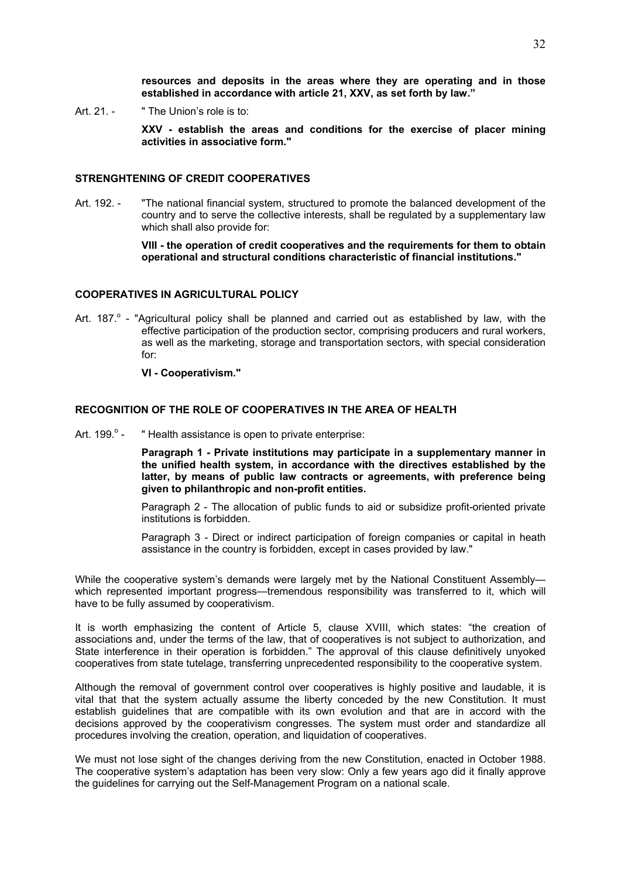**resources and deposits in the areas where they are operating and in those established in accordance with article 21, XXV, as set forth by law."** 

Art. 21. - "The Union's role is to:

**XXV - establish the areas and conditions for the exercise of placer mining activities in associative form."** 

#### **STRENGHTENING OF CREDIT COOPERATIVES**

Art. 192. - "The national financial system, structured to promote the balanced development of the country and to serve the collective interests, shall be regulated by a supplementary law which shall also provide for:

> **VIII - the operation of credit cooperatives and the requirements for them to obtain operational and structural conditions characteristic of financial institutions."**

## **COOPERATIVES IN AGRICULTURAL POLICY**

- Art. 187.<sup>o</sup> "Agricultural policy shall be planned and carried out as established by law, with the effective participation of the production sector, comprising producers and rural workers, as well as the marketing, storage and transportation sectors, with special consideration for:
	- **VI Cooperativism."**

## **RECOGNITION OF THE ROLE OF COOPERATIVES IN THE AREA OF HEALTH**

Art $199^{\circ}$ . " Health assistance is open to private enterprise:

> **Paragraph 1 - Private institutions may participate in a supplementary manner in the unified health system, in accordance with the directives established by the latter, by means of public law contracts or agreements, with preference being given to philanthropic and non-profit entities.**

> Paragraph 2 - The allocation of public funds to aid or subsidize profit-oriented private institutions is forbidden.

> Paragraph 3 - Direct or indirect participation of foreign companies or capital in heath assistance in the country is forbidden, except in cases provided by law."

While the cooperative system's demands were largely met by the National Constituent Assembly which represented important progress—tremendous responsibility was transferred to it, which will have to be fully assumed by cooperativism.

It is worth emphasizing the content of Article 5, clause XVIII, which states: "the creation of associations and, under the terms of the law, that of cooperatives is not subject to authorization, and State interference in their operation is forbidden." The approval of this clause definitively unyoked cooperatives from state tutelage, transferring unprecedented responsibility to the cooperative system.

Although the removal of government control over cooperatives is highly positive and laudable, it is vital that that the system actually assume the liberty conceded by the new Constitution. It must establish guidelines that are compatible with its own evolution and that are in accord with the decisions approved by the cooperativism congresses. The system must order and standardize all procedures involving the creation, operation, and liquidation of cooperatives.

We must not lose sight of the changes deriving from the new Constitution, enacted in October 1988. The cooperative system's adaptation has been very slow: Only a few years ago did it finally approve the guidelines for carrying out the Self-Management Program on a national scale.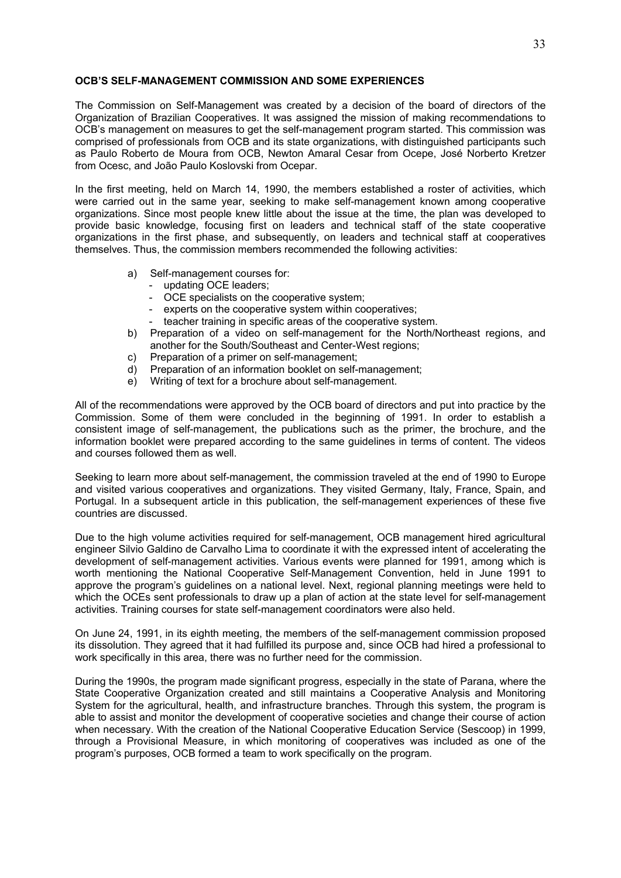## **OCB'S SELF-MANAGEMENT COMMISSION AND SOME EXPERIENCES**

The Commission on Self-Management was created by a decision of the board of directors of the Organization of Brazilian Cooperatives. It was assigned the mission of making recommendations to OCB's management on measures to get the self-management program started. This commission was comprised of professionals from OCB and its state organizations, with distinguished participants such as Paulo Roberto de Moura from OCB, Newton Amaral Cesar from Ocepe, José Norberto Kretzer from Ocesc, and João Paulo Koslovski from Ocepar.

In the first meeting, held on March 14, 1990, the members established a roster of activities, which were carried out in the same year, seeking to make self-management known among cooperative organizations. Since most people knew little about the issue at the time, the plan was developed to provide basic knowledge, focusing first on leaders and technical staff of the state cooperative organizations in the first phase, and subsequently, on leaders and technical staff at cooperatives themselves. Thus, the commission members recommended the following activities:

- a) Self-management courses for:
	- updating OCE leaders;
	- OCE specialists on the cooperative system;
	- experts on the cooperative system within cooperatives;
	- teacher training in specific areas of the cooperative system.
- b) Preparation of a video on self-management for the North/Northeast regions, and another for the South/Southeast and Center-West regions;
- c) Preparation of a primer on self-management;
- d) Preparation of an information booklet on self-management;
- e) Writing of text for a brochure about self-management.

All of the recommendations were approved by the OCB board of directors and put into practice by the Commission. Some of them were concluded in the beginning of 1991. In order to establish a consistent image of self-management, the publications such as the primer, the brochure, and the information booklet were prepared according to the same guidelines in terms of content. The videos and courses followed them as well.

Seeking to learn more about self-management, the commission traveled at the end of 1990 to Europe and visited various cooperatives and organizations. They visited Germany, Italy, France, Spain, and Portugal. In a subsequent article in this publication, the self-management experiences of these five countries are discussed.

Due to the high volume activities required for self-management, OCB management hired agricultural engineer Silvio Galdino de Carvalho Lima to coordinate it with the expressed intent of accelerating the development of self-management activities. Various events were planned for 1991, among which is worth mentioning the National Cooperative Self-Management Convention, held in June 1991 to approve the program's guidelines on a national level. Next, regional planning meetings were held to which the OCEs sent professionals to draw up a plan of action at the state level for self-management activities. Training courses for state self-management coordinators were also held.

On June 24, 1991, in its eighth meeting, the members of the self-management commission proposed its dissolution. They agreed that it had fulfilled its purpose and, since OCB had hired a professional to work specifically in this area, there was no further need for the commission.

During the 1990s, the program made significant progress, especially in the state of Parana, where the State Cooperative Organization created and still maintains a Cooperative Analysis and Monitoring System for the agricultural, health, and infrastructure branches. Through this system, the program is able to assist and monitor the development of cooperative societies and change their course of action when necessary. With the creation of the National Cooperative Education Service (Sescoop) in 1999, through a Provisional Measure, in which monitoring of cooperatives was included as one of the program's purposes, OCB formed a team to work specifically on the program.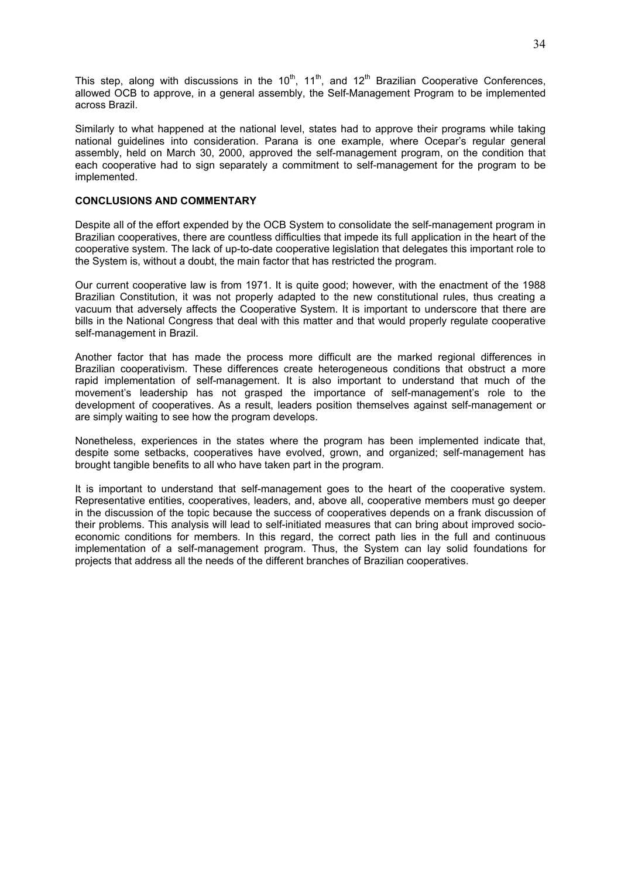This step, along with discussions in the  $10^{th}$ ,  $11^{th}$ , and  $12^{th}$  Brazilian Cooperative Conferences, allowed OCB to approve, in a general assembly, the Self-Management Program to be implemented across Brazil.

Similarly to what happened at the national level, states had to approve their programs while taking national guidelines into consideration. Parana is one example, where Ocepar's regular general assembly, held on March 30, 2000, approved the self-management program, on the condition that each cooperative had to sign separately a commitment to self-management for the program to be implemented.

## **CONCLUSIONS AND COMMENTARY**

Despite all of the effort expended by the OCB System to consolidate the self-management program in Brazilian cooperatives, there are countless difficulties that impede its full application in the heart of the cooperative system. The lack of up-to-date cooperative legislation that delegates this important role to the System is, without a doubt, the main factor that has restricted the program.

Our current cooperative law is from 1971. It is quite good; however, with the enactment of the 1988 Brazilian Constitution, it was not properly adapted to the new constitutional rules, thus creating a vacuum that adversely affects the Cooperative System. It is important to underscore that there are bills in the National Congress that deal with this matter and that would properly regulate cooperative self-management in Brazil.

Another factor that has made the process more difficult are the marked regional differences in Brazilian cooperativism. These differences create heterogeneous conditions that obstruct a more rapid implementation of self-management. It is also important to understand that much of the movement's leadership has not grasped the importance of self-management's role to the development of cooperatives. As a result, leaders position themselves against self-management or are simply waiting to see how the program develops.

Nonetheless, experiences in the states where the program has been implemented indicate that, despite some setbacks, cooperatives have evolved, grown, and organized; self-management has brought tangible benefits to all who have taken part in the program.

It is important to understand that self-management goes to the heart of the cooperative system. Representative entities, cooperatives, leaders, and, above all, cooperative members must go deeper in the discussion of the topic because the success of cooperatives depends on a frank discussion of their problems. This analysis will lead to self-initiated measures that can bring about improved socioeconomic conditions for members. In this regard, the correct path lies in the full and continuous implementation of a self-management program. Thus, the System can lay solid foundations for projects that address all the needs of the different branches of Brazilian cooperatives.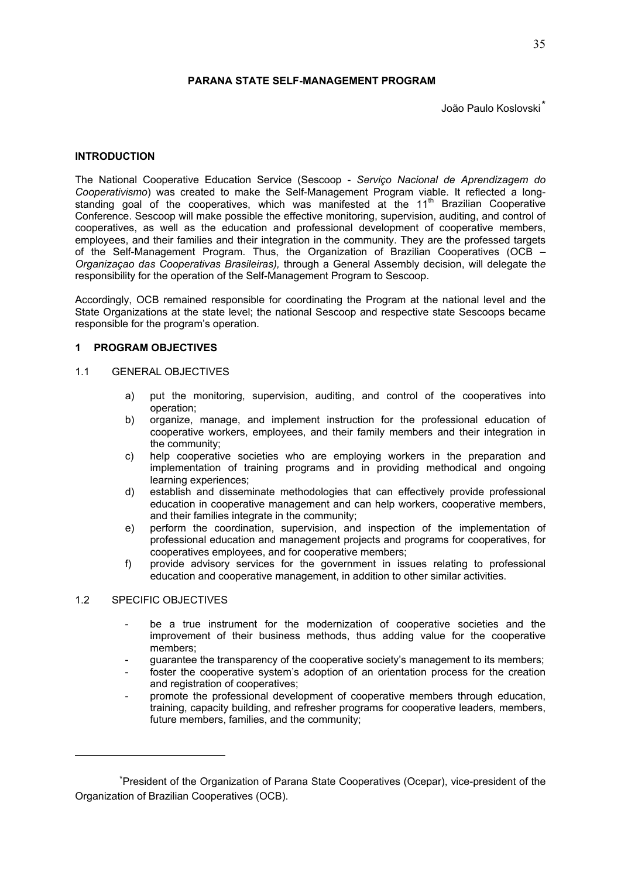## **PARANA STATE SELF-MANAGEMENT PROGRAM**

João Paulo Koslovski\*

#### **INTRODUCTION**

The National Cooperative Education Service (Sescoop - *Serviço Nacional de Aprendizagem do Cooperativismo*) was created to make the Self-Management Program viable. It reflected a longstanding goal of the cooperatives, which was manifested at the 11<sup>th</sup> Brazilian Cooperative Conference. Sescoop will make possible the effective monitoring, supervision, auditing, and control of cooperatives, as well as the education and professional development of cooperative members, employees, and their families and their integration in the community. They are the professed targets of the Self-Management Program. Thus, the Organization of Brazilian Cooperatives (OCB *– Organizaçao das Cooperativas Brasileiras),* through a General Assembly decision, will delegate th*e*  responsibility for the operation of the Self-Management Program to Sescoop.

Accordingly, OCB remained responsible for coordinating the Program at the national level and the State Organizations at the state level; the national Sescoop and respective state Sescoops became responsible for the program's operation.

## **1 PROGRAM OBJECTIVES**

## 1.1 GENERAL OBJECTIVES

- a) put the monitoring, supervision, auditing, and control of the cooperatives into operation;
- b) organize, manage, and implement instruction for the professional education of cooperative workers, employees, and their family members and their integration in the community;
- c) help cooperative societies who are employing workers in the preparation and implementation of training programs and in providing methodical and ongoing learning experiences;
- d) establish and disseminate methodologies that can effectively provide professional education in cooperative management and can help workers, cooperative members, and their families integrate in the community;
- e) perform the coordination, supervision, and inspection of the implementation of professional education and management projects and programs for cooperatives, for cooperatives employees, and for cooperative members;
- f) provide advisory services for the government in issues relating to professional education and cooperative management, in addition to other similar activities.

## 1.2 SPECIFIC OBJECTIVES

<u>.</u>

- be a true instrument for the modernization of cooperative societies and the improvement of their business methods, thus adding value for the cooperative members;
- guarantee the transparency of the cooperative society's management to its members;
- foster the cooperative system's adoption of an orientation process for the creation and registration of cooperatives;
- promote the professional development of cooperative members through education, training, capacity building, and refresher programs for cooperative leaders, members, future members, families, and the community;

<sup>\*</sup>President of the Organization of Parana State Cooperatives (Ocepar), vice-president of the Organization of Brazilian Cooperatives (OCB).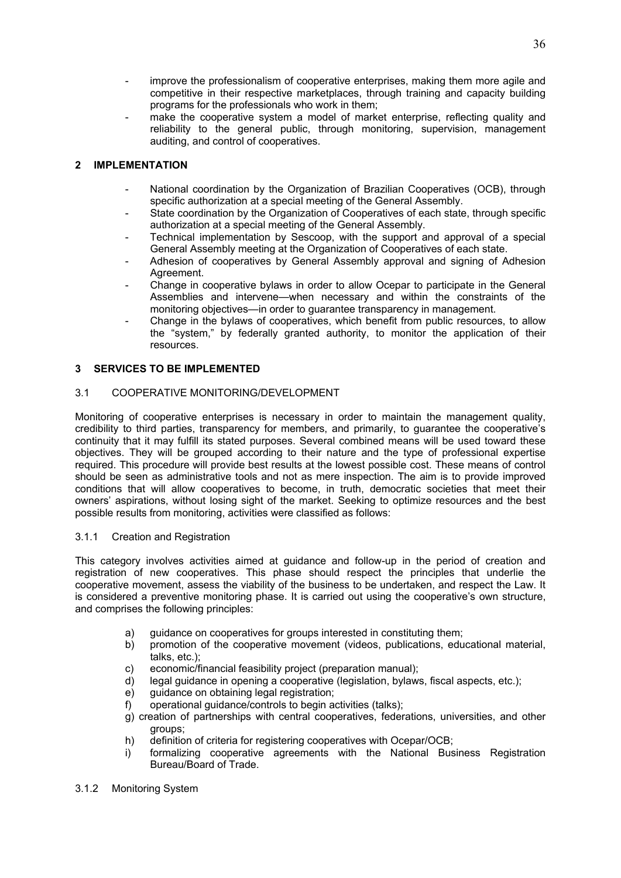- improve the professionalism of cooperative enterprises, making them more agile and competitive in their respective marketplaces, through training and capacity building programs for the professionals who work in them;
- make the cooperative system a model of market enterprise, reflecting quality and reliability to the general public, through monitoring, supervision, management auditing, and control of cooperatives.

# **2 IMPLEMENTATION**

- National coordination by the Organization of Brazilian Cooperatives (OCB), through specific authorization at a special meeting of the General Assembly.
- State coordination by the Organization of Cooperatives of each state, through specific authorization at a special meeting of the General Assembly.
- Technical implementation by Sescoop, with the support and approval of a special General Assembly meeting at the Organization of Cooperatives of each state.
- Adhesion of cooperatives by General Assembly approval and signing of Adhesion Agreement.
- Change in cooperative bylaws in order to allow Ocepar to participate in the General Assemblies and intervene—when necessary and within the constraints of the monitoring objectives—in order to guarantee transparency in management.
- Change in the bylaws of cooperatives, which benefit from public resources, to allow the "system," by federally granted authority, to monitor the application of their resources.

# **3 SERVICES TO BE IMPLEMENTED**

## 3.1 COOPERATIVE MONITORING/DEVELOPMENT

Monitoring of cooperative enterprises is necessary in order to maintain the management quality, credibility to third parties, transparency for members, and primarily, to guarantee the cooperative's continuity that it may fulfill its stated purposes. Several combined means will be used toward these objectives. They will be grouped according to their nature and the type of professional expertise required. This procedure will provide best results at the lowest possible cost. These means of control should be seen as administrative tools and not as mere inspection. The aim is to provide improved conditions that will allow cooperatives to become, in truth, democratic societies that meet their owners' aspirations, without losing sight of the market. Seeking to optimize resources and the best possible results from monitoring, activities were classified as follows:

## 3.1.1 Creation and Registration

This category involves activities aimed at guidance and follow-up in the period of creation and registration of new cooperatives. This phase should respect the principles that underlie the cooperative movement, assess the viability of the business to be undertaken, and respect the Law. It is considered a preventive monitoring phase. It is carried out using the cooperative's own structure, and comprises the following principles:

- a) quidance on cooperatives for groups interested in constituting them;
- b) promotion of the cooperative movement (videos, publications, educational material, talks, etc.);
- c) economic/financial feasibility project (preparation manual);
- d) legal guidance in opening a cooperative (legislation, bylaws, fiscal aspects, etc.);
- e) guidance on obtaining legal registration;
- f) operational guidance/controls to begin activities (talks);
- g) creation of partnerships with central cooperatives, federations, universities, and other groups;
- h) definition of criteria for registering cooperatives with Ocepar/OCB;
- i) formalizing cooperative agreements with the National Business Registration Bureau/Board of Trade.
- 3.1.2 Monitoring System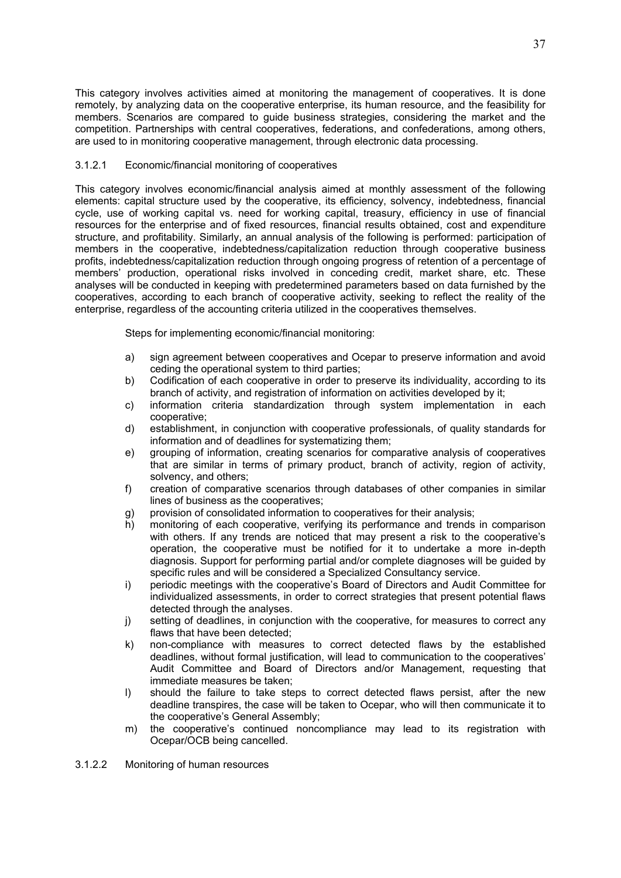This category involves activities aimed at monitoring the management of cooperatives. It is done remotely, by analyzing data on the cooperative enterprise, its human resource, and the feasibility for members. Scenarios are compared to guide business strategies, considering the market and the competition. Partnerships with central cooperatives, federations, and confederations, among others, are used to in monitoring cooperative management, through electronic data processing.

## 3.1.2.1 Economic/financial monitoring of cooperatives

This category involves economic/financial analysis aimed at monthly assessment of the following elements: capital structure used by the cooperative, its efficiency, solvency, indebtedness, financial cycle, use of working capital vs. need for working capital, treasury, efficiency in use of financial resources for the enterprise and of fixed resources, financial results obtained, cost and expenditure structure, and profitability. Similarly, an annual analysis of the following is performed: participation of members in the cooperative, indebtedness/capitalization reduction through cooperative business profits, indebtedness/capitalization reduction through ongoing progress of retention of a percentage of members' production, operational risks involved in conceding credit, market share, etc. These analyses will be conducted in keeping with predetermined parameters based on data furnished by the cooperatives, according to each branch of cooperative activity, seeking to reflect the reality of the enterprise, regardless of the accounting criteria utilized in the cooperatives themselves.

Steps for implementing economic/financial monitoring:

- a) sign agreement between cooperatives and Ocepar to preserve information and avoid ceding the operational system to third parties;
- b) Codification of each cooperative in order to preserve its individuality, according to its branch of activity, and registration of information on activities developed by it;
- c) information criteria standardization through system implementation in each cooperative;
- d) establishment, in conjunction with cooperative professionals, of quality standards for information and of deadlines for systematizing them;
- e) grouping of information, creating scenarios for comparative analysis of cooperatives that are similar in terms of primary product, branch of activity, region of activity, solvency, and others;
- f) creation of comparative scenarios through databases of other companies in similar lines of business as the cooperatives;
- g) provision of consolidated information to cooperatives for their analysis;
- h) monitoring of each cooperative, verifying its performance and trends in comparison with others. If any trends are noticed that may present a risk to the cooperative's operation, the cooperative must be notified for it to undertake a more in-depth diagnosis. Support for performing partial and/or complete diagnoses will be guided by specific rules and will be considered a Specialized Consultancy service.
- i) periodic meetings with the cooperative's Board of Directors and Audit Committee for individualized assessments, in order to correct strategies that present potential flaws detected through the analyses.
- j) setting of deadlines, in conjunction with the cooperative, for measures to correct any flaws that have been detected:
- k) non-compliance with measures to correct detected flaws by the established deadlines, without formal justification, will lead to communication to the cooperatives' Audit Committee and Board of Directors and/or Management, requesting that immediate measures be taken;
- l) should the failure to take steps to correct detected flaws persist, after the new deadline transpires, the case will be taken to Ocepar, who will then communicate it to the cooperative's General Assembly;
- m) the cooperative's continued noncompliance may lead to its registration with Ocepar/OCB being cancelled.

3.1.2.2 Monitoring of human resources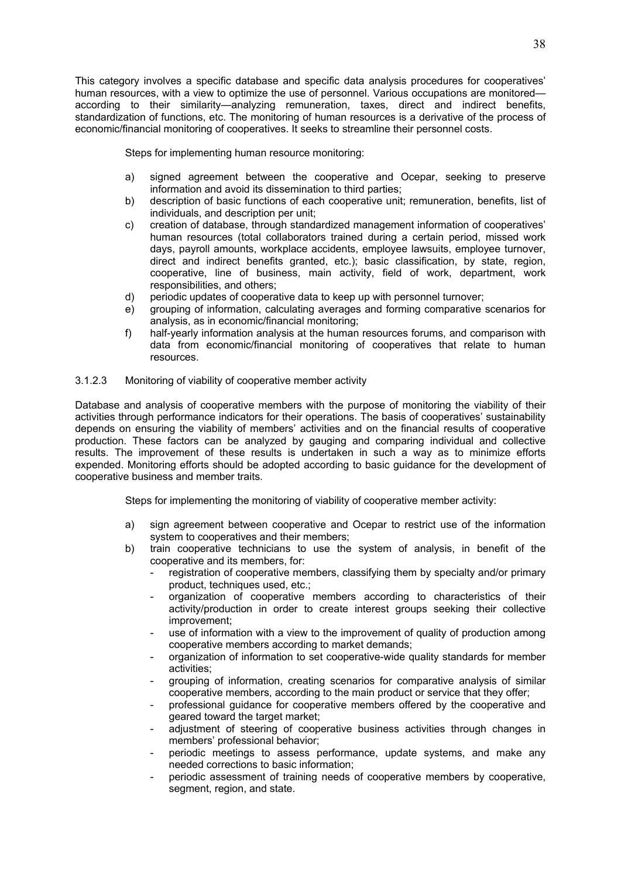This category involves a specific database and specific data analysis procedures for cooperatives' human resources, with a view to optimize the use of personnel. Various occupations are monitored according to their similarity—analyzing remuneration, taxes, direct and indirect benefits, standardization of functions, etc. The monitoring of human resources is a derivative of the process of economic/financial monitoring of cooperatives. It seeks to streamline their personnel costs.

Steps for implementing human resource monitoring:

- a) signed agreement between the cooperative and Ocepar, seeking to preserve information and avoid its dissemination to third parties;
- b) description of basic functions of each cooperative unit; remuneration, benefits, list of individuals, and description per unit;
- c) creation of database, through standardized management information of cooperatives' human resources (total collaborators trained during a certain period, missed work days, payroll amounts, workplace accidents, employee lawsuits, employee turnover, direct and indirect benefits granted, etc.); basic classification, by state, region, cooperative, line of business, main activity, field of work, department, work responsibilities, and others;
- d) periodic updates of cooperative data to keep up with personnel turnover;
- e) grouping of information, calculating averages and forming comparative scenarios for analysis, as in economic/financial monitoring;
- f) half-yearly information analysis at the human resources forums, and comparison with data from economic/financial monitoring of cooperatives that relate to human resources.

## 3.1.2.3 Monitoring of viability of cooperative member activity

Database and analysis of cooperative members with the purpose of monitoring the viability of their activities through performance indicators for their operations. The basis of cooperatives' sustainability depends on ensuring the viability of members' activities and on the financial results of cooperative production. These factors can be analyzed by gauging and comparing individual and collective results. The improvement of these results is undertaken in such a way as to minimize efforts expended. Monitoring efforts should be adopted according to basic guidance for the development of cooperative business and member traits.

Steps for implementing the monitoring of viability of cooperative member activity:

- a) sign agreement between cooperative and Ocepar to restrict use of the information system to cooperatives and their members;
- b) train cooperative technicians to use the system of analysis, in benefit of the cooperative and its members, for:
	- registration of cooperative members, classifying them by specialty and/or primary product, techniques used, etc.;
	- organization of cooperative members according to characteristics of their activity/production in order to create interest groups seeking their collective improvement;
	- use of information with a view to the improvement of quality of production among cooperative members according to market demands;
	- organization of information to set cooperative-wide quality standards for member activities;
	- grouping of information, creating scenarios for comparative analysis of similar cooperative members, according to the main product or service that they offer;
	- professional guidance for cooperative members offered by the cooperative and geared toward the target market;
	- adjustment of steering of cooperative business activities through changes in members' professional behavior;
	- periodic meetings to assess performance, update systems, and make any needed corrections to basic information;
	- periodic assessment of training needs of cooperative members by cooperative, segment, region, and state.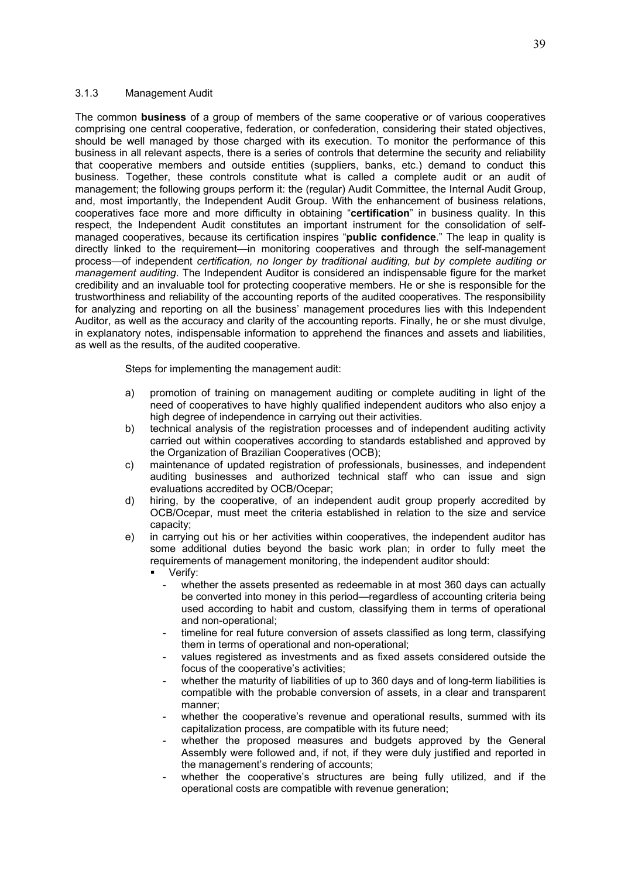## 3.1.3 Management Audit

The common **business** of a group of members of the same cooperative or of various cooperatives comprising one central cooperative, federation, or confederation, considering their stated objectives, should be well managed by those charged with its execution. To monitor the performance of this business in all relevant aspects, there is a series of controls that determine the security and reliability that cooperative members and outside entities (suppliers, banks, etc.) demand to conduct this business. Together, these controls constitute what is called a complete audit or an audit of management; the following groups perform it: the (regular) Audit Committee, the Internal Audit Group, and, most importantly, the Independent Audit Group. With the enhancement of business relations, cooperatives face more and more difficulty in obtaining "**certification**" in business quality. In this respect, the Independent Audit constitutes an important instrument for the consolidation of selfmanaged cooperatives, because its certification inspires "**public confidence**." The leap in quality is directly linked to the requirement—in monitoring cooperatives and through the self-management process—of independent *certification, no longer by traditional auditing, but by complete auditing or management auditing*. The Independent Auditor is considered an indispensable figure for the market credibility and an invaluable tool for protecting cooperative members. He or she is responsible for the trustworthiness and reliability of the accounting reports of the audited cooperatives. The responsibility for analyzing and reporting on all the business' management procedures lies with this Independent Auditor, as well as the accuracy and clarity of the accounting reports. Finally, he or she must divulge, in explanatory notes, indispensable information to apprehend the finances and assets and liabilities, as well as the results, of the audited cooperative.

Steps for implementing the management audit:

- a) promotion of training on management auditing or complete auditing in light of the need of cooperatives to have highly qualified independent auditors who also enjoy a high degree of independence in carrying out their activities.
- b) technical analysis of the registration processes and of independent auditing activity carried out within cooperatives according to standards established and approved by the Organization of Brazilian Cooperatives (OCB);
- c) maintenance of updated registration of professionals, businesses, and independent auditing businesses and authorized technical staff who can issue and sign evaluations accredited by OCB/Ocepar;
- d) hiring, by the cooperative, of an independent audit group properly accredited by OCB/Ocepar, must meet the criteria established in relation to the size and service capacity;
- e) in carrying out his or her activities within cooperatives, the independent auditor has some additional duties beyond the basic work plan; in order to fully meet the requirements of management monitoring, the independent auditor should:
	- Verify:
		- whether the assets presented as redeemable in at most 360 days can actually be converted into money in this period—regardless of accounting criteria being used according to habit and custom, classifying them in terms of operational and non-operational;
		- timeline for real future conversion of assets classified as long term, classifying them in terms of operational and non-operational;
		- values registered as investments and as fixed assets considered outside the focus of the cooperative's activities;
		- whether the maturity of liabilities of up to 360 days and of long-term liabilities is compatible with the probable conversion of assets, in a clear and transparent manner;
		- whether the cooperative's revenue and operational results, summed with its capitalization process, are compatible with its future need;
		- whether the proposed measures and budgets approved by the General Assembly were followed and, if not, if they were duly justified and reported in the management's rendering of accounts;
		- whether the cooperative's structures are being fully utilized, and if the operational costs are compatible with revenue generation;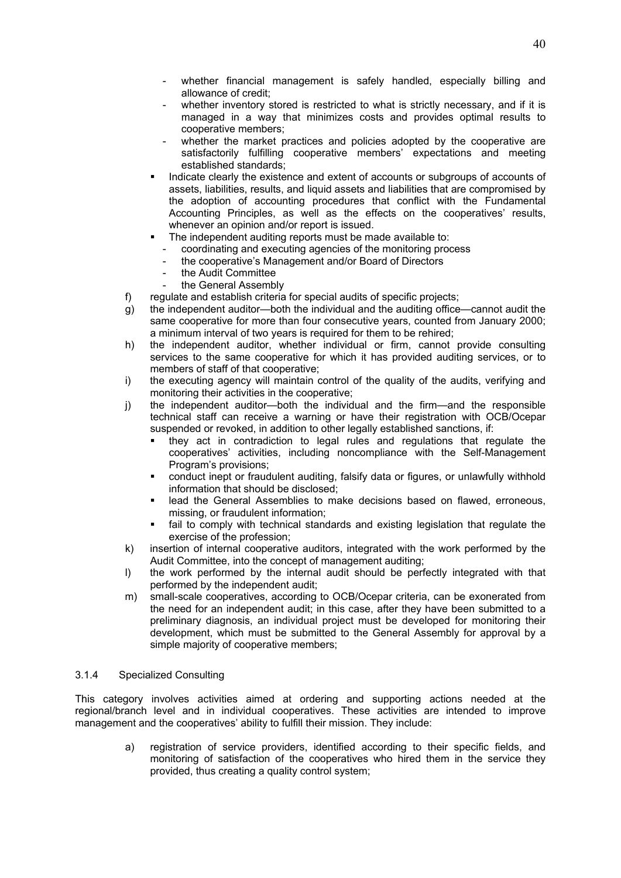- whether financial management is safely handled, especially billing and allowance of credit;
- whether inventory stored is restricted to what is strictly necessary, and if it is managed in a way that minimizes costs and provides optimal results to cooperative members;
- whether the market practices and policies adopted by the cooperative are satisfactorily fulfilling cooperative members' expectations and meeting established standards;
- Indicate clearly the existence and extent of accounts or subgroups of accounts of assets, liabilities, results, and liquid assets and liabilities that are compromised by the adoption of accounting procedures that conflict with the Fundamental Accounting Principles, as well as the effects on the cooperatives' results, whenever an opinion and/or report is issued.
- The independent auditing reports must be made available to:
- coordinating and executing agencies of the monitoring process
- the cooperative's Management and/or Board of Directors
- the Audit Committee
- the General Assembly
- f) regulate and establish criteria for special audits of specific projects;
- g) the independent auditor—both the individual and the auditing office—cannot audit the same cooperative for more than four consecutive years, counted from January 2000; a minimum interval of two years is required for them to be rehired;
- h) the independent auditor, whether individual or firm, cannot provide consulting services to the same cooperative for which it has provided auditing services, or to members of staff of that cooperative;
- i) the executing agency will maintain control of the quality of the audits, verifying and monitoring their activities in the cooperative;
- j) the independent auditor—both the individual and the firm—and the responsible technical staff can receive a warning or have their registration with OCB/Ocepar suspended or revoked, in addition to other legally established sanctions, if:
	- they act in contradiction to legal rules and regulations that regulate the cooperatives' activities, including noncompliance with the Self-Management Program's provisions;
	- conduct inept or fraudulent auditing, falsify data or figures, or unlawfully withhold information that should be disclosed;
	- lead the General Assemblies to make decisions based on flawed, erroneous, missing, or fraudulent information;
	- fail to comply with technical standards and existing legislation that regulate the exercise of the profession;
- k) insertion of internal cooperative auditors, integrated with the work performed by the Audit Committee, into the concept of management auditing;
- l) the work performed by the internal audit should be perfectly integrated with that performed by the independent audit;
- m) small-scale cooperatives, according to OCB/Ocepar criteria, can be exonerated from the need for an independent audit; in this case, after they have been submitted to a preliminary diagnosis, an individual project must be developed for monitoring their development, which must be submitted to the General Assembly for approval by a simple majority of cooperative members;

#### 3.1.4 Specialized Consulting

This category involves activities aimed at ordering and supporting actions needed at the regional/branch level and in individual cooperatives. These activities are intended to improve management and the cooperatives' ability to fulfill their mission. They include:

> a) registration of service providers, identified according to their specific fields, and monitoring of satisfaction of the cooperatives who hired them in the service they provided, thus creating a quality control system;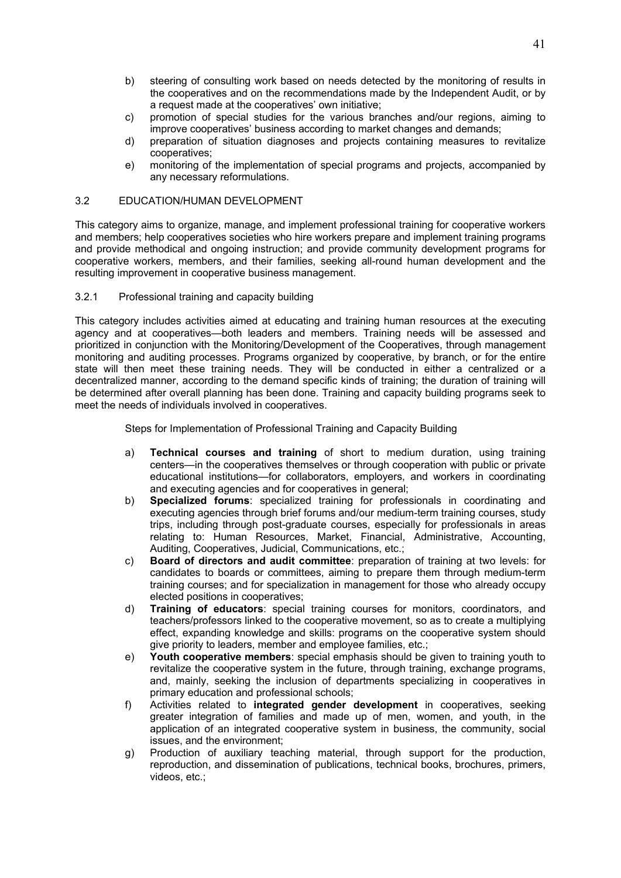- b) steering of consulting work based on needs detected by the monitoring of results in the cooperatives and on the recommendations made by the Independent Audit, or by a request made at the cooperatives' own initiative;
- c) promotion of special studies for the various branches and/our regions, aiming to improve cooperatives' business according to market changes and demands;
- d) preparation of situation diagnoses and projects containing measures to revitalize cooperatives;
- e) monitoring of the implementation of special programs and projects, accompanied by any necessary reformulations.

#### 3.2 EDUCATION/HUMAN DEVELOPMENT

This category aims to organize, manage, and implement professional training for cooperative workers and members; help cooperatives societies who hire workers prepare and implement training programs and provide methodical and ongoing instruction; and provide community development programs for cooperative workers, members, and their families, seeking all-round human development and the resulting improvement in cooperative business management.

## 3.2.1 Professional training and capacity building

This category includes activities aimed at educating and training human resources at the executing agency and at cooperatives—both leaders and members. Training needs will be assessed and prioritized in conjunction with the Monitoring/Development of the Cooperatives, through management monitoring and auditing processes. Programs organized by cooperative, by branch, or for the entire state will then meet these training needs. They will be conducted in either a centralized or a decentralized manner, according to the demand specific kinds of training; the duration of training will be determined after overall planning has been done. Training and capacity building programs seek to meet the needs of individuals involved in cooperatives.

Steps for Implementation of Professional Training and Capacity Building

- a) **Technical courses and training** of short to medium duration, using training centers—in the cooperatives themselves or through cooperation with public or private educational institutions—for collaborators, employers, and workers in coordinating and executing agencies and for cooperatives in general;
- b) **Specialized forums**: specialized training for professionals in coordinating and executing agencies through brief forums and/our medium-term training courses, study trips, including through post-graduate courses, especially for professionals in areas relating to: Human Resources, Market, Financial, Administrative, Accounting, Auditing, Cooperatives, Judicial, Communications, etc.;
- c) **Board of directors and audit committee**: preparation of training at two levels: for candidates to boards or committees, aiming to prepare them through medium-term training courses; and for specialization in management for those who already occupy elected positions in cooperatives;
- d) **Training of educators**: special training courses for monitors, coordinators, and teachers/professors linked to the cooperative movement, so as to create a multiplying effect, expanding knowledge and skills: programs on the cooperative system should give priority to leaders, member and employee families, etc.;
- e) **Youth cooperative members**: special emphasis should be given to training youth to revitalize the cooperative system in the future, through training, exchange programs, and, mainly, seeking the inclusion of departments specializing in cooperatives in primary education and professional schools;
- f) Activities related to **integrated gender development** in cooperatives, seeking greater integration of families and made up of men, women, and youth, in the application of an integrated cooperative system in business, the community, social issues, and the environment;
- g) Production of auxiliary teaching material, through support for the production, reproduction, and dissemination of publications, technical books, brochures, primers, videos, etc.;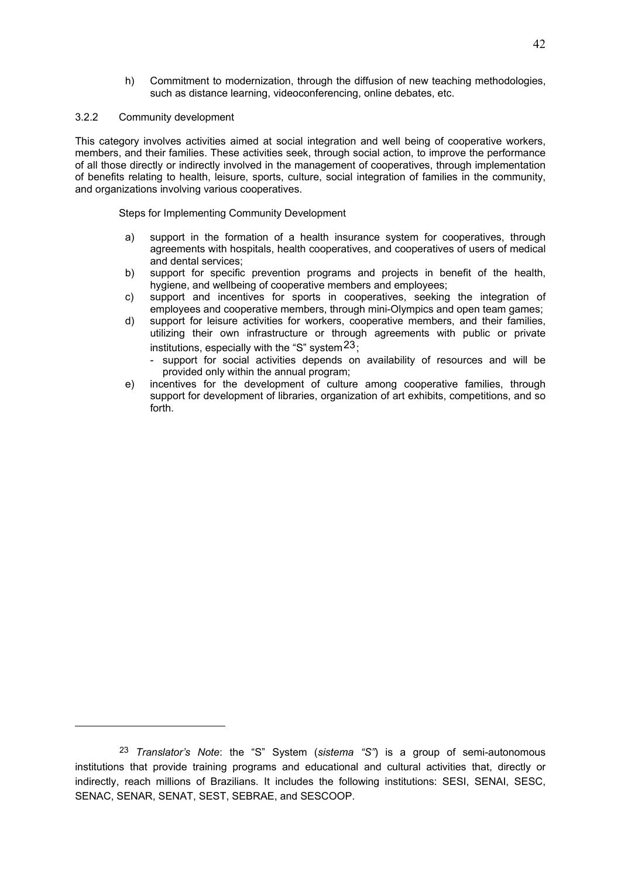h) Commitment to modernization, through the diffusion of new teaching methodologies, such as distance learning, videoconferencing, online debates, etc.

## 3.2.2 Community development

1

This category involves activities aimed at social integration and well being of cooperative workers, members, and their families. These activities seek, through social action, to improve the performance of all those directly or indirectly involved in the management of cooperatives, through implementation of benefits relating to health, leisure, sports, culture, social integration of families in the community, and organizations involving various cooperatives.

Steps for Implementing Community Development

- a) support in the formation of a health insurance system for cooperatives, through agreements with hospitals, health cooperatives, and cooperatives of users of medical and dental services;
- b) support for specific prevention programs and projects in benefit of the health, hygiene, and wellbeing of cooperative members and employees;
- c) support and incentives for sports in cooperatives, seeking the integration of employees and cooperative members, through mini-Olympics and open team games;
- d) support for leisure activities for workers, cooperative members, and their families, utilizing their own infrastructure or through agreements with public or private institutions, especially with the "S" system  $23$ ;
	- support for social activities depends on availability of resources and will be provided only within the annual program;
- e) incentives for the development of culture among cooperative families, through support for development of libraries, organization of art exhibits, competitions, and so forth.

<sup>23</sup> *Translator's Note*: the "S" System (*sistema "S"*) is a group of semi-autonomous institutions that provide training programs and educational and cultural activities that, directly or indirectly, reach millions of Brazilians. It includes the following institutions: SESI, SENAI, SESC, SENAC, SENAR, SENAT, SEST, SEBRAE, and SESCOOP.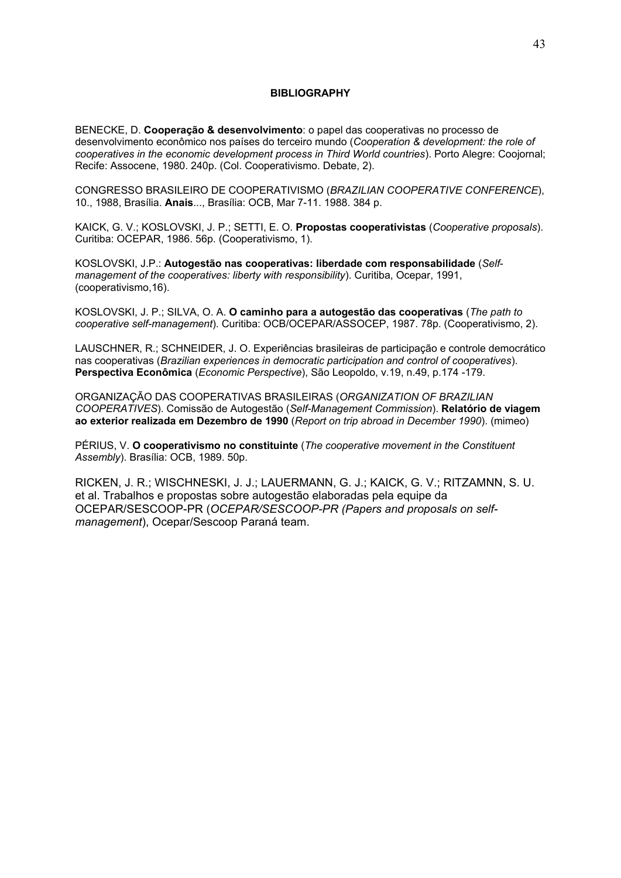#### **BIBLIOGRAPHY**

BENECKE, D. **Cooperação & desenvolvimento**: o papel das cooperativas no processo de desenvolvimento econômico nos países do terceiro mundo (*Cooperation & development: the role of cooperatives in the economic development process in Third World countries*). Porto Alegre: Coojornal; Recife: Assocene, 1980. 240p. (Col. Cooperativismo. Debate, 2).

CONGRESSO BRASILEIRO DE COOPERATIVISMO (*BRAZILIAN COOPERATIVE CONFERENCE*), 10., 1988, Brasília. **Anais**..., Brasília: OCB, Mar 7-11. 1988. 384 p.

KAICK, G. V.; KOSLOVSKI, J. P.; SETTI, E. O. **Propostas cooperativistas** (*Cooperative proposals*). Curitiba: OCEPAR, 1986. 56p. (Cooperativismo, 1).

KOSLOVSKI, J.P.: **Autogestão nas cooperativas: liberdade com responsabilidade** (*Selfmanagement of the cooperatives: liberty with responsibility*). Curitiba, Ocepar, 1991, (cooperativismo,16).

KOSLOVSKI, J. P.; SILVA, O. A. **O caminho para a autogestão das cooperativas** (*The path to cooperative self-management*). Curitiba: OCB/OCEPAR/ASSOCEP, 1987. 78p. (Cooperativismo, 2).

LAUSCHNER, R.; SCHNEIDER, J. O. Experiências brasileiras de participação e controle democrático nas cooperativas (*Brazilian experiences in democratic participation and control of cooperatives*). **Perspectiva Econômica** (*Economic Perspective*), São Leopoldo, v.19, n.49, p.174 -179.

ORGANIZAÇÃO DAS COOPERATIVAS BRASILEIRAS (*ORGANIZATION OF BRAZILIAN COOPERATIVES*). Comissão de Autogestão (*Self-Management Commission*). **Relatório de viagem ao exterior realizada em Dezembro de 1990** (*Report on trip abroad in December 1990*). (mimeo)

PÉRIUS, V. **O cooperativismo no constituinte** (*The cooperative movement in the Constituent Assembly*). Brasília: OCB, 1989. 50p.

RICKEN, J. R.; WISCHNESKI, J. J.; LAUERMANN, G. J.; KAICK, G. V.; RITZAMNN, S. U. et al. Trabalhos e propostas sobre autogestão elaboradas pela equipe da OCEPAR/SESCOOP-PR (*OCEPAR/SESCOOP-PR (Papers and proposals on selfmanagement*), Ocepar/Sescoop Paraná team.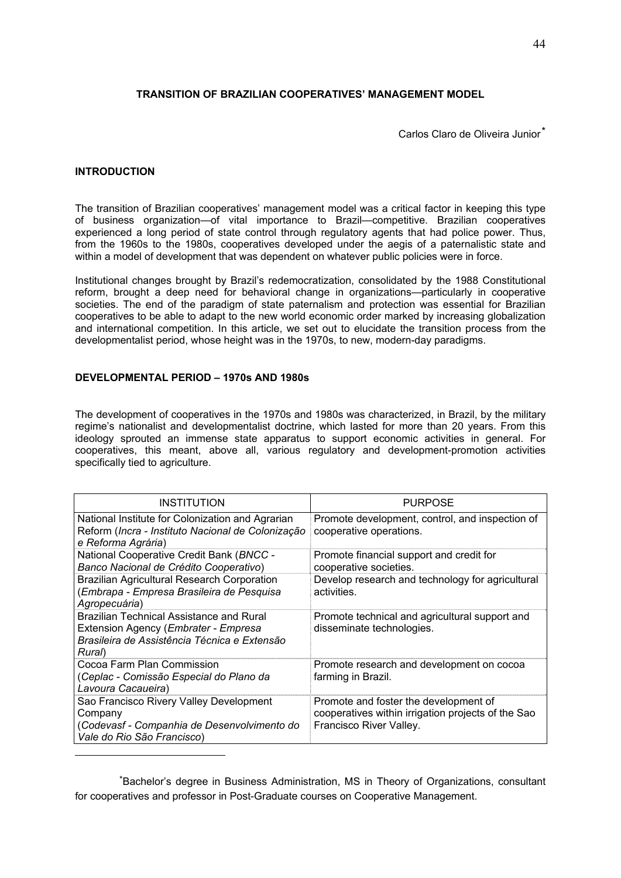## **TRANSITION OF BRAZILIAN COOPERATIVES' MANAGEMENT MODEL**

Carlos Claro de Oliveira Junior<sup>\*</sup>

#### **INTRODUCTION**

<u>.</u>

The transition of Brazilian cooperatives' management model was a critical factor in keeping this type of business organization—of vital importance to Brazil—competitive. Brazilian cooperatives experienced a long period of state control through regulatory agents that had police power. Thus, from the 1960s to the 1980s, cooperatives developed under the aegis of a paternalistic state and within a model of development that was dependent on whatever public policies were in force.

Institutional changes brought by Brazil's redemocratization, consolidated by the 1988 Constitutional reform, brought a deep need for behavioral change in organizations—particularly in cooperative societies. The end of the paradigm of state paternalism and protection was essential for Brazilian cooperatives to be able to adapt to the new world economic order marked by increasing globalization and international competition. In this article, we set out to elucidate the transition process from the developmentalist period, whose height was in the 1970s, to new, modern-day paradigms.

## **DEVELOPMENTAL PERIOD – 1970s AND 1980s**

The development of cooperatives in the 1970s and 1980s was characterized, in Brazil, by the military regime's nationalist and developmentalist doctrine, which lasted for more than 20 years. From this ideology sprouted an immense state apparatus to support economic activities in general. For cooperatives, this meant, above all, various regulatory and development-promotion activities specifically tied to agriculture.

| <b>INSTITUTION</b>                                                                                                                                 | <b>PURPOSE</b>                                                                                                         |
|----------------------------------------------------------------------------------------------------------------------------------------------------|------------------------------------------------------------------------------------------------------------------------|
| National Institute for Colonization and Agrarian<br>Reform (Incra - Instituto Nacional de Colonização<br>e Reforma Agrária)                        | Promote development, control, and inspection of<br>cooperative operations.                                             |
| National Cooperative Credit Bank (BNCC -<br>Banco Nacional de Crédito Cooperativo)                                                                 | Promote financial support and credit for<br>cooperative societies.                                                     |
| <b>Brazilian Agricultural Research Corporation</b><br>(Embrapa - Empresa Brasileira de Pesquisa<br>Agropecuária)                                   | Develop research and technology for agricultural<br>activities.                                                        |
| Brazilian Technical Assistance and Rural<br>Extension Agency ( <i>Embrater - Empresa</i><br>Brasileira de Assistência Técnica e Extensão<br>Rural) | Promote technical and agricultural support and<br>disseminate technologies.                                            |
| Cocoa Farm Plan Commission<br>(Ceplac - Comissão Especial do Plano da<br>Lavoura Cacaueira)                                                        | Promote research and development on cocoa<br>farming in Brazil.                                                        |
| Sao Francisco Rivery Valley Development<br>Company<br>(Codevasf - Companhia de Desenvolvimento do<br>Vale do Rio São Francisco)                    | Promote and foster the development of<br>cooperatives within irrigation projects of the Sao<br>Francisco River Valley. |

<sup>\*</sup>Bachelor's degree in Business Administration, MS in Theory of Organizations, consultant for cooperatives and professor in Post-Graduate courses on Cooperative Management.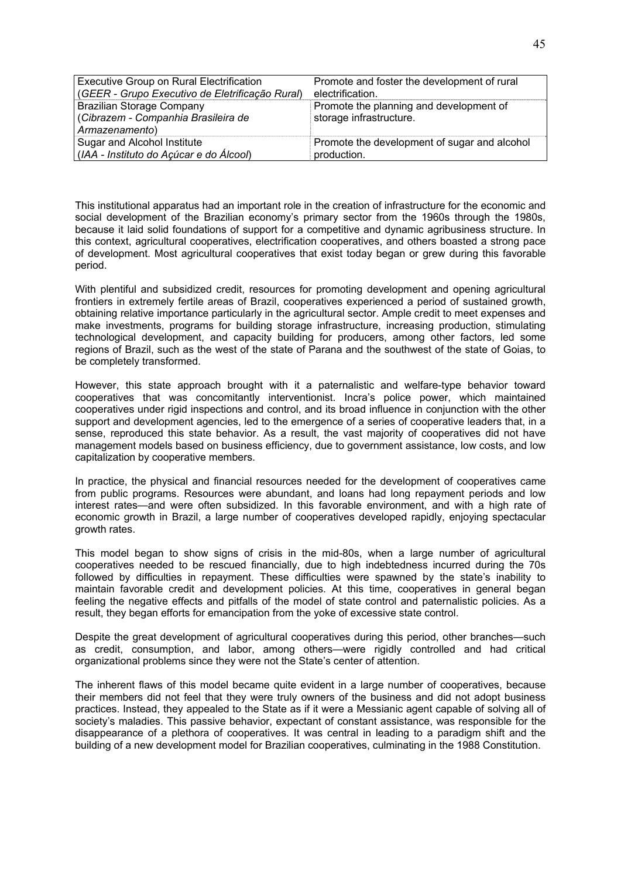| <b>Executive Group on Rural Electrification</b> | Promote and foster the development of rural  |
|-------------------------------------------------|----------------------------------------------|
| (GEER - Grupo Executivo de Eletrificação Rural) | electrification.                             |
| Brazilian Storage Company                       | Promote the planning and development of      |
| (Cibrazem - Companhia Brasileira de             | storage infrastructure.                      |
| Armazenamento)                                  |                                              |
| Sugar and Alcohol Institute                     | Promote the development of sugar and alcohol |
| (IAA - Instituto do Açúcar e do Álcool)         | production.                                  |

This institutional apparatus had an important role in the creation of infrastructure for the economic and social development of the Brazilian economy's primary sector from the 1960s through the 1980s, because it laid solid foundations of support for a competitive and dynamic agribusiness structure. In this context, agricultural cooperatives, electrification cooperatives, and others boasted a strong pace of development. Most agricultural cooperatives that exist today began or grew during this favorable period.

With plentiful and subsidized credit, resources for promoting development and opening agricultural frontiers in extremely fertile areas of Brazil, cooperatives experienced a period of sustained growth, obtaining relative importance particularly in the agricultural sector. Ample credit to meet expenses and make investments, programs for building storage infrastructure, increasing production, stimulating technological development, and capacity building for producers, among other factors, led some regions of Brazil, such as the west of the state of Parana and the southwest of the state of Goias, to be completely transformed.

However, this state approach brought with it a paternalistic and welfare-type behavior toward cooperatives that was concomitantly interventionist. Incra's police power, which maintained cooperatives under rigid inspections and control, and its broad influence in conjunction with the other support and development agencies, led to the emergence of a series of cooperative leaders that, in a sense, reproduced this state behavior. As a result, the vast majority of cooperatives did not have management models based on business efficiency, due to government assistance, low costs, and low capitalization by cooperative members.

In practice, the physical and financial resources needed for the development of cooperatives came from public programs. Resources were abundant, and loans had long repayment periods and low interest rates—and were often subsidized. In this favorable environment, and with a high rate of economic growth in Brazil, a large number of cooperatives developed rapidly, enjoying spectacular growth rates.

This model began to show signs of crisis in the mid-80s, when a large number of agricultural cooperatives needed to be rescued financially, due to high indebtedness incurred during the 70s followed by difficulties in repayment. These difficulties were spawned by the state's inability to maintain favorable credit and development policies. At this time, cooperatives in general began feeling the negative effects and pitfalls of the model of state control and paternalistic policies. As a result, they began efforts for emancipation from the yoke of excessive state control.

Despite the great development of agricultural cooperatives during this period, other branches—such as credit, consumption, and labor, among others—were rigidly controlled and had critical organizational problems since they were not the State's center of attention.

The inherent flaws of this model became quite evident in a large number of cooperatives, because their members did not feel that they were truly owners of the business and did not adopt business practices. Instead, they appealed to the State as if it were a Messianic agent capable of solving all of society's maladies. This passive behavior, expectant of constant assistance, was responsible for the disappearance of a plethora of cooperatives. It was central in leading to a paradigm shift and the building of a new development model for Brazilian cooperatives, culminating in the 1988 Constitution.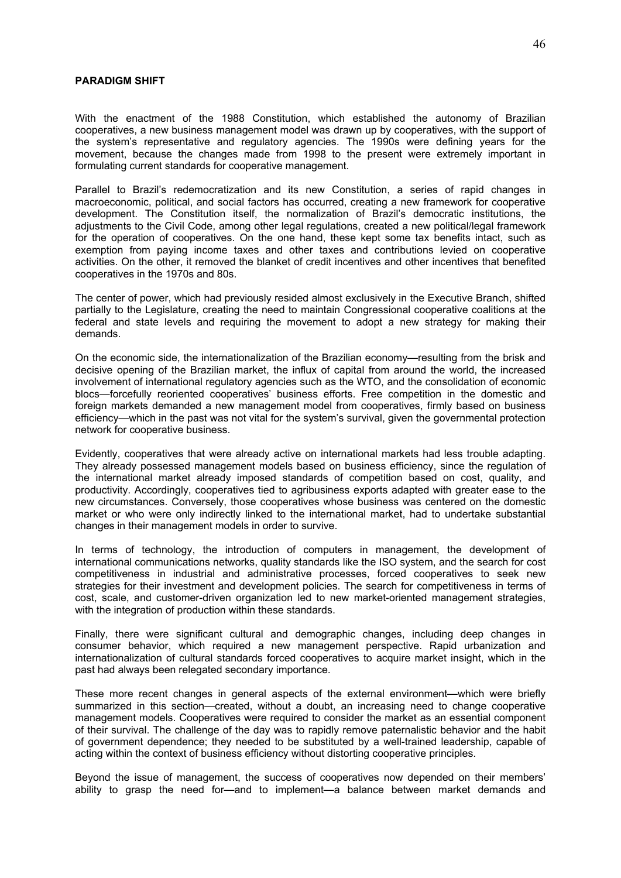#### **PARADIGM SHIFT**

With the enactment of the 1988 Constitution, which established the autonomy of Brazilian cooperatives, a new business management model was drawn up by cooperatives, with the support of the system's representative and regulatory agencies. The 1990s were defining years for the movement, because the changes made from 1998 to the present were extremely important in formulating current standards for cooperative management.

Parallel to Brazil's redemocratization and its new Constitution, a series of rapid changes in macroeconomic, political, and social factors has occurred, creating a new framework for cooperative development. The Constitution itself, the normalization of Brazil's democratic institutions, the adjustments to the Civil Code, among other legal regulations, created a new political/legal framework for the operation of cooperatives. On the one hand, these kept some tax benefits intact, such as exemption from paying income taxes and other taxes and contributions levied on cooperative activities. On the other, it removed the blanket of credit incentives and other incentives that benefited cooperatives in the 1970s and 80s.

The center of power, which had previously resided almost exclusively in the Executive Branch, shifted partially to the Legislature, creating the need to maintain Congressional cooperative coalitions at the federal and state levels and requiring the movement to adopt a new strategy for making their demands.

On the economic side, the internationalization of the Brazilian economy—resulting from the brisk and decisive opening of the Brazilian market, the influx of capital from around the world, the increased involvement of international regulatory agencies such as the WTO, and the consolidation of economic blocs—forcefully reoriented cooperatives' business efforts. Free competition in the domestic and foreign markets demanded a new management model from cooperatives, firmly based on business efficiency—which in the past was not vital for the system's survival, given the governmental protection network for cooperative business.

Evidently, cooperatives that were already active on international markets had less trouble adapting. They already possessed management models based on business efficiency, since the regulation of the international market already imposed standards of competition based on cost, quality, and productivity. Accordingly, cooperatives tied to agribusiness exports adapted with greater ease to the new circumstances. Conversely, those cooperatives whose business was centered on the domestic market or who were only indirectly linked to the international market, had to undertake substantial changes in their management models in order to survive.

In terms of technology, the introduction of computers in management, the development of international communications networks, quality standards like the ISO system, and the search for cost competitiveness in industrial and administrative processes, forced cooperatives to seek new strategies for their investment and development policies. The search for competitiveness in terms of cost, scale, and customer-driven organization led to new market-oriented management strategies, with the integration of production within these standards.

Finally, there were significant cultural and demographic changes, including deep changes in consumer behavior, which required a new management perspective. Rapid urbanization and internationalization of cultural standards forced cooperatives to acquire market insight, which in the past had always been relegated secondary importance.

These more recent changes in general aspects of the external environment—which were briefly summarized in this section—created, without a doubt, an increasing need to change cooperative management models. Cooperatives were required to consider the market as an essential component of their survival. The challenge of the day was to rapidly remove paternalistic behavior and the habit of government dependence; they needed to be substituted by a well-trained leadership, capable of acting within the context of business efficiency without distorting cooperative principles.

Beyond the issue of management, the success of cooperatives now depended on their members' ability to grasp the need for—and to implement—a balance between market demands and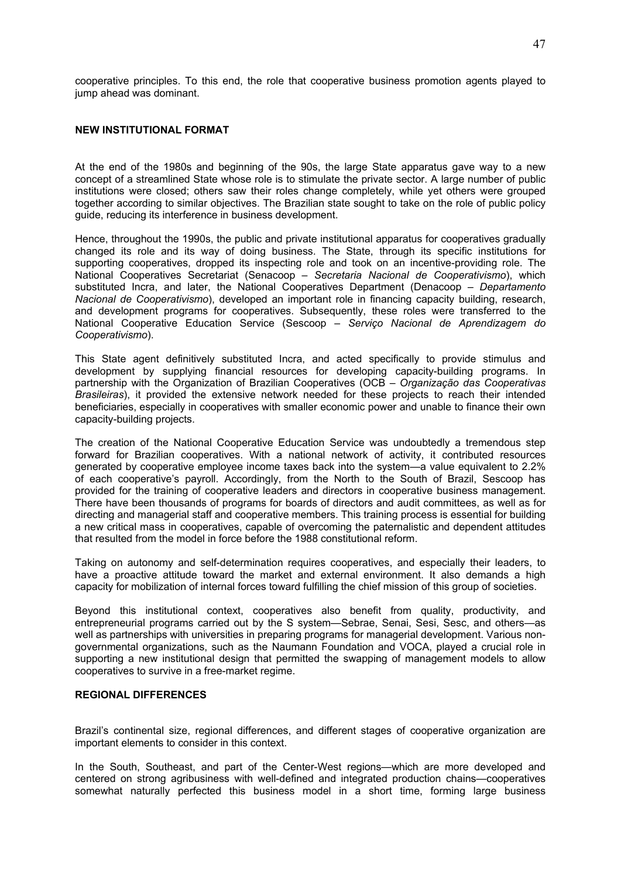cooperative principles. To this end, the role that cooperative business promotion agents played to jump ahead was dominant.

#### **NEW INSTITUTIONAL FORMAT**

At the end of the 1980s and beginning of the 90s, the large State apparatus gave way to a new concept of a streamlined State whose role is to stimulate the private sector. A large number of public institutions were closed; others saw their roles change completely, while yet others were grouped together according to similar objectives. The Brazilian state sought to take on the role of public policy guide, reducing its interference in business development.

Hence, throughout the 1990s, the public and private institutional apparatus for cooperatives gradually changed its role and its way of doing business. The State, through its specific institutions for supporting cooperatives, dropped its inspecting role and took on an incentive-providing role. The National Cooperatives Secretariat (Senacoop – *Secretaria Nacional de Cooperativismo*), which substituted Incra, and later, the National Cooperatives Department (Denacoop – *Departamento Nacional de Cooperativismo*), developed an important role in financing capacity building, research, and development programs for cooperatives. Subsequently, these roles were transferred to the National Cooperative Education Service (Sescoop – *Serviço Nacional de Aprendizagem do Cooperativismo*).

This State agent definitively substituted Incra, and acted specifically to provide stimulus and development by supplying financial resources for developing capacity-building programs. In partnership with the Organization of Brazilian Cooperatives (OCB – *Organização das Cooperativas Brasileiras*), it provided the extensive network needed for these projects to reach their intended beneficiaries, especially in cooperatives with smaller economic power and unable to finance their own capacity-building projects.

The creation of the National Cooperative Education Service was undoubtedly a tremendous step forward for Brazilian cooperatives. With a national network of activity, it contributed resources generated by cooperative employee income taxes back into the system—a value equivalent to 2.2% of each cooperative's payroll. Accordingly, from the North to the South of Brazil, Sescoop has provided for the training of cooperative leaders and directors in cooperative business management. There have been thousands of programs for boards of directors and audit committees, as well as for directing and managerial staff and cooperative members. This training process is essential for building a new critical mass in cooperatives, capable of overcoming the paternalistic and dependent attitudes that resulted from the model in force before the 1988 constitutional reform.

Taking on autonomy and self-determination requires cooperatives, and especially their leaders, to have a proactive attitude toward the market and external environment. It also demands a high capacity for mobilization of internal forces toward fulfilling the chief mission of this group of societies.

Beyond this institutional context, cooperatives also benefit from quality, productivity, and entrepreneurial programs carried out by the S system—Sebrae, Senai, Sesi, Sesc, and others—as well as partnerships with universities in preparing programs for managerial development. Various nongovernmental organizations, such as the Naumann Foundation and VOCA, played a crucial role in supporting a new institutional design that permitted the swapping of management models to allow cooperatives to survive in a free-market regime.

## **REGIONAL DIFFERENCES**

Brazil's continental size, regional differences, and different stages of cooperative organization are important elements to consider in this context.

In the South, Southeast, and part of the Center-West regions—which are more developed and centered on strong agribusiness with well-defined and integrated production chains—cooperatives somewhat naturally perfected this business model in a short time, forming large business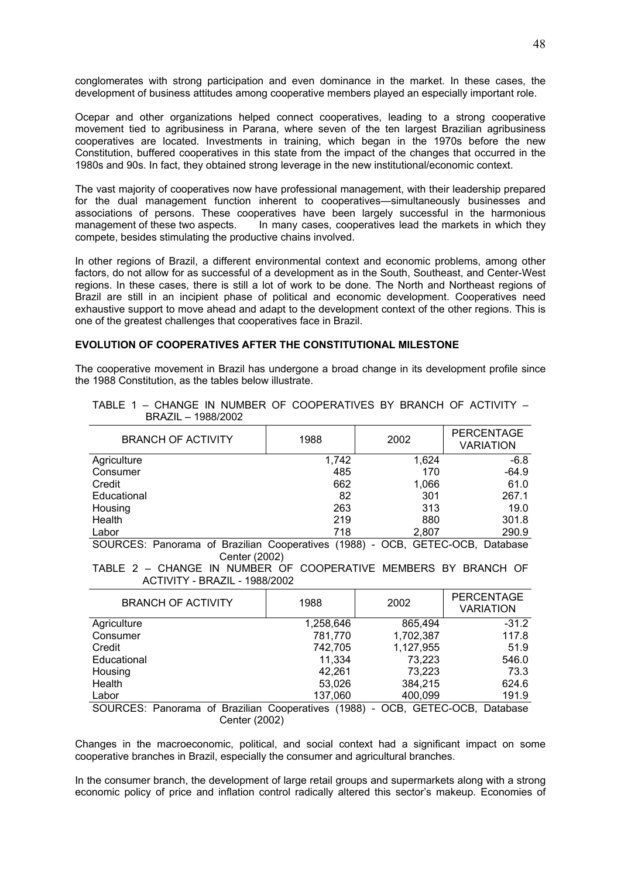conglomerates with strong participation and even dominance in the market. In these cases, the development of business attitudes among cooperative members played an especially important role.

Ocepar and other organizations helped connect cooperatives, leading to a strong cooperative movement tied to agribusiness in Parana, where seven of the ten largest Brazilian agribusiness cooperatives are located. Investments in training, which began in the 1970s before the new Constitution, buffered cooperatives in this state from the impact of the changes that occurred in the 1980s and 90s. In fact, they obtained strong leverage in the new institutional/economic context.

The vast majority of cooperatives now have professional management, with their leadership prepared for the dual management function inherent to cooperatives—simultaneously businesses and associations of persons. These cooperatives have been largely successful in the harmonious management of these two aspects. In many cases, cooperatives lead the markets in which they compete, besides stimulating the productive chains involved.

In other regions of Brazil, a different environmental context and economic problems, among other factors, do not allow for as successful of a development as in the South, Southeast, and Center-West regions. In these cases, there is still a lot of work to be done. The North and Northeast regions of Brazil are still in an incipient phase of political and economic development. Cooperatives need exhaustive support to move ahead and adapt to the development context of the other regions. This is one of the greatest challenges that cooperatives face in Brazil.

#### **EVOLUTION OF COOPERATIVES AFTER THE CONSTITUTIONAL MILESTONE**

The cooperative movement in Brazil has undergone a broad change in its development profile since the 1988 Constitution, as the tables below illustrate.

| 1988  | 2002  | <b>PERCENTAGE</b><br><b>VARIATION</b> |
|-------|-------|---------------------------------------|
| 1,742 | 1.624 | $-6.8$                                |
| 485   | 170   | $-64.9$                               |
| 662   | 1,066 | 61.0                                  |
| 82    | 301   | 267.1                                 |
| 263   | 313   | 19.0                                  |
| 219   | 880   | 301.8                                 |
| 718   | 2,807 | 290.9                                 |
|       |       |                                       |

#### TABLE 1 – CHANGE IN NUMBER OF COOPERATIVES BY BRANCH OF ACTIVITY – BRAZIL – 1988/2002

SOURCES: Panorama of Brazilian Cooperatives (1988) - OCB, GETEC-OCB, Database Center (2002)

TABLE 2 – CHANGE IN NUMBER OF COOPERATIVE MEMBERS BY BRANCH OF ACTIVITY - BRAZIL - 1988/2002

| <b>BRANCH OF ACTIVITY</b>                                      | 1988                          | 2002      | <b>PERCENTAGE</b><br><b>VARIATION</b>     |
|----------------------------------------------------------------|-------------------------------|-----------|-------------------------------------------|
| Agriculture                                                    | 1,258,646                     | 865,494   | $-31.2$                                   |
| Consumer                                                       | 781,770                       | 1,702,387 | 117.8                                     |
| Credit                                                         | 742.705                       | 1,127,955 | 51.9                                      |
| Educational                                                    | 11,334                        | 73,223    | 546.0                                     |
| Housing                                                        | 42,261                        | 73,223    | 73.3                                      |
| Health                                                         | 53.026                        | 384.215   | 624.6                                     |
| Labor                                                          | 137,060                       | 400,099   | 191.9                                     |
| <br>$\sim$ $\sim$<br>$\sim$ $\sim$ $\sim$ $\sim$ $\sim$ $\sim$ | $\sim$<br>$\cdots$<br>1.00001 | ~~~       | $\sim$ $\sim$ $\sim$ $\sim$ $\sim$ $\sim$ |

SOURCES: Panorama of Brazilian Cooperatives (1988) - OCB, GETEC-OCB, Database Center (2002)

Changes in the macroeconomic, political, and social context had a significant impact on some cooperative branches in Brazil, especially the consumer and agricultural branches.

In the consumer branch, the development of large retail groups and supermarkets along with a strong economic policy of price and inflation control radically altered this sector's makeup. Economies of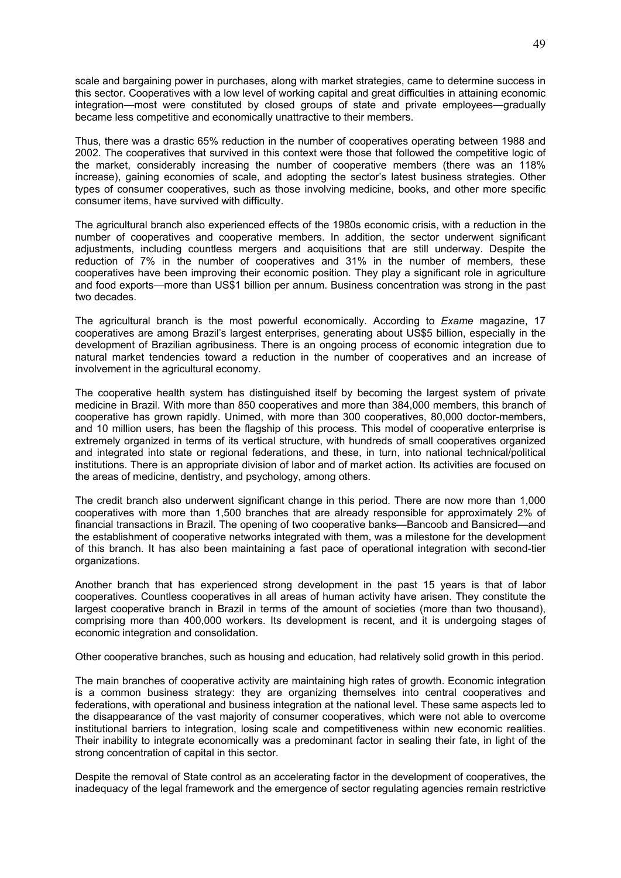scale and bargaining power in purchases, along with market strategies, came to determine success in this sector. Cooperatives with a low level of working capital and great difficulties in attaining economic integration—most were constituted by closed groups of state and private employees—gradually became less competitive and economically unattractive to their members.

Thus, there was a drastic 65% reduction in the number of cooperatives operating between 1988 and 2002. The cooperatives that survived in this context were those that followed the competitive logic of the market, considerably increasing the number of cooperative members (there was an 118% increase), gaining economies of scale, and adopting the sector's latest business strategies. Other types of consumer cooperatives, such as those involving medicine, books, and other more specific consumer items, have survived with difficulty.

The agricultural branch also experienced effects of the 1980s economic crisis, with a reduction in the number of cooperatives and cooperative members. In addition, the sector underwent significant adjustments, including countless mergers and acquisitions that are still underway. Despite the reduction of 7% in the number of cooperatives and 31% in the number of members, these cooperatives have been improving their economic position. They play a significant role in agriculture and food exports—more than US\$1 billion per annum. Business concentration was strong in the past two decades.

The agricultural branch is the most powerful economically. According to *Exame* magazine, 17 cooperatives are among Brazil's largest enterprises, generating about US\$5 billion, especially in the development of Brazilian agribusiness. There is an ongoing process of economic integration due to natural market tendencies toward a reduction in the number of cooperatives and an increase of involvement in the agricultural economy.

The cooperative health system has distinguished itself by becoming the largest system of private medicine in Brazil. With more than 850 cooperatives and more than 384,000 members, this branch of cooperative has grown rapidly. Unimed, with more than 300 cooperatives, 80,000 doctor-members, and 10 million users, has been the flagship of this process. This model of cooperative enterprise is extremely organized in terms of its vertical structure, with hundreds of small cooperatives organized and integrated into state or regional federations, and these, in turn, into national technical/political institutions. There is an appropriate division of labor and of market action. Its activities are focused on the areas of medicine, dentistry, and psychology, among others.

The credit branch also underwent significant change in this period. There are now more than 1,000 cooperatives with more than 1,500 branches that are already responsible for approximately 2% of financial transactions in Brazil. The opening of two cooperative banks—Bancoob and Bansicred—and the establishment of cooperative networks integrated with them, was a milestone for the development of this branch. It has also been maintaining a fast pace of operational integration with second-tier organizations.

Another branch that has experienced strong development in the past 15 years is that of labor cooperatives. Countless cooperatives in all areas of human activity have arisen. They constitute the largest cooperative branch in Brazil in terms of the amount of societies (more than two thousand), comprising more than 400,000 workers. Its development is recent, and it is undergoing stages of economic integration and consolidation.

Other cooperative branches, such as housing and education, had relatively solid growth in this period.

The main branches of cooperative activity are maintaining high rates of growth. Economic integration is a common business strategy: they are organizing themselves into central cooperatives and federations, with operational and business integration at the national level. These same aspects led to the disappearance of the vast majority of consumer cooperatives, which were not able to overcome institutional barriers to integration, losing scale and competitiveness within new economic realities. Their inability to integrate economically was a predominant factor in sealing their fate, in light of the strong concentration of capital in this sector.

Despite the removal of State control as an accelerating factor in the development of cooperatives, the inadequacy of the legal framework and the emergence of sector regulating agencies remain restrictive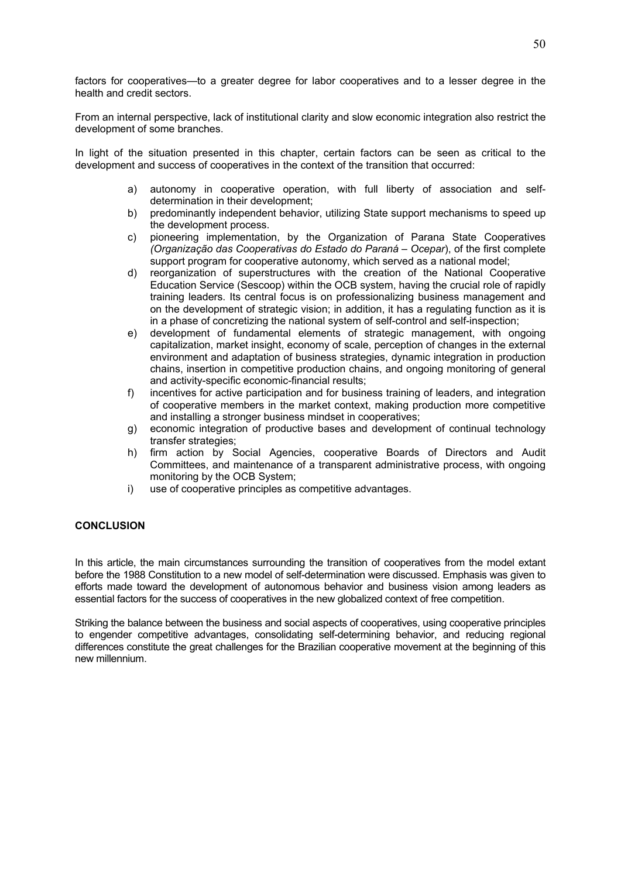factors for cooperatives—to a greater degree for labor cooperatives and to a lesser degree in the health and credit sectors.

From an internal perspective, lack of institutional clarity and slow economic integration also restrict the development of some branches.

In light of the situation presented in this chapter, certain factors can be seen as critical to the development and success of cooperatives in the context of the transition that occurred:

- a) autonomy in cooperative operation, with full liberty of association and selfdetermination in their development;
- b) predominantly independent behavior, utilizing State support mechanisms to speed up the development process.
- c) pioneering implementation, by the Organization of Parana State Cooperatives *(Organização das Cooperativas do Estado do Paraná – Ocepar*), of the first complete support program for cooperative autonomy, which served as a national model:
- d) reorganization of superstructures with the creation of the National Cooperative Education Service (Sescoop) within the OCB system, having the crucial role of rapidly training leaders. Its central focus is on professionalizing business management and on the development of strategic vision; in addition, it has a regulating function as it is in a phase of concretizing the national system of self-control and self-inspection;
- e) development of fundamental elements of strategic management, with ongoing capitalization, market insight, economy of scale, perception of changes in the external environment and adaptation of business strategies, dynamic integration in production chains, insertion in competitive production chains, and ongoing monitoring of general and activity-specific economic-financial results;
- f) incentives for active participation and for business training of leaders, and integration of cooperative members in the market context, making production more competitive and installing a stronger business mindset in cooperatives;
- g) economic integration of productive bases and development of continual technology transfer strategies;
- h) firm action by Social Agencies, cooperative Boards of Directors and Audit Committees, and maintenance of a transparent administrative process, with ongoing monitoring by the OCB System;
- i) use of cooperative principles as competitive advantages.

## **CONCLUSION**

In this article, the main circumstances surrounding the transition of cooperatives from the model extant before the 1988 Constitution to a new model of self-determination were discussed. Emphasis was given to efforts made toward the development of autonomous behavior and business vision among leaders as essential factors for the success of cooperatives in the new globalized context of free competition.

Striking the balance between the business and social aspects of cooperatives, using cooperative principles to engender competitive advantages, consolidating self-determining behavior, and reducing regional differences constitute the great challenges for the Brazilian cooperative movement at the beginning of this new millennium.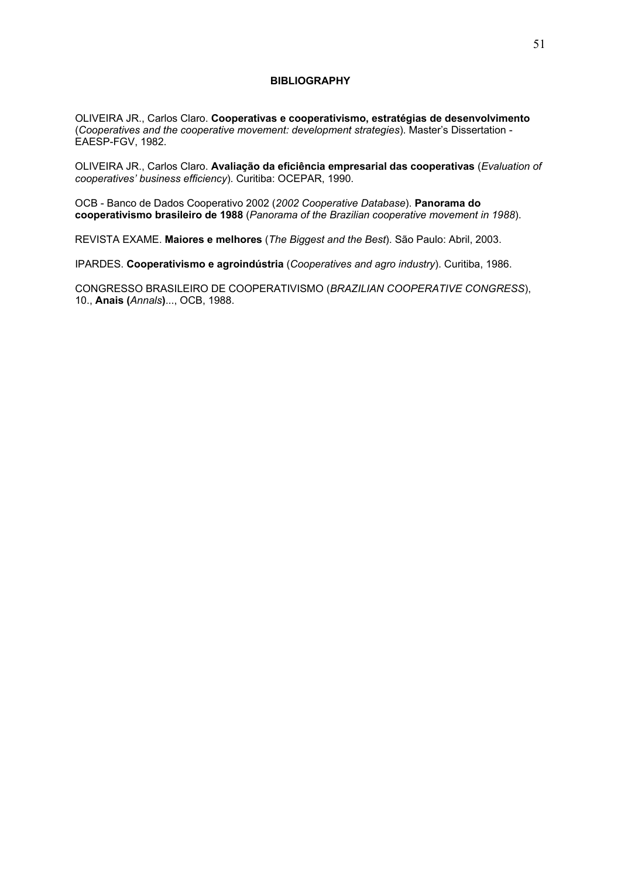#### **BIBLIOGRAPHY**

OLIVEIRA JR., Carlos Claro. **Cooperativas e cooperativismo, estratégias de desenvolvimento**  (*Cooperatives and the cooperative movement: development strategies*). Master's Dissertation - EAESP-FGV, 1982.

OLIVEIRA JR., Carlos Claro. **Avaliação da eficiência empresarial das cooperativas** (*Evaluation of cooperatives' business efficiency*). Curitiba: OCEPAR, 1990.

OCB - Banco de Dados Cooperativo 2002 (*2002 Cooperative Database*). **Panorama do cooperativismo brasileiro de 1988** (*Panorama of the Brazilian cooperative movement in 1988*).

REVISTA EXAME. **Maiores e melhores** (*The Biggest and the Best*). São Paulo: Abril, 2003.

IPARDES. **Cooperativismo e agroindústria** (*Cooperatives and agro industry*). Curitiba, 1986.

CONGRESSO BRASILEIRO DE COOPERATIVISMO (*BRAZILIAN COOPERATIVE CONGRESS*), 10., **Anais (***Annals***)**..., OCB, 1988.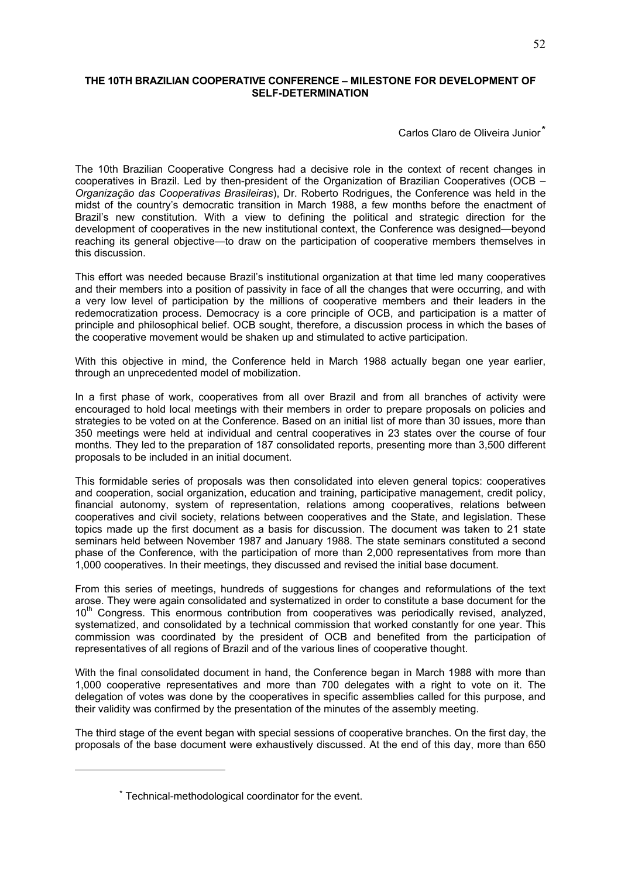## **THE 10TH BRAZILIAN COOPERATIVE CONFERENCE – MILESTONE FOR DEVELOPMENT OF SELF-DETERMINATION**

Carlos Claro de Oliveira Junior<sup>\*</sup>

The 10th Brazilian Cooperative Congress had a decisive role in the context of recent changes in cooperatives in Brazil. Led by then-president of the Organization of Brazilian Cooperatives (OCB – *Organização das Cooperativas Brasileiras*), Dr. Roberto Rodrigues, the Conference was held in the midst of the country's democratic transition in March 1988, a few months before the enactment of Brazil's new constitution. With a view to defining the political and strategic direction for the development of cooperatives in the new institutional context, the Conference was designed—beyond reaching its general objective—to draw on the participation of cooperative members themselves in this discussion.

This effort was needed because Brazil's institutional organization at that time led many cooperatives and their members into a position of passivity in face of all the changes that were occurring, and with a very low level of participation by the millions of cooperative members and their leaders in the redemocratization process. Democracy is a core principle of OCB, and participation is a matter of principle and philosophical belief. OCB sought, therefore, a discussion process in which the bases of the cooperative movement would be shaken up and stimulated to active participation.

With this objective in mind, the Conference held in March 1988 actually began one year earlier, through an unprecedented model of mobilization.

In a first phase of work, cooperatives from all over Brazil and from all branches of activity were encouraged to hold local meetings with their members in order to prepare proposals on policies and strategies to be voted on at the Conference. Based on an initial list of more than 30 issues, more than 350 meetings were held at individual and central cooperatives in 23 states over the course of four months. They led to the preparation of 187 consolidated reports, presenting more than 3,500 different proposals to be included in an initial document.

This formidable series of proposals was then consolidated into eleven general topics: cooperatives and cooperation, social organization, education and training, participative management, credit policy, financial autonomy, system of representation, relations among cooperatives, relations between cooperatives and civil society, relations between cooperatives and the State, and legislation. These topics made up the first document as a basis for discussion. The document was taken to 21 state seminars held between November 1987 and January 1988. The state seminars constituted a second phase of the Conference, with the participation of more than 2,000 representatives from more than 1,000 cooperatives. In their meetings, they discussed and revised the initial base document.

From this series of meetings, hundreds of suggestions for changes and reformulations of the text arose. They were again consolidated and systematized in order to constitute a base document for the 10<sup>th</sup> Congress. This enormous contribution from cooperatives was periodically revised, analyzed, systematized, and consolidated by a technical commission that worked constantly for one year. This commission was coordinated by the president of OCB and benefited from the participation of representatives of all regions of Brazil and of the various lines of cooperative thought.

With the final consolidated document in hand, the Conference began in March 1988 with more than 1,000 cooperative representatives and more than 700 delegates with a right to vote on it. The delegation of votes was done by the cooperatives in specific assemblies called for this purpose, and their validity was confirmed by the presentation of the minutes of the assembly meeting.

The third stage of the event began with special sessions of cooperative branches. On the first day, the proposals of the base document were exhaustively discussed. At the end of this day, more than 650

1

<sup>\*</sup> Technical-methodological coordinator for the event.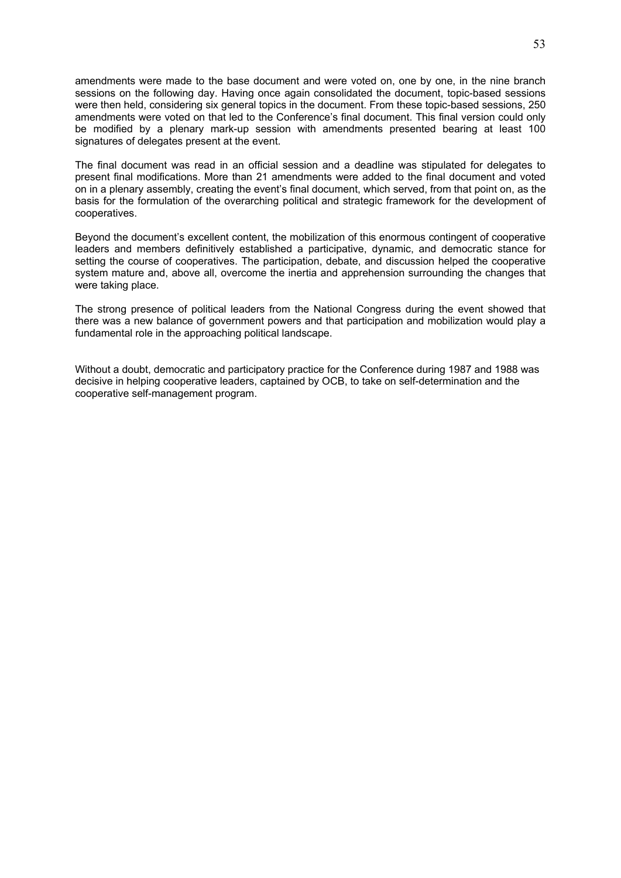amendments were made to the base document and were voted on, one by one, in the nine branch sessions on the following day. Having once again consolidated the document, topic-based sessions were then held, considering six general topics in the document. From these topic-based sessions, 250 amendments were voted on that led to the Conference's final document. This final version could only be modified by a plenary mark-up session with amendments presented bearing at least 100 signatures of delegates present at the event.

The final document was read in an official session and a deadline was stipulated for delegates to present final modifications. More than 21 amendments were added to the final document and voted on in a plenary assembly, creating the event's final document, which served, from that point on, as the basis for the formulation of the overarching political and strategic framework for the development of cooperatives.

Beyond the document's excellent content, the mobilization of this enormous contingent of cooperative leaders and members definitively established a participative, dynamic, and democratic stance for setting the course of cooperatives. The participation, debate, and discussion helped the cooperative system mature and, above all, overcome the inertia and apprehension surrounding the changes that were taking place.

The strong presence of political leaders from the National Congress during the event showed that there was a new balance of government powers and that participation and mobilization would play a fundamental role in the approaching political landscape.

Without a doubt, democratic and participatory practice for the Conference during 1987 and 1988 was decisive in helping cooperative leaders, captained by OCB, to take on self-determination and the cooperative self-management program.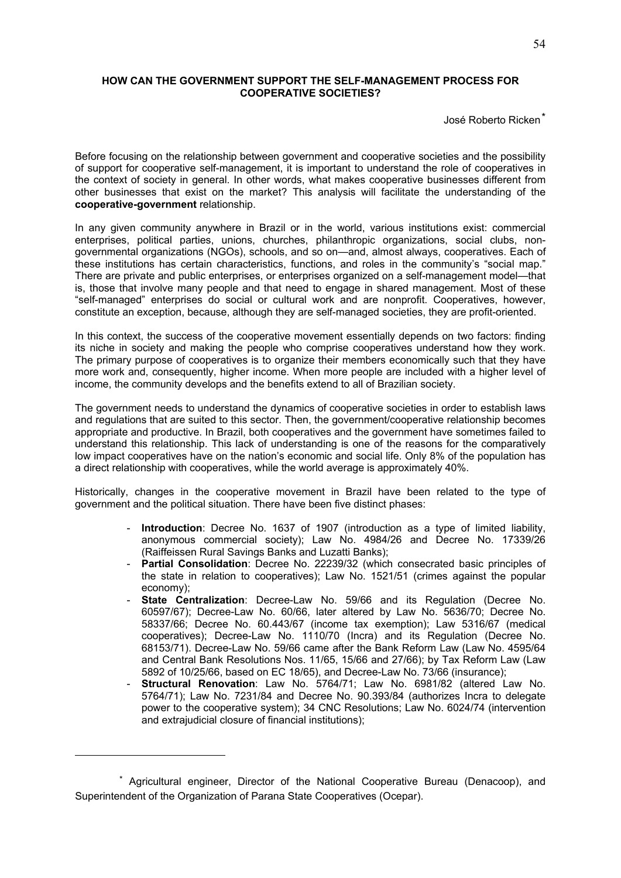## **HOW CAN THE GOVERNMENT SUPPORT THE SELF-MANAGEMENT PROCESS FOR COOPERATIVE SOCIETIES?**

José Roberto Ricken\*

Before focusing on the relationship between government and cooperative societies and the possibility of support for cooperative self-management, it is important to understand the role of cooperatives in the context of society in general. In other words, what makes cooperative businesses different from other businesses that exist on the market? This analysis will facilitate the understanding of the **cooperative-government** relationship.

In any given community anywhere in Brazil or in the world, various institutions exist: commercial enterprises, political parties, unions, churches, philanthropic organizations, social clubs, nongovernmental organizations (NGOs), schools, and so on—and, almost always, cooperatives. Each of these institutions has certain characteristics, functions, and roles in the community's "social map." There are private and public enterprises, or enterprises organized on a self-management model—that is, those that involve many people and that need to engage in shared management. Most of these "self-managed" enterprises do social or cultural work and are nonprofit. Cooperatives, however, constitute an exception, because, although they are self-managed societies, they are profit-oriented.

In this context, the success of the cooperative movement essentially depends on two factors: finding its niche in society and making the people who comprise cooperatives understand how they work. The primary purpose of cooperatives is to organize their members economically such that they have more work and, consequently, higher income. When more people are included with a higher level of income, the community develops and the benefits extend to all of Brazilian society.

The government needs to understand the dynamics of cooperative societies in order to establish laws and regulations that are suited to this sector. Then, the government/cooperative relationship becomes appropriate and productive. In Brazil, both cooperatives and the government have sometimes failed to understand this relationship. This lack of understanding is one of the reasons for the comparatively low impact cooperatives have on the nation's economic and social life. Only 8% of the population has a direct relationship with cooperatives, while the world average is approximately 40%.

Historically, changes in the cooperative movement in Brazil have been related to the type of government and the political situation. There have been five distinct phases:

- **Introduction**: Decree No. 1637 of 1907 (introduction as a type of limited liability, anonymous commercial society); Law No. 4984/26 and Decree No. 17339/26 (Raiffeissen Rural Savings Banks and Luzatti Banks);
- **Partial Consolidation**: Decree No. 22239/32 (which consecrated basic principles of the state in relation to cooperatives); Law No. 1521/51 (crimes against the popular economy);
- **State Centralization**: Decree-Law No. 59/66 and its Regulation (Decree No. 60597/67); Decree-Law No. 60/66, later altered by Law No. 5636/70; Decree No. 58337/66; Decree No. 60.443/67 (income tax exemption); Law 5316/67 (medical cooperatives); Decree-Law No. 1110/70 (Incra) and its Regulation (Decree No. 68153/71). Decree-Law No. 59/66 came after the Bank Reform Law (Law No. 4595/64 and Central Bank Resolutions Nos. 11/65, 15/66 and 27/66); by Tax Reform Law (Law 5892 of 10/25/66, based on EC 18/65), and Decree-Law No. 73/66 (insurance);
- **Structural Renovation**: Law No. 5764/71; Law No. 6981/82 (altered Law No. 5764/71); Law No. 7231/84 and Decree No. 90.393/84 (authorizes Incra to delegate power to the cooperative system); 34 CNC Resolutions; Law No. 6024/74 (intervention and extrajudicial closure of financial institutions);

<u>.</u>

<sup>\*</sup> Agricultural engineer, Director of the National Cooperative Bureau (Denacoop), and Superintendent of the Organization of Parana State Cooperatives (Ocepar).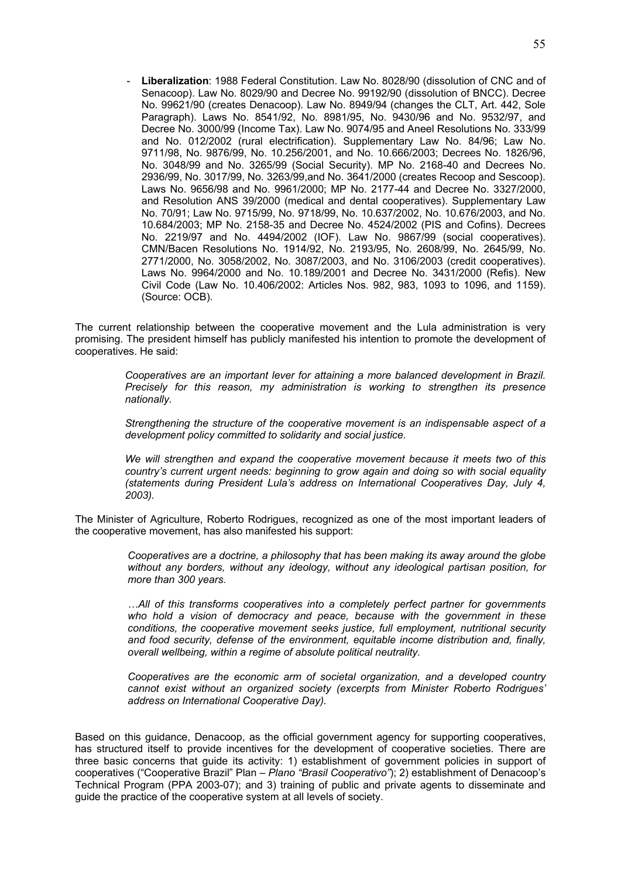- **Liberalization**: 1988 Federal Constitution. Law No. 8028/90 (dissolution of CNC and of Senacoop). Law No. 8029/90 and Decree No. 99192/90 (dissolution of BNCC). Decree No. 99621/90 (creates Denacoop). Law No. 8949/94 (changes the CLT, Art. 442, Sole Paragraph). Laws No. 8541/92, No. 8981/95, No. 9430/96 and No. 9532/97, and Decree No. 3000/99 (Income Tax). Law No. 9074/95 and Aneel Resolutions No. 333/99 and No. 012/2002 (rural electrification). Supplementary Law No. 84/96; Law No. 9711/98, No. 9876/99, No. 10.256/2001, and No. 10.666/2003; Decrees No. 1826/96, No. 3048/99 and No. 3265/99 (Social Security). MP No. 2168-40 and Decrees No. 2936/99, No. 3017/99, No. 3263/99,and No. 3641/2000 (creates Recoop and Sescoop). Laws No. 9656/98 and No. 9961/2000; MP No. 2177-44 and Decree No. 3327/2000, and Resolution ANS 39/2000 (medical and dental cooperatives). Supplementary Law No. 70/91; Law No. 9715/99, No. 9718/99, No. 10.637/2002, No. 10.676/2003, and No. 10.684/2003; MP No. 2158-35 and Decree No. 4524/2002 (PIS and Cofins). Decrees No. 2219/97 and No. 4494/2002 (IOF). Law No. 9867/99 (social cooperatives). CMN/Bacen Resolutions No. 1914/92, No. 2193/95, No. 2608/99, No. 2645/99, No. 2771/2000, No. 3058/2002, No. 3087/2003, and No. 3106/2003 (credit cooperatives). Laws No. 9964/2000 and No. 10.189/2001 and Decree No. 3431/2000 (Refis). New Civil Code (Law No. 10.406/2002: Articles Nos. 982, 983, 1093 to 1096, and 1159). (Source: OCB).

The current relationship between the cooperative movement and the Lula administration is very promising. The president himself has publicly manifested his intention to promote the development of cooperatives. He said:

> *Cooperatives are an important lever for attaining a more balanced development in Brazil. Precisely for this reason, my administration is working to strengthen its presence nationally.*

> *Strengthening the structure of the cooperative movement is an indispensable aspect of a development policy committed to solidarity and social justice.*

> *We will strengthen and expand the cooperative movement because it meets two of this country's current urgent needs: beginning to grow again and doing so with social equality (statements during President Lula's address on International Cooperatives Day, July 4, 2003).*

The Minister of Agriculture, Roberto Rodrigues, recognized as one of the most important leaders of the cooperative movement, has also manifested his support:

> *Cooperatives are a doctrine, a philosophy that has been making its away around the globe without any borders, without any ideology, without any ideological partisan position, for more than 300 years.*

> *…All of this transforms cooperatives into a completely perfect partner for governments*  who hold a vision of democracy and peace, because with the government in these *conditions, the cooperative movement seeks justice, full employment, nutritional security and food security, defense of the environment, equitable income distribution and, finally, overall wellbeing, within a regime of absolute political neutrality.*

> *Cooperatives are the economic arm of societal organization, and a developed country cannot exist without an organized society (excerpts from Minister Roberto Rodrigues' address on International Cooperative Day).*

Based on this guidance, Denacoop, as the official government agency for supporting cooperatives, has structured itself to provide incentives for the development of cooperative societies. There are three basic concerns that guide its activity: 1) establishment of government policies in support of cooperatives ("Cooperative Brazil" Plan – *Plano "Brasil Cooperativo"*); 2) establishment of Denacoop's Technical Program (PPA 2003-07); and 3) training of public and private agents to disseminate and guide the practice of the cooperative system at all levels of society.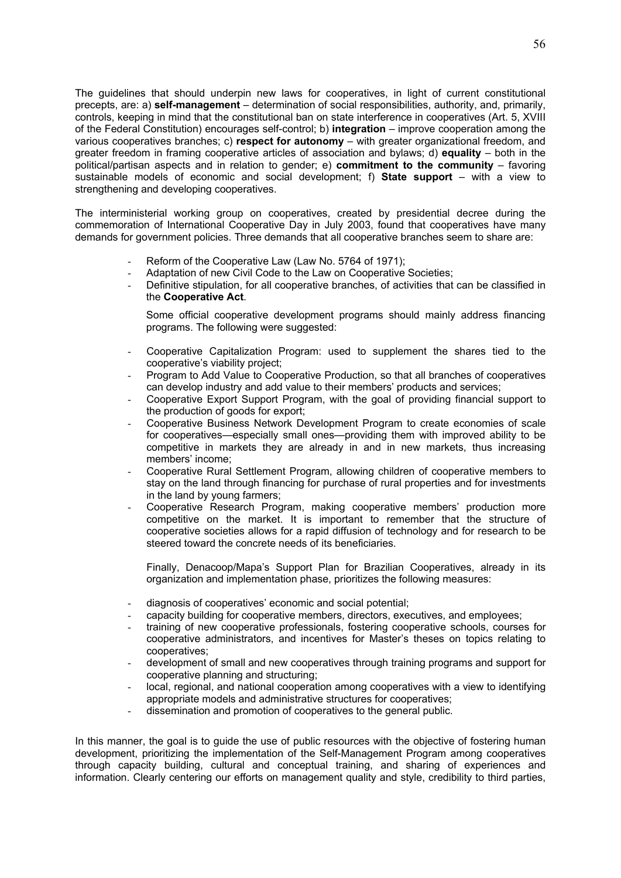The guidelines that should underpin new laws for cooperatives, in light of current constitutional precepts, are: a) **self-management** – determination of social responsibilities, authority, and, primarily, controls, keeping in mind that the constitutional ban on state interference in cooperatives (Art. 5, XVIII of the Federal Constitution) encourages self-control; b) **integration** – improve cooperation among the various cooperatives branches; c) **respect for autonomy** – with greater organizational freedom, and greater freedom in framing cooperative articles of association and bylaws; d) **equality** – both in the political/partisan aspects and in relation to gender; e) **commitment to the community** – favoring sustainable models of economic and social development; f) **State support** – with a view to strengthening and developing cooperatives.

The interministerial working group on cooperatives, created by presidential decree during the commemoration of International Cooperative Day in July 2003, found that cooperatives have many demands for government policies. Three demands that all cooperative branches seem to share are:

- Reform of the Cooperative Law (Law No. 5764 of 1971);
- Adaptation of new Civil Code to the Law on Cooperative Societies:
- Definitive stipulation, for all cooperative branches, of activities that can be classified in the **Cooperative Act**.

Some official cooperative development programs should mainly address financing programs. The following were suggested:

- Cooperative Capitalization Program: used to supplement the shares tied to the cooperative's viability project;
- Program to Add Value to Cooperative Production, so that all branches of cooperatives can develop industry and add value to their members' products and services;
- Cooperative Export Support Program, with the goal of providing financial support to the production of goods for export;
- Cooperative Business Network Development Program to create economies of scale for cooperatives—especially small ones—providing them with improved ability to be competitive in markets they are already in and in new markets, thus increasing members' income;
- Cooperative Rural Settlement Program, allowing children of cooperative members to stay on the land through financing for purchase of rural properties and for investments in the land by young farmers;
- Cooperative Research Program, making cooperative members' production more competitive on the market. It is important to remember that the structure of cooperative societies allows for a rapid diffusion of technology and for research to be steered toward the concrete needs of its beneficiaries.

Finally, Denacoop/Mapa's Support Plan for Brazilian Cooperatives, already in its organization and implementation phase, prioritizes the following measures:

- diagnosis of cooperatives' economic and social potential;
- capacity building for cooperative members, directors, executives, and employees;
- training of new cooperative professionals, fostering cooperative schools, courses for cooperative administrators, and incentives for Master's theses on topics relating to cooperatives;
- development of small and new cooperatives through training programs and support for cooperative planning and structuring;
- local, regional, and national cooperation among cooperatives with a view to identifying appropriate models and administrative structures for cooperatives;
- dissemination and promotion of cooperatives to the general public.

In this manner, the goal is to guide the use of public resources with the objective of fostering human development, prioritizing the implementation of the Self-Management Program among cooperatives through capacity building, cultural and conceptual training, and sharing of experiences and information. Clearly centering our efforts on management quality and style, credibility to third parties,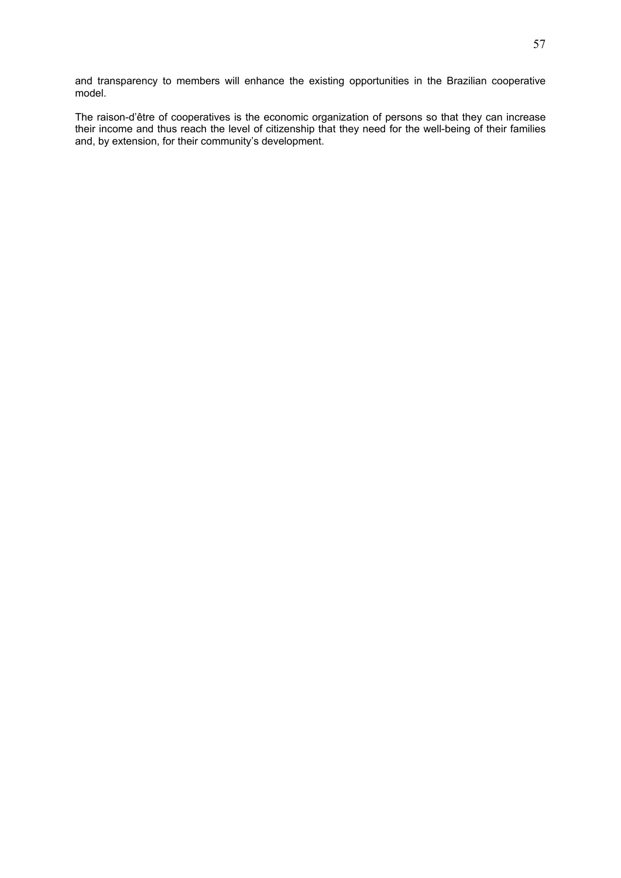and transparency to members will enhance the existing opportunities in the Brazilian cooperative model.

The raison-d'être of cooperatives is the economic organization of persons so that they can increase their income and thus reach the level of citizenship that they need for the well-being of their families and, by extension, for their community's development.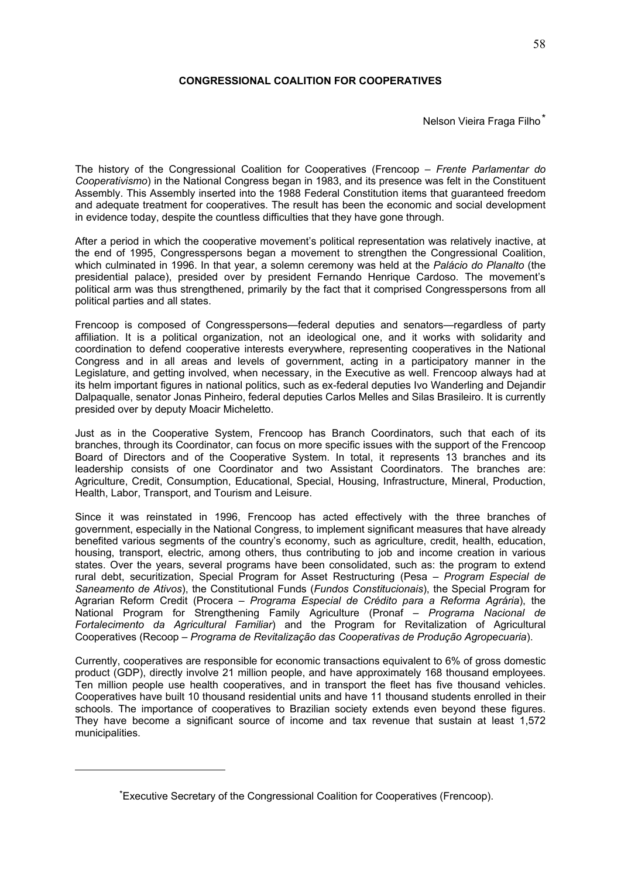## **CONGRESSIONAL COALITION FOR COOPERATIVES**

Nelson Vieira Fraga Filho\*

The history of the Congressional Coalition for Cooperatives (Frencoop – *Frente Parlamentar do Cooperativismo*) in the National Congress began in 1983, and its presence was felt in the Constituent Assembly. This Assembly inserted into the 1988 Federal Constitution items that guaranteed freedom and adequate treatment for cooperatives. The result has been the economic and social development in evidence today, despite the countless difficulties that they have gone through.

After a period in which the cooperative movement's political representation was relatively inactive, at the end of 1995, Congresspersons began a movement to strengthen the Congressional Coalition, which culminated in 1996. In that year, a solemn ceremony was held at the *Palácio do Planalto* (the presidential palace), presided over by president Fernando Henrique Cardoso. The movement's political arm was thus strengthened, primarily by the fact that it comprised Congresspersons from all political parties and all states.

Frencoop is composed of Congresspersons—federal deputies and senators—regardless of party affiliation. It is a political organization, not an ideological one, and it works with solidarity and coordination to defend cooperative interests everywhere, representing cooperatives in the National Congress and in all areas and levels of government, acting in a participatory manner in the Legislature, and getting involved, when necessary, in the Executive as well. Frencoop always had at its helm important figures in national politics, such as ex-federal deputies Ivo Wanderling and Dejandir Dalpaqualle, senator Jonas Pinheiro, federal deputies Carlos Melles and Silas Brasileiro. It is currently presided over by deputy Moacir Micheletto.

Just as in the Cooperative System, Frencoop has Branch Coordinators, such that each of its branches, through its Coordinator, can focus on more specific issues with the support of the Frencoop Board of Directors and of the Cooperative System. In total, it represents 13 branches and its leadership consists of one Coordinator and two Assistant Coordinators. The branches are: Agriculture, Credit, Consumption, Educational, Special, Housing, Infrastructure, Mineral, Production, Health, Labor, Transport, and Tourism and Leisure.

Since it was reinstated in 1996, Frencoop has acted effectively with the three branches of government, especially in the National Congress, to implement significant measures that have already benefited various segments of the country's economy, such as agriculture, credit, health, education, housing, transport, electric, among others, thus contributing to job and income creation in various states. Over the years, several programs have been consolidated, such as: the program to extend rural debt, securitization, Special Program for Asset Restructuring (Pesa – *Program Especial de Saneamento de Ativos*), the Constitutional Funds (*Fundos Constitucionais*), the Special Program for Agrarian Reform Credit (Procera – *Programa Especial de Crédito para a Reforma Agrária*), the National Program for Strengthening Family Agriculture (Pronaf – *Programa Nacional de Fortalecimento da Agricultural Familiar*) and the Program for Revitalization of Agricultural Cooperatives (Recoop – *Programa de Revitalização das Cooperativas de Produção Agropecuaria*).

Currently, cooperatives are responsible for economic transactions equivalent to 6% of gross domestic product (GDP), directly involve 21 million people, and have approximately 168 thousand employees. Ten million people use health cooperatives, and in transport the fleet has five thousand vehicles. Cooperatives have built 10 thousand residential units and have 11 thousand students enrolled in their schools. The importance of cooperatives to Brazilian society extends even beyond these figures. They have become a significant source of income and tax revenue that sustain at least 1,572 municipalities.

1

<sup>\*</sup>Executive Secretary of the Congressional Coalition for Cooperatives (Frencoop).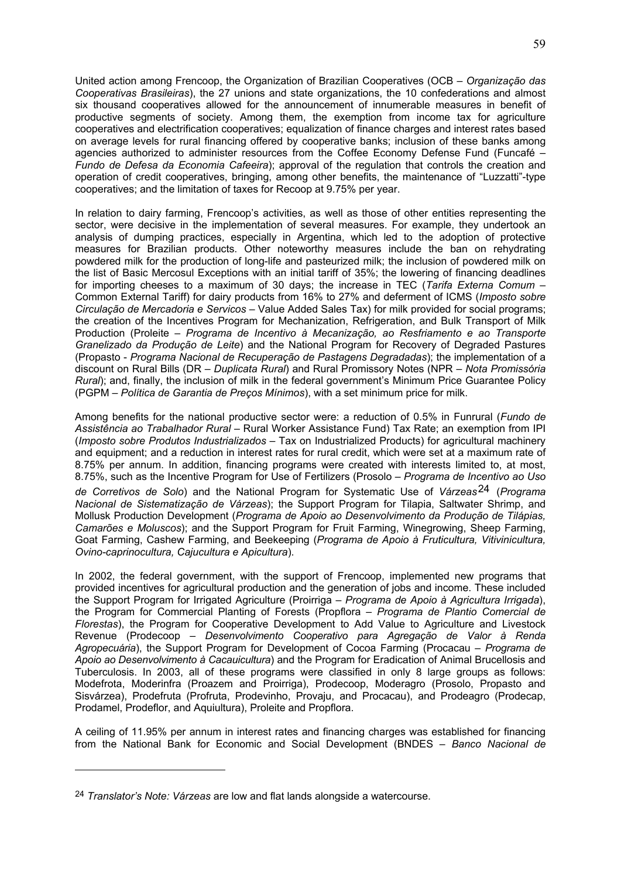United action among Frencoop, the Organization of Brazilian Cooperatives (OCB – *Organização das Cooperativas Brasileiras*), the 27 unions and state organizations, the 10 confederations and almost six thousand cooperatives allowed for the announcement of innumerable measures in benefit of productive segments of society. Among them, the exemption from income tax for agriculture cooperatives and electrification cooperatives; equalization of finance charges and interest rates based on average levels for rural financing offered by cooperative banks; inclusion of these banks among agencies authorized to administer resources from the Coffee Economy Defense Fund (Funcafé – *Fundo de Defesa da Economia Cafeeira*); approval of the regulation that controls the creation and operation of credit cooperatives, bringing, among other benefits, the maintenance of "Luzzatti"-type cooperatives; and the limitation of taxes for Recoop at 9.75% per year.

In relation to dairy farming, Frencoop's activities, as well as those of other entities representing the sector, were decisive in the implementation of several measures. For example, they undertook an analysis of dumping practices, especially in Argentina, which led to the adoption of protective measures for Brazilian products. Other noteworthy measures include the ban on rehydrating powdered milk for the production of long-life and pasteurized milk; the inclusion of powdered milk on the list of Basic Mercosul Exceptions with an initial tariff of 35%; the lowering of financing deadlines for importing cheeses to a maximum of 30 days; the increase in TEC (*Tarifa Externa Comum* – Common External Tariff) for dairy products from 16% to 27% and deferment of ICMS (*Imposto sobre Circulação de Mercadoria e Servicos* – Value Added Sales Tax) for milk provided for social programs; the creation of the Incentives Program for Mechanization, Refrigeration, and Bulk Transport of Milk Production (Proleite – *Programa de Incentivo à Mecanização, ao Resfriamento e ao Transporte Granelizado da Produção de Leite*) and the National Program for Recovery of Degraded Pastures (Propasto - *Programa Nacional de Recuperação de Pastagens Degradadas*); the implementation of a discount on Rural Bills (DR – *Duplicata Rural*) and Rural Promissory Notes (NPR – *Nota Promissória Rural*); and, finally, the inclusion of milk in the federal government's Minimum Price Guarantee Policy (PGPM – *Política de Garantia de Preços Mínimos*), with a set minimum price for milk.

Among benefits for the national productive sector were: a reduction of 0.5% in Funrural (*Fundo de Assistência ao Trabalhador Rural* – Rural Worker Assistance Fund) Tax Rate; an exemption from IPI (*Imposto sobre Produtos Industrializados* – Tax on Industrialized Products) for agricultural machinery and equipment; and a reduction in interest rates for rural credit, which were set at a maximum rate of 8.75% per annum. In addition, financing programs were created with interests limited to, at most, 8.75%, such as the Incentive Program for Use of Fertilizers (Prosolo – *Programa de Incentivo ao Uso de Corretivos de Solo*) and the National Program for Systematic Use of *Várzeas*24 (*Programa Nacional de Sistematização de Várzeas*); the Support Program for Tilapia, Saltwater Shrimp, and Mollusk Production Development (*Programa de Apoio ao Desenvolvimento da Produção de Tilápias, Camarões e Moluscos*); and the Support Program for Fruit Farming, Winegrowing, Sheep Farming, Goat Farming, Cashew Farming, and Beekeeping (*Programa de Apoio à Fruticultura, Vitivinicultura, Ovino-caprinocultura, Cajucultura e Apicultura*).

In 2002, the federal government, with the support of Frencoop, implemented new programs that provided incentives for agricultural production and the generation of jobs and income. These included the Support Program for Irrigated Agriculture (Proirriga – *Programa de Apoio à Agricultura Irrigada*), the Program for Commercial Planting of Forests (Propflora – *Programa de Plantio Comercial de Florestas*), the Program for Cooperative Development to Add Value to Agriculture and Livestock Revenue (Prodecoop – *Desenvolvimento Cooperativo para Agregação de Valor à Renda Agropecuária*), the Support Program for Development of Cocoa Farming (Procacau – *Programa de Apoio ao Desenvolvimento à Cacauicultura*) and the Program for Eradication of Animal Brucellosis and Tuberculosis. In 2003, all of these programs were classified in only 8 large groups as follows: Modefrota, Moderinfra (Proazem and Proirriga), Prodecoop, Moderagro (Prosolo, Propasto and Sisvárzea), Prodefruta (Profruta, Prodevinho, Provaju, and Procacau), and Prodeagro (Prodecap, Prodamel, Prodeflor, and Aquiultura), Proleite and Propflora.

A ceiling of 11.95% per annum in interest rates and financing charges was established for financing from the National Bank for Economic and Social Development (BNDES – *Banco Nacional de* 

1

<sup>24</sup> *Translator's Note: Várzeas* are low and flat lands alongside a watercourse.